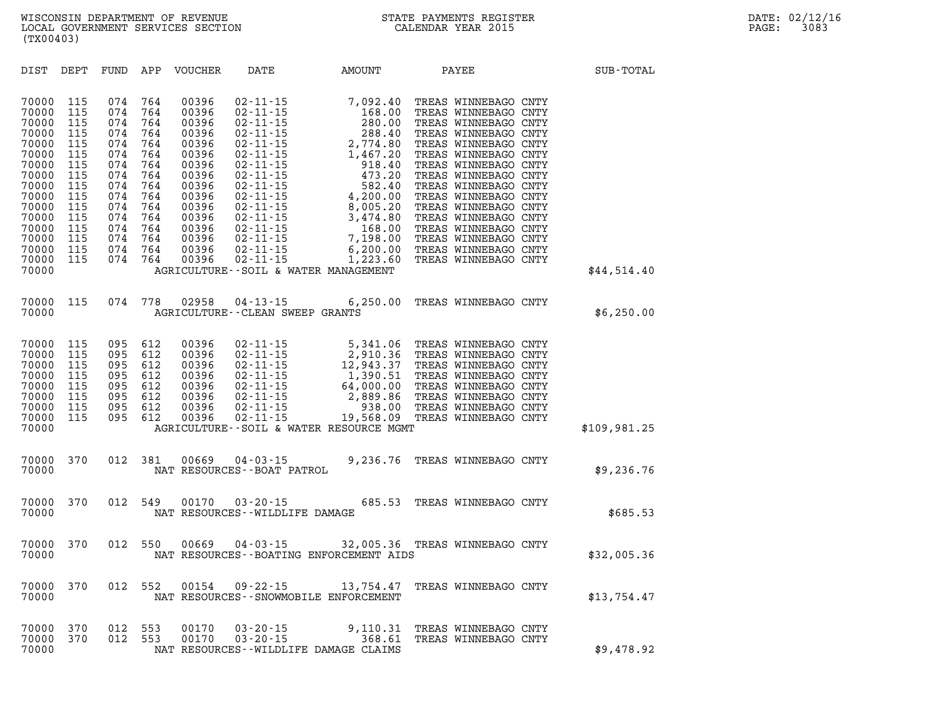| DIST                                                                                                                                                  | DEPT                                                                                                         | FUND                                                                                                         | APP                                                                                                          | <b>VOUCHER</b>                                                                                                                               | DATE                                                                                                                                                                                                                                                                                         | AMOUNT                                                                                                                                                                                                                  | PAYEE                                                                                                                                                                                                                                                                                                                                                                                        | SUB-TOTAL    |
|-------------------------------------------------------------------------------------------------------------------------------------------------------|--------------------------------------------------------------------------------------------------------------|--------------------------------------------------------------------------------------------------------------|--------------------------------------------------------------------------------------------------------------|----------------------------------------------------------------------------------------------------------------------------------------------|----------------------------------------------------------------------------------------------------------------------------------------------------------------------------------------------------------------------------------------------------------------------------------------------|-------------------------------------------------------------------------------------------------------------------------------------------------------------------------------------------------------------------------|----------------------------------------------------------------------------------------------------------------------------------------------------------------------------------------------------------------------------------------------------------------------------------------------------------------------------------------------------------------------------------------------|--------------|
| 70000<br>70000<br>70000<br>70000<br>70000<br>70000<br>70000<br>70000<br>70000<br>70000<br>70000<br>70000<br>70000<br>70000<br>70000<br>70000<br>70000 | 115<br>115<br>115<br>115<br>115<br>115<br>115<br>115<br>115<br>115<br>115<br>115<br>115<br>115<br>115<br>115 | 074<br>074<br>074<br>074<br>074<br>074<br>074<br>074<br>074<br>074<br>074<br>074<br>074<br>074<br>074<br>074 | 764<br>764<br>764<br>764<br>764<br>764<br>764<br>764<br>764<br>764<br>764<br>764<br>764<br>764<br>764<br>764 | 00396<br>00396<br>00396<br>00396<br>00396<br>00396<br>00396<br>00396<br>00396<br>00396<br>00396<br>00396<br>00396<br>00396<br>00396<br>00396 | $02 - 11 - 15$<br>$02 - 11 - 15$<br>$02 - 11 - 15$<br>$02 - 11 - 15$<br>$02 - 11 - 15$<br>$02 - 11 - 15$<br>$02 - 11 - 15$<br>$02 - 11 - 15$<br>$02 - 11 - 15$<br>$02 - 11 - 15$<br>$02 - 11 - 15$<br>$02 - 11 - 15$<br>$02 - 11 - 15$<br>$02 - 11 - 15$<br>$02 - 11 - 15$<br>$02 - 11 - 15$ | 7,092.40<br>168.00<br>280.00<br>288.40<br>2,774.80<br>1,467.20<br>918.40<br>473.20<br>582.40<br>4,200.00<br>8,005.20<br>3,474.80<br>168.00<br>7,198.00<br>6, 200.00<br>1,223.60<br>AGRICULTURE--SOIL & WATER MANAGEMENT | TREAS WINNEBAGO CNTY<br>TREAS WINNEBAGO CNTY<br>TREAS WINNEBAGO CNTY<br>TREAS WINNEBAGO CNTY<br>TREAS WINNEBAGO CNTY<br>TREAS WINNEBAGO CNTY<br>TREAS WINNEBAGO CNTY<br>TREAS WINNEBAGO CNTY<br>TREAS WINNEBAGO CNTY<br>TREAS WINNEBAGO CNTY<br>TREAS WINNEBAGO CNTY<br>TREAS WINNEBAGO CNTY<br>TREAS WINNEBAGO CNTY<br>TREAS WINNEBAGO CNTY<br>TREAS WINNEBAGO CNTY<br>TREAS WINNEBAGO CNTY | \$44,514.40  |
| 70000<br>70000                                                                                                                                        | 115                                                                                                          | 074                                                                                                          | 778                                                                                                          | 02958                                                                                                                                        | $04 - 13 - 15$<br><b>AGRICULTURE--CLEAN SWEEP GRANTS</b>                                                                                                                                                                                                                                     | 6,250.00                                                                                                                                                                                                                | TREAS WINNEBAGO CNTY                                                                                                                                                                                                                                                                                                                                                                         | \$6,250.00   |
| 70000<br>70000<br>70000<br>70000<br>70000<br>70000<br>70000<br>70000<br>70000                                                                         | 115<br>115<br>115<br>115<br>115<br>115<br>115<br>115                                                         | 095<br>095<br>095<br>095<br>095<br>095<br>095<br>095                                                         | 612<br>612<br>612<br>612<br>612<br>612<br>612<br>612                                                         | 00396<br>00396<br>00396<br>00396<br>00396<br>00396<br>00396<br>00396                                                                         | $02 - 11 - 15$<br>$02 - 11 - 15$<br>$02 - 11 - 15$<br>$02 - 11 - 15$<br>$02 - 11 - 15$<br>$02 - 11 - 15$<br>$02 - 11 - 15$<br>$02 - 11 - 15$                                                                                                                                                 | 5,341.06<br>2,910.36<br>12,943.37<br>1,390.51<br>64,000.00<br>2,889.86<br>938.00<br>19,568.09<br>AGRICULTURE--SOIL & WATER RESOURCE MGMT                                                                                | TREAS WINNEBAGO CNTY<br>TREAS WINNEBAGO CNTY<br>TREAS WINNEBAGO CNTY<br>TREAS WINNEBAGO CNTY<br>TREAS WINNEBAGO CNTY<br>TREAS WINNEBAGO CNTY<br>TREAS WINNEBAGO CNTY<br>TREAS WINNEBAGO CNTY                                                                                                                                                                                                 | \$109,981.25 |
| 70000<br>70000                                                                                                                                        | 370                                                                                                          | 012                                                                                                          | 381                                                                                                          | 00669                                                                                                                                        | $04 - 03 - 15$<br>NAT RESOURCES - - BOAT PATROL                                                                                                                                                                                                                                              | 9,236.76                                                                                                                                                                                                                | TREAS WINNEBAGO CNTY                                                                                                                                                                                                                                                                                                                                                                         | \$9,236.76   |
| 70000<br>70000                                                                                                                                        | 370                                                                                                          | 012                                                                                                          | 549                                                                                                          | 00170                                                                                                                                        | $03 - 20 - 15$<br>NAT RESOURCES - - WILDLIFE DAMAGE                                                                                                                                                                                                                                          | 685.53                                                                                                                                                                                                                  | TREAS WINNEBAGO CNTY                                                                                                                                                                                                                                                                                                                                                                         | \$685.53     |
| 70000<br>70000                                                                                                                                        | 370                                                                                                          | 012                                                                                                          | 550                                                                                                          | 00669                                                                                                                                        | $04 - 03 - 15$                                                                                                                                                                                                                                                                               | NAT RESOURCES--BOATING ENFORCEMENT AIDS                                                                                                                                                                                 | 32,005.36 TREAS WINNEBAGO CNTY                                                                                                                                                                                                                                                                                                                                                               | \$32,005.36  |
| 70000<br>70000                                                                                                                                        | 370                                                                                                          | 012                                                                                                          | 552                                                                                                          | 00154                                                                                                                                        | $09 - 22 - 15$                                                                                                                                                                                                                                                                               | 13,754.47<br>NAT RESOURCES - - SNOWMOBILE ENFORCEMENT                                                                                                                                                                   | TREAS WINNEBAGO CNTY                                                                                                                                                                                                                                                                                                                                                                         | \$13,754.47  |
| 70000<br>70000<br>70000                                                                                                                               | 370<br>370                                                                                                   | 012<br>012                                                                                                   | 553<br>553                                                                                                   | 00170<br>00170                                                                                                                               | $03 - 20 - 15$<br>$03 - 20 - 15$                                                                                                                                                                                                                                                             | 9,110.31<br>368.61<br>NAT RESOURCES - - WILDLIFE DAMAGE CLAIMS                                                                                                                                                          | TREAS WINNEBAGO CNTY<br>TREAS WINNEBAGO CNTY                                                                                                                                                                                                                                                                                                                                                 | \$9,478.92   |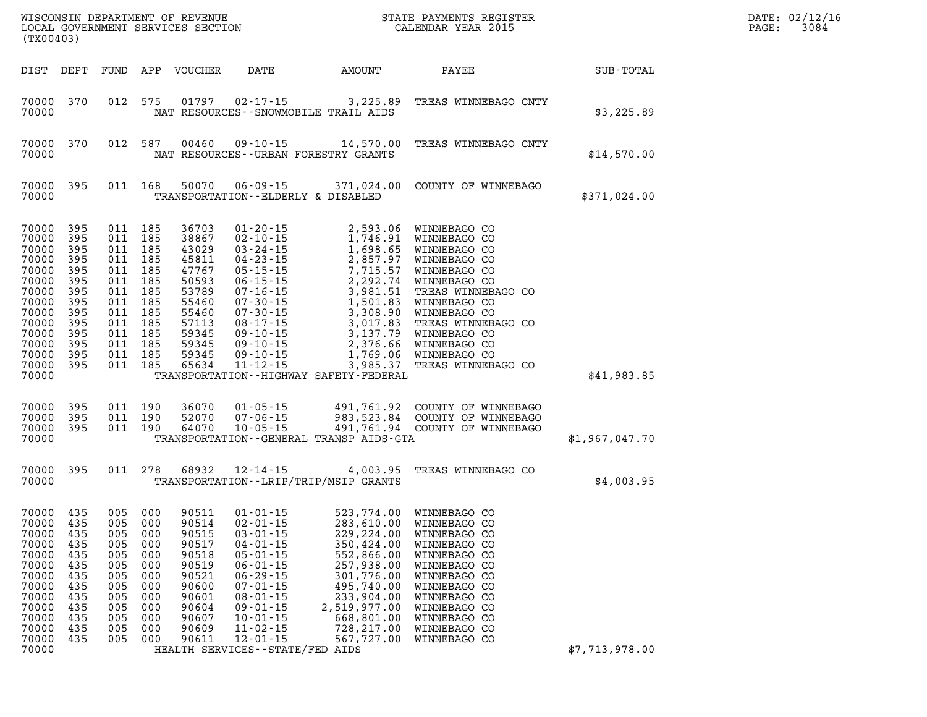| (TX00403)                                                                                                                           |                                                                                                |                                                                                                    |                                                                                         | WISCONSIN DEPARTMENT OF REVENUE<br>LOCAL GOVERNMENT SERVICES SECTION                                                       |                                                                                                                                                                                                                                                                              |                                                                                                                                                                                                         | STATE PAYMENTS REGISTER<br>CALENDAR YEAR 2015                                                                                                                                                                                                           |                | DATE: 02/12/16<br>3084<br>PAGE: |
|-------------------------------------------------------------------------------------------------------------------------------------|------------------------------------------------------------------------------------------------|----------------------------------------------------------------------------------------------------|-----------------------------------------------------------------------------------------|----------------------------------------------------------------------------------------------------------------------------|------------------------------------------------------------------------------------------------------------------------------------------------------------------------------------------------------------------------------------------------------------------------------|---------------------------------------------------------------------------------------------------------------------------------------------------------------------------------------------------------|---------------------------------------------------------------------------------------------------------------------------------------------------------------------------------------------------------------------------------------------------------|----------------|---------------------------------|
|                                                                                                                                     | DIST DEPT                                                                                      | FUND                                                                                               |                                                                                         | APP VOUCHER                                                                                                                | DATE                                                                                                                                                                                                                                                                         | AMOUNT                                                                                                                                                                                                  | PAYEE                                                                                                                                                                                                                                                   | SUB-TOTAL      |                                 |
| 70000<br>70000                                                                                                                      | 370                                                                                            | 012                                                                                                | 575                                                                                     | 01797                                                                                                                      | 02-17-15                                                                                                                                                                                                                                                                     | 3,225.89<br>NAT RESOURCES - - SNOWMOBILE TRAIL AIDS                                                                                                                                                     | TREAS WINNEBAGO CNTY                                                                                                                                                                                                                                    | \$3,225.89     |                                 |
| 70000<br>70000                                                                                                                      | 370                                                                                            | 012                                                                                                | 587                                                                                     | 00460                                                                                                                      | $09 - 10 - 15$                                                                                                                                                                                                                                                               | 14,570.00<br>NAT RESOURCES--URBAN FORESTRY GRANTS                                                                                                                                                       | TREAS WINNEBAGO CNTY                                                                                                                                                                                                                                    | \$14,570.00    |                                 |
| 70000<br>70000                                                                                                                      | 395                                                                                            | 011 168                                                                                            |                                                                                         | 50070                                                                                                                      | TRANSPORTATION - - ELDERLY & DISABLED                                                                                                                                                                                                                                        | $06 - 09 - 15$ 371,024.00                                                                                                                                                                               | COUNTY OF WINNEBAGO                                                                                                                                                                                                                                     | \$371,024.00   |                                 |
| 70000<br>70000<br>70000<br>70000<br>70000<br>70000<br>70000<br>70000<br>70000<br>70000<br>70000<br>70000<br>70000<br>70000<br>70000 | 395<br>395<br>395<br>395<br>395<br>395<br>395<br>395<br>395<br>395<br>395<br>395<br>395<br>395 | 011<br>011<br>011<br>011<br>011<br>011<br>011<br>011<br>011<br>011<br>011<br>011<br>011<br>011 185 | 185<br>185<br>185<br>185<br>185<br>185<br>185<br>185<br>185<br>185<br>185<br>185<br>185 | 36703<br>38867<br>43029<br>45811<br>47767<br>50593<br>53789<br>55460<br>55460<br>57113<br>59345<br>59345<br>59345<br>65634 | $01 - 20 - 15$<br>$02 - 10 - 15$<br>$03 - 24 - 15$<br>$04 - 23 - 15$<br>$05 - 15 - 15$<br>$06 - 15 - 15$<br>$07 - 16 - 15$<br>$07 - 30 - 15$<br>$07 - 30 - 15$<br>$08 - 17 - 15$<br>$09 - 10 - 15$<br>$09 - 10 - 15$<br>$09 - 10 - 15$<br>$11 - 12 - 15$                     | 2,593.06<br>1,746.91<br>1,698.65<br>2,857.97<br>7,715.57<br>2,292.74<br>3,981.51<br>1,501.83<br>3,308.90<br>3,017.83<br>3,137.79<br>2,376.66<br>3,985.37<br>TRANSPORTATION - - HIGHWAY SAFETY - FEDERAL | WINNEBAGO CO<br>WINNEBAGO CO<br>WINNEBAGO CO<br>WINNEBAGO CO<br>WINNEBAGO CO<br>WINNEBAGO CO<br>TREAS WINNEBAGO CO<br>WINNEBAGO CO<br>WINNEBAGO CO<br>TREAS WINNEBAGO CO<br>WINNEBAGO CO<br>WINNEBAGO CO<br>1,769.06 WINNEBAGO CO<br>TREAS WINNEBAGO CO | \$41,983.85    |                                 |
| 70000<br>70000<br>70000<br>70000                                                                                                    | 395<br>395<br>395                                                                              | 011 190<br>011<br>011 190                                                                          | 190                                                                                     | 36070<br>52070<br>64070                                                                                                    | $01 - 05 - 15$<br>$07 - 06 - 15$<br>$10 - 05 - 15$                                                                                                                                                                                                                           | TRANSPORTATION--GENERAL TRANSP AIDS-GTA                                                                                                                                                                 | 491,761.92 COUNTY OF WINNEBAGO<br>983, 523.84 COUNTY OF WINNEBAGO<br>491,761.94 COUNTY OF WINNEBAGO                                                                                                                                                     | \$1,967,047.70 |                                 |
| 70000<br>70000                                                                                                                      | 395                                                                                            | 011 278                                                                                            |                                                                                         | 68932                                                                                                                      | 12-14-15                                                                                                                                                                                                                                                                     | 4,003.95<br>TRANSPORTATION - - LRIP/TRIP/MSIP GRANTS                                                                                                                                                    | TREAS WINNEBAGO CO                                                                                                                                                                                                                                      | \$4,003.95     |                                 |
| 70000<br>70000<br>70000<br>70000<br>70000<br>70000<br>70000<br>70000<br>70000<br>70000<br>70000<br>70000<br>70000<br>70000          | 435<br>435<br>435<br>435<br>435<br>435<br>435<br>435<br>435<br>435<br>435<br>435<br>435        | 005 000<br>005<br>005<br>005<br>005<br>005<br>005<br>005<br>005<br>005<br>005<br>005<br>005        | 000<br>000<br>000<br>000<br>000<br>000<br>000<br>000<br>000<br>000<br>000<br>000        | 90511<br>90514<br>90515<br>90517<br>90518<br>90519<br>90521<br>90600<br>90601<br>90604<br>90607<br>90609<br>90611          | $01 - 01 - 15$<br>$02 - 01 - 15$<br>$03 - 01 - 15$<br>$04 - 01 - 15$<br>$05 - 01 - 15$<br>$06 - 01 - 15$<br>$06 - 29 - 15$<br>$07 - 01 - 15$<br>$08 - 01 - 15$<br>$09 - 01 - 15$<br>$10 - 01 - 15$<br>$11 - 02 - 15$<br>$12 - 01 - 15$<br>HEALTH SERVICES - - STATE/FED AIDS | 523,774.00<br>283,610.00<br>229, 224.00<br>350,424.00<br>552,866.00<br>257,938.00<br>301,776.00<br>495,740.00<br>233,904.00<br>2,519,977.00<br>668,801.00<br>728,217.00<br>567,727.00                   | WINNEBAGO CO<br>WINNEBAGO CO<br>WINNEBAGO CO<br>WINNEBAGO CO<br>WINNEBAGO CO<br>WINNEBAGO CO<br>WINNEBAGO CO<br>WINNEBAGO CO<br>WINNEBAGO CO<br>WINNEBAGO CO<br>WINNEBAGO CO<br>WINNEBAGO CO<br>WINNEBAGO CO                                            | \$7,713,978.00 |                                 |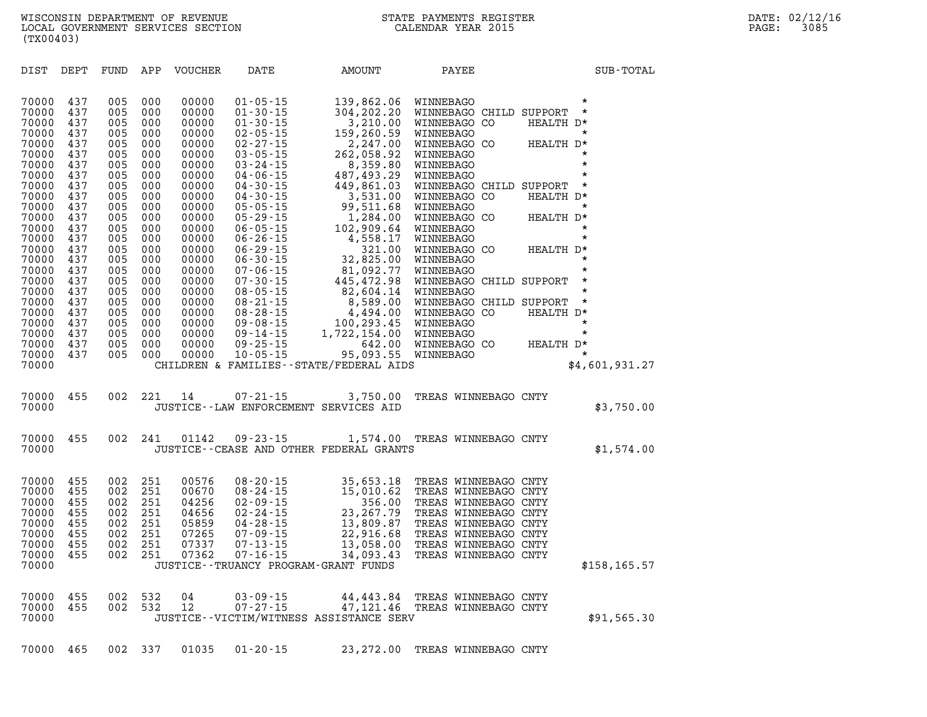| DIST                             | DEPT                     | FUND                     | APP                      | <b>VOUCHER</b>                   | DATE                                                                 | AMOUNT                                                                         | PAYEE                                                                                        |                                              | SUB-TOTAL      |
|----------------------------------|--------------------------|--------------------------|--------------------------|----------------------------------|----------------------------------------------------------------------|--------------------------------------------------------------------------------|----------------------------------------------------------------------------------------------|----------------------------------------------|----------------|
| 70000<br>70000                   | 437<br>437               | 005<br>005               | 000<br>000               | 00000<br>00000                   | $01 - 05 - 15$<br>$01 - 30 - 15$                                     | 139,862.06<br>304,202.20                                                       | WINNEBAGO<br>WINNEBAGO CHILD SUPPORT                                                         | $\star$<br>$\star$                           |                |
| 70000<br>70000<br>70000<br>70000 | 437<br>437<br>437<br>437 | 005<br>005<br>005<br>005 | 000<br>000<br>000        | 00000<br>00000<br>00000          | $01 - 30 - 15$<br>$02 - 05 - 15$<br>$02 - 27 - 15$                   | 3,210.00<br>159,260.59<br>2,247.00                                             | WINNEBAGO CO<br>WINNEBAGO<br>WINNEBAGO CO                                                    | HEALTH D*<br>$\star$<br>HEALTH D*<br>$\star$ |                |
| 70000<br>70000<br>70000          | 437<br>437<br>437        | 005<br>005<br>005        | 000<br>000<br>000<br>000 | 00000<br>00000<br>00000<br>00000 | $03 - 05 - 15$<br>$03 - 24 - 15$<br>$04 - 06 - 15$<br>$04 - 30 - 15$ | 262,058.92<br>8,359.80<br>487,493.29<br>449,861.03                             | WINNEBAGO<br>WINNEBAGO<br>WINNEBAGO<br>WINNEBAGO CHILD SUPPORT                               | $\star$<br>$\star$<br>$\star$                |                |
| 70000<br>70000<br>70000          | 437<br>437<br>437        | 005<br>005<br>005        | 000<br>000<br>000        | 00000<br>00000<br>00000          | $04 - 30 - 15$<br>$05 - 05 - 15$<br>$05 - 29 - 15$                   | 3,531.00<br>99,511.68<br>1,284.00                                              | WINNEBAGO CO<br>WINNEBAGO<br>WINNEBAGO CO                                                    | HEALTH D*<br>$\star$<br>HEALTH D*            |                |
| 70000<br>70000<br>70000<br>70000 | 437<br>437<br>437<br>437 | 005<br>005<br>005        | 000<br>000<br>000<br>000 | 00000<br>00000<br>00000<br>00000 | $06 - 05 - 15$<br>$06 - 26 - 15$<br>$06 - 29 - 15$<br>$06 - 30 - 15$ | 102,909.64<br>4,558.17<br>321.00<br>32,825.00                                  | WINNEBAGO<br>WINNEBAGO<br>WINNEBAGO CO<br>WINNEBAGO                                          | $\star$<br>$\star$<br>HEALTH D*<br>$\star$   |                |
| 70000<br>70000<br>70000          | 437<br>437<br>437        | 005<br>005<br>005<br>005 | 000<br>000<br>000        | 00000<br>00000<br>00000          | $07 - 06 - 15$<br>$07 - 30 - 15$<br>$08 - 05 - 15$                   | 81,092.77<br>445,472.98<br>82,604.14                                           | WINNEBAGO<br>WINNEBAGO CHILD SUPPORT<br>WINNEBAGO                                            | $\star$<br>$\star$<br>$\star$                |                |
| 70000<br>70000<br>70000          | 437<br>437<br>437        | 005<br>005<br>005        | 000<br>000<br>000        | 00000<br>00000<br>00000          | $08 - 21 - 15$<br>$08 - 28 - 15$<br>$09 - 08 - 15$                   | 8,589.00<br>4,494.00<br>100,293.45                                             | WINNEBAGO CHILD SUPPORT<br>WINNEBAGO CO<br>WINNEBAGO                                         | $\star$<br>HEALTH D*<br>$\star$              |                |
| 70000<br>70000<br>70000<br>70000 | 437<br>437<br>437        | 005<br>005<br>005        | 000<br>000<br>000        | 00000<br>00000<br>00000          | $09 - 14 - 15$<br>$09 - 25 - 15$<br>$10 - 05 - 15$                   | 1,722,154.00<br>642.00<br>95,093.55<br>CHILDREN & FAMILIES--STATE/FEDERAL AIDS | WINNEBAGO<br>WINNEBAGO CO<br>WINNEBAGO                                                       | $\star$<br>HEALTH D*<br>$\star$              | \$4,601,931.27 |
| 70000                            | 455                      | 002                      | 221                      | 14                               | 07-21-15                                                             | 3,750.00                                                                       | TREAS WINNEBAGO CNTY                                                                         |                                              |                |
| 70000<br>70000                   | 455                      | 002                      | 241                      | 01142                            | $09 - 23 - 15$                                                       | JUSTICE--LAW ENFORCEMENT SERVICES AID                                          | TREAS WINNEBAGO CNTY                                                                         |                                              | \$3,750.00     |
| 70000                            |                          |                          |                          |                                  |                                                                      | 1,574.00<br>JUSTICE--CEASE AND OTHER FEDERAL GRANTS                            |                                                                                              |                                              | \$1,574.00     |
| 70000<br>70000<br>70000          | 455<br>455<br>455        | 002<br>002<br>002        | 251<br>251<br>251        | 00576<br>00670<br>04256          | $08 - 20 - 15$<br>$08 - 24 - 15$<br>$02 - 09 - 15$                   | 35,653.18<br>15,010.62<br>356.00                                               | TREAS WINNEBAGO CNTY<br>TREAS WINNEBAGO CNTY<br>TREAS WINNEBAGO CNTY                         |                                              |                |
| 70000<br>70000<br>70000<br>70000 | 455<br>455<br>455<br>455 | 002<br>002<br>002<br>002 | 251<br>251<br>251<br>251 | 04656<br>05859<br>07265<br>07337 | $02 - 24 - 15$<br>$04 - 28 - 15$<br>$07 - 09 - 15$<br>$07 - 13 - 15$ | 23, 267.79<br>13,809.87<br>22,916.68<br>13,058.00                              | TREAS WINNEBAGO CNTY<br>TREAS WINNEBAGO CNTY<br>TREAS WINNEBAGO CNTY<br>TREAS WINNEBAGO CNTY |                                              |                |
| 70000<br>70000                   | 455                      | 002                      | 251                      | 07362                            | $07 - 16 - 15$                                                       | 34,093.43<br>JUSTICE - - TRUANCY PROGRAM - GRANT FUNDS                         | TREAS WINNEBAGO CNTY                                                                         |                                              | \$158,165.57   |
| 70000<br>70000<br>70000          | 455<br>455               | 002<br>002               | 532<br>532               | 04<br>12                         | $03 - 09 - 15$<br>$07 - 27 - 15$                                     | 44,443.84<br>47, 121.46<br>JUSTICE--VICTIM/WITNESS ASSISTANCE SERV             | TREAS WINNEBAGO CNTY<br>TREAS WINNEBAGO CNTY                                                 |                                              | \$91,565.30    |
| 70000                            | 465                      | 002                      | 337                      | 01035                            | $01 - 20 - 15$                                                       | 23, 272.00                                                                     | TREAS WINNEBAGO CNTY                                                                         |                                              |                |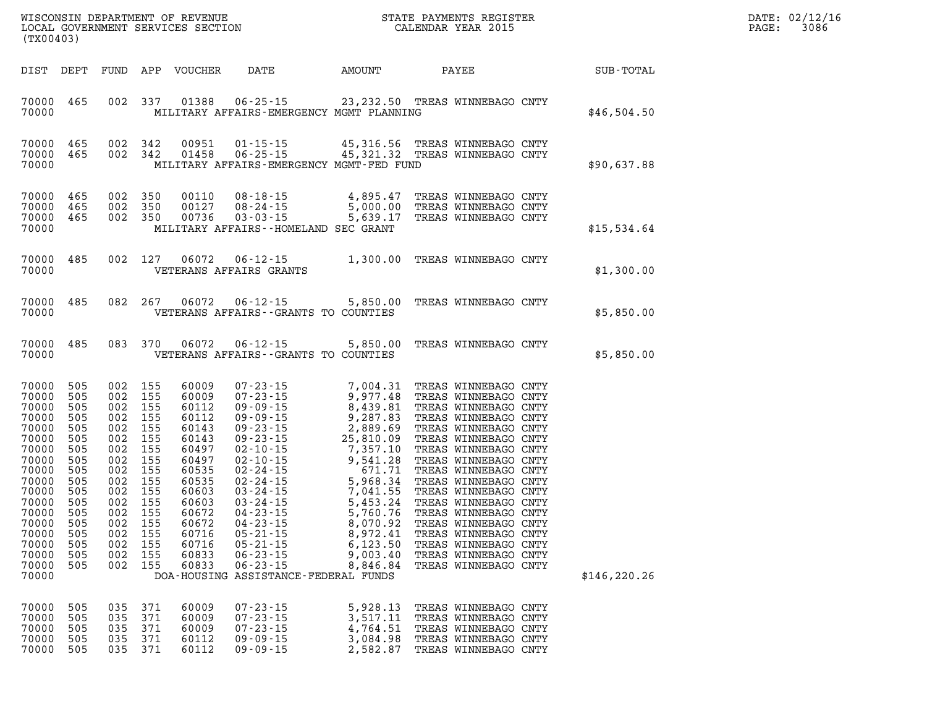| PAGE: | DATE: 02/12/16<br>3086 |
|-------|------------------------|
|       |                        |

| (TX00403)                                                                                                                                                                                                                                                                                             |                                                                                                                            |                                                                                                                                                                                                                                                                                              |                                                                                                                                                                                                                                                                                                                                                                          |                                                                                                                                                                                                                      |                                                                                                                                                                                                                                                                                                                                                                                                                                              |               |
|-------------------------------------------------------------------------------------------------------------------------------------------------------------------------------------------------------------------------------------------------------------------------------------------------------|----------------------------------------------------------------------------------------------------------------------------|----------------------------------------------------------------------------------------------------------------------------------------------------------------------------------------------------------------------------------------------------------------------------------------------|--------------------------------------------------------------------------------------------------------------------------------------------------------------------------------------------------------------------------------------------------------------------------------------------------------------------------------------------------------------------------|----------------------------------------------------------------------------------------------------------------------------------------------------------------------------------------------------------------------|----------------------------------------------------------------------------------------------------------------------------------------------------------------------------------------------------------------------------------------------------------------------------------------------------------------------------------------------------------------------------------------------------------------------------------------------|---------------|
| DIST<br>DEPT                                                                                                                                                                                                                                                                                          | FUND                                                                                                                       | APP<br>VOUCHER                                                                                                                                                                                                                                                                               | DATE                                                                                                                                                                                                                                                                                                                                                                     | AMOUNT                                                                                                                                                                                                               | PAYEE                                                                                                                                                                                                                                                                                                                                                                                                                                        | SUB-TOTAL     |
| 70000<br>465<br>70000                                                                                                                                                                                                                                                                                 | 002                                                                                                                        | 337<br>01388                                                                                                                                                                                                                                                                                 | $06 - 25 - 15$                                                                                                                                                                                                                                                                                                                                                           | MILITARY AFFAIRS-EMERGENCY MGMT PLANNING                                                                                                                                                                             | 23, 232.50 TREAS WINNEBAGO CNTY                                                                                                                                                                                                                                                                                                                                                                                                              | \$46,504.50   |
| 465<br>70000<br>70000<br>465<br>70000                                                                                                                                                                                                                                                                 | 002<br>002                                                                                                                 | 342<br>00951<br>01458<br>342                                                                                                                                                                                                                                                                 | $01 - 15 - 15$<br>$06 - 25 - 15$                                                                                                                                                                                                                                                                                                                                         | 45,316.56<br>MILITARY AFFAIRS-EMERGENCY MGMT-FED FUND                                                                                                                                                                | TREAS WINNEBAGO CNTY<br>45,321.32 TREAS WINNEBAGO CNTY                                                                                                                                                                                                                                                                                                                                                                                       | \$90,637.88   |
| 70000<br>465<br>70000<br>465<br>70000<br>465<br>70000                                                                                                                                                                                                                                                 | 002<br>002<br>002                                                                                                          | 350<br>00110<br>350<br>00127<br>350<br>00736                                                                                                                                                                                                                                                 | $08 - 18 - 15$<br>$08 - 24 - 15$<br>$03 - 03 - 15$<br>MILITARY AFFAIRS -- HOMELAND SEC GRANT                                                                                                                                                                                                                                                                             | 4,895.47<br>5,000.00<br>5,639.17                                                                                                                                                                                     | TREAS WINNEBAGO CNTY<br>TREAS WINNEBAGO CNTY<br>TREAS WINNEBAGO CNTY                                                                                                                                                                                                                                                                                                                                                                         | \$15,534.64   |
| 70000<br>485<br>70000                                                                                                                                                                                                                                                                                 | 002                                                                                                                        | 127<br>06072                                                                                                                                                                                                                                                                                 | $06 - 12 - 15$<br>VETERANS AFFAIRS GRANTS                                                                                                                                                                                                                                                                                                                                | 1,300.00                                                                                                                                                                                                             | TREAS WINNEBAGO CNTY                                                                                                                                                                                                                                                                                                                                                                                                                         | \$1,300.00    |
| 70000<br>485<br>70000                                                                                                                                                                                                                                                                                 | 082                                                                                                                        | 267<br>06072                                                                                                                                                                                                                                                                                 | $06 - 12 - 15$<br>VETERANS AFFAIRS -- GRANTS TO COUNTIES                                                                                                                                                                                                                                                                                                                 | 5,850.00                                                                                                                                                                                                             | TREAS WINNEBAGO CNTY                                                                                                                                                                                                                                                                                                                                                                                                                         | \$5,850.00    |
| 70000<br>485<br>70000                                                                                                                                                                                                                                                                                 | 083                                                                                                                        | 06072<br>370                                                                                                                                                                                                                                                                                 | $06 - 12 - 15$<br>VETERANS AFFAIRS -- GRANTS TO COUNTIES                                                                                                                                                                                                                                                                                                                 | 5,850.00                                                                                                                                                                                                             | TREAS WINNEBAGO CNTY                                                                                                                                                                                                                                                                                                                                                                                                                         | \$5,850.00    |
| 70000<br>505<br>70000<br>505<br>70000<br>505<br>70000<br>505<br>70000<br>505<br>70000<br>505<br>70000<br>505<br>70000<br>505<br>70000<br>505<br>70000<br>505<br>70000<br>505<br>70000<br>505<br>70000<br>505<br>70000<br>505<br>70000<br>505<br>70000<br>505<br>70000<br>505<br>70000<br>505<br>70000 | 002<br>002<br>002<br>002<br>002<br>002<br>002<br>002<br>002<br>002<br>002<br>002<br>002<br>002<br>002<br>002<br>002<br>002 | 155<br>60009<br>155<br>60009<br>155<br>60112<br>155<br>60112<br>155<br>60143<br>155<br>60143<br>155<br>60497<br>155<br>60497<br>155<br>60535<br>155<br>60535<br>155<br>60603<br>155<br>60603<br>155<br>60672<br>155<br>60672<br>155<br>60716<br>155<br>60716<br>155<br>60833<br>155<br>60833 | $07 - 23 - 15$<br>$07 - 23 - 15$<br>$09 - 09 - 15$<br>$09 - 09 - 15$<br>$09 - 23 - 15$<br>$09 - 23 - 15$<br>$02 - 10 - 15$<br>$02 - 10 - 15$<br>$02 - 24 - 15$<br>$02 - 24 - 15$<br>$03 - 24 - 15$<br>$03 - 24 - 15$<br>$04 - 23 - 15$<br>$04 - 23 - 15$<br>$05 - 21 - 15$<br>$05 - 21 - 15$<br>$06 - 23 - 15$<br>$06 - 23 - 15$<br>DOA-HOUSING ASSISTANCE-FEDERAL FUNDS | 7,004.31<br>9,977.48<br>8,439.81<br>9,287.83<br>2,889.69<br>25,810.09<br>7,357.10<br>9,541.28<br>671.71<br>5,968.34<br>7,041.55<br>5,453.24<br>5,760.76<br>8,070.92<br>8,972.41<br>6, 123.50<br>9,003.40<br>8,846.84 | TREAS WINNEBAGO CNTY<br>TREAS WINNEBAGO CNTY<br>TREAS WINNEBAGO CNTY<br>TREAS WINNEBAGO CNTY<br>TREAS WINNEBAGO CNTY<br>TREAS WINNEBAGO CNTY<br>TREAS WINNEBAGO CNTY<br>TREAS WINNEBAGO CNTY<br>TREAS WINNEBAGO CNTY<br>TREAS WINNEBAGO CNTY<br>TREAS WINNEBAGO CNTY<br>TREAS WINNEBAGO CNTY<br>TREAS WINNEBAGO CNTY<br>TREAS WINNEBAGO CNTY<br>TREAS WINNEBAGO CNTY<br>TREAS WINNEBAGO CNTY<br>TREAS WINNEBAGO CNTY<br>TREAS WINNEBAGO CNTY | \$146, 220.26 |
| 70000<br>505<br>70000<br>505<br>70000<br>505<br>70000<br>505<br>70000<br>505                                                                                                                                                                                                                          | 035<br>035<br>035<br>035<br>035                                                                                            | 60009<br>371<br>371<br>60009<br>371<br>60009<br>371<br>60112<br>371<br>60112                                                                                                                                                                                                                 | $07 - 23 - 15$<br>$07 - 23 - 15$<br>$07 - 23 - 15$<br>$09 - 09 - 15$<br>$09 - 09 - 15$                                                                                                                                                                                                                                                                                   | 5,928.13<br>3,517.11<br>4,764.51<br>3,084.98<br>2,582.87                                                                                                                                                             | TREAS WINNEBAGO CNTY<br>TREAS WINNEBAGO CNTY<br>TREAS WINNEBAGO CNTY<br>TREAS WINNEBAGO CNTY<br>TREAS WINNEBAGO CNTY                                                                                                                                                                                                                                                                                                                         |               |

WISCONSIN DEPARTMENT OF REVENUE STATE STATE PAYMENTS REGISTER LOCAL GOVERNMENT SERVICES SECTION

LOCAL GOVERNMENT SERVICES SECTION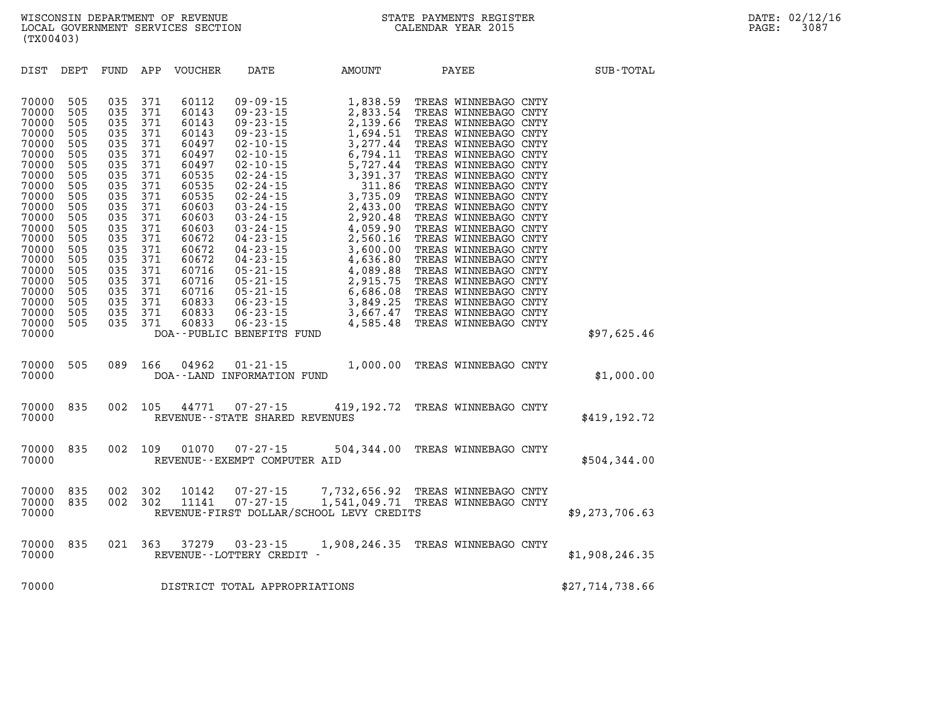| DIST                                                                                                                                                                                                        | DEPT                                                                                                                                                   | FUND                                                                                                                                                   | APP                                                                                                                                                    | VOUCHER                                                                                                                                                                                            | DATE                                                                                                                                                                                                                                                                                                                                                                                                                                  | AMOUNT                                                                                                                                                                                                                                                             | PAYEE                                                                                                                                                                                                                                                                                                                                                                                                                                                                                                                                        | SUB-TOTAL       |  |
|-------------------------------------------------------------------------------------------------------------------------------------------------------------------------------------------------------------|--------------------------------------------------------------------------------------------------------------------------------------------------------|--------------------------------------------------------------------------------------------------------------------------------------------------------|--------------------------------------------------------------------------------------------------------------------------------------------------------|----------------------------------------------------------------------------------------------------------------------------------------------------------------------------------------------------|---------------------------------------------------------------------------------------------------------------------------------------------------------------------------------------------------------------------------------------------------------------------------------------------------------------------------------------------------------------------------------------------------------------------------------------|--------------------------------------------------------------------------------------------------------------------------------------------------------------------------------------------------------------------------------------------------------------------|----------------------------------------------------------------------------------------------------------------------------------------------------------------------------------------------------------------------------------------------------------------------------------------------------------------------------------------------------------------------------------------------------------------------------------------------------------------------------------------------------------------------------------------------|-----------------|--|
| 70000<br>70000<br>70000<br>70000<br>70000<br>70000<br>70000<br>70000<br>70000<br>70000<br>70000<br>70000<br>70000<br>70000<br>70000<br>70000<br>70000<br>70000<br>70000<br>70000<br>70000<br>70000<br>70000 | 505<br>505<br>505<br>505<br>505<br>505<br>505<br>505<br>505<br>505<br>505<br>505<br>505<br>505<br>505<br>505<br>505<br>505<br>505<br>505<br>505<br>505 | 035<br>035<br>035<br>035<br>035<br>035<br>035<br>035<br>035<br>035<br>035<br>035<br>035<br>035<br>035<br>035<br>035<br>035<br>035<br>035<br>035<br>035 | 371<br>371<br>371<br>371<br>371<br>371<br>371<br>371<br>371<br>371<br>371<br>371<br>371<br>371<br>371<br>371<br>371<br>371<br>371<br>371<br>371<br>371 | 60112<br>60143<br>60143<br>60143<br>60497<br>60497<br>60497<br>60535<br>60535<br>60535<br>60603<br>60603<br>60603<br>60672<br>60672<br>60672<br>60716<br>60716<br>60716<br>60833<br>60833<br>60833 | $09 - 09 - 15$<br>$09 - 23 - 15$<br>$09 - 23 - 15$<br>$09 - 23 - 15$<br>$02 - 10 - 15$<br>$02 - 10 - 15$<br>$02 - 10 - 15$<br>$02 - 24 - 15$<br>$02 - 24 - 15$<br>$02 - 24 - 15$<br>$03 - 24 - 15$<br>$03 - 24 - 15$<br>$03 - 24 - 15$<br>$04 - 23 - 15$<br>$04 - 23 - 15$<br>$04 - 23 - 15$<br>$05 - 21 - 15$<br>$05 - 21 - 15$<br>$05 - 21 - 15$<br>$06 - 23 - 15$<br>$06 - 23 - 15$<br>$06 - 23 - 15$<br>DOA--PUBLIC BENEFITS FUND | 1,838.59<br>2,833.54<br>2,139.66<br>1,694.51<br>3,277.44<br>6,794.11<br>5,727.44<br>3,391.37<br>311.86<br>3,735.09<br>2,433.00<br>2,920.48<br>4,059.90<br>2,560.16<br>3,600.00<br>4,636.80<br>4,089.88<br>2,915.75<br>6,686.08<br>3,849.25<br>3,667.47<br>4,585.48 | TREAS WINNEBAGO CNTY<br>TREAS WINNEBAGO CNTY<br>TREAS WINNEBAGO CNTY<br>TREAS WINNEBAGO CNTY<br>TREAS WINNEBAGO CNTY<br>TREAS WINNEBAGO CNTY<br>TREAS WINNEBAGO CNTY<br>TREAS WINNEBAGO CNTY<br>TREAS WINNEBAGO CNTY<br>TREAS WINNEBAGO CNTY<br>TREAS WINNEBAGO CNTY<br>TREAS WINNEBAGO CNTY<br>TREAS WINNEBAGO CNTY<br>TREAS WINNEBAGO CNTY<br>TREAS WINNEBAGO CNTY<br>TREAS WINNEBAGO CNTY<br>TREAS WINNEBAGO CNTY<br>TREAS WINNEBAGO CNTY<br>TREAS WINNEBAGO CNTY<br>TREAS WINNEBAGO CNTY<br>TREAS WINNEBAGO CNTY<br>TREAS WINNEBAGO CNTY | \$97,625.46     |  |
| 70000<br>70000                                                                                                                                                                                              | 505                                                                                                                                                    | 089                                                                                                                                                    | 166                                                                                                                                                    | 04962                                                                                                                                                                                              | $01 - 21 - 15$<br>DOA--LAND INFORMATION FUND                                                                                                                                                                                                                                                                                                                                                                                          | 1,000.00                                                                                                                                                                                                                                                           | TREAS WINNEBAGO CNTY                                                                                                                                                                                                                                                                                                                                                                                                                                                                                                                         | \$1,000.00      |  |
| 70000<br>70000                                                                                                                                                                                              | 835                                                                                                                                                    | 002                                                                                                                                                    | 105                                                                                                                                                    | 44771                                                                                                                                                                                              | $07 - 27 - 15$<br>REVENUE - - STATE SHARED REVENUES                                                                                                                                                                                                                                                                                                                                                                                   | 419,192.72                                                                                                                                                                                                                                                         | TREAS WINNEBAGO CNTY                                                                                                                                                                                                                                                                                                                                                                                                                                                                                                                         | \$419,192.72    |  |
| 70000<br>70000                                                                                                                                                                                              | 835                                                                                                                                                    | 002                                                                                                                                                    | 109                                                                                                                                                    | 01070                                                                                                                                                                                              | $07 - 27 - 15$<br>REVENUE--EXEMPT COMPUTER AID                                                                                                                                                                                                                                                                                                                                                                                        | 504,344.00                                                                                                                                                                                                                                                         | TREAS WINNEBAGO CNTY                                                                                                                                                                                                                                                                                                                                                                                                                                                                                                                         | \$504,344.00    |  |
| 70000<br>70000<br>70000                                                                                                                                                                                     | 835<br>835                                                                                                                                             | 002<br>002                                                                                                                                             | 302<br>302                                                                                                                                             | 10142<br>11141                                                                                                                                                                                     | $07 - 27 - 15$<br>$07 - 27 - 15$                                                                                                                                                                                                                                                                                                                                                                                                      | 7,732,656.92<br>1,541,049.71<br>REVENUE-FIRST DOLLAR/SCHOOL LEVY CREDITS                                                                                                                                                                                           | TREAS WINNEBAGO CNTY<br>TREAS WINNEBAGO CNTY                                                                                                                                                                                                                                                                                                                                                                                                                                                                                                 | \$9,273,706.63  |  |
| 70000<br>70000                                                                                                                                                                                              | 835                                                                                                                                                    | 021                                                                                                                                                    | 363                                                                                                                                                    | 37279                                                                                                                                                                                              | $03 - 23 - 15$<br>REVENUE--LOTTERY CREDIT -                                                                                                                                                                                                                                                                                                                                                                                           | 1,908,246.35                                                                                                                                                                                                                                                       | TREAS WINNEBAGO CNTY                                                                                                                                                                                                                                                                                                                                                                                                                                                                                                                         | \$1,908,246.35  |  |
| 70000                                                                                                                                                                                                       |                                                                                                                                                        |                                                                                                                                                        |                                                                                                                                                        |                                                                                                                                                                                                    | DISTRICT TOTAL APPROPRIATIONS                                                                                                                                                                                                                                                                                                                                                                                                         |                                                                                                                                                                                                                                                                    |                                                                                                                                                                                                                                                                                                                                                                                                                                                                                                                                              | \$27,714,738.66 |  |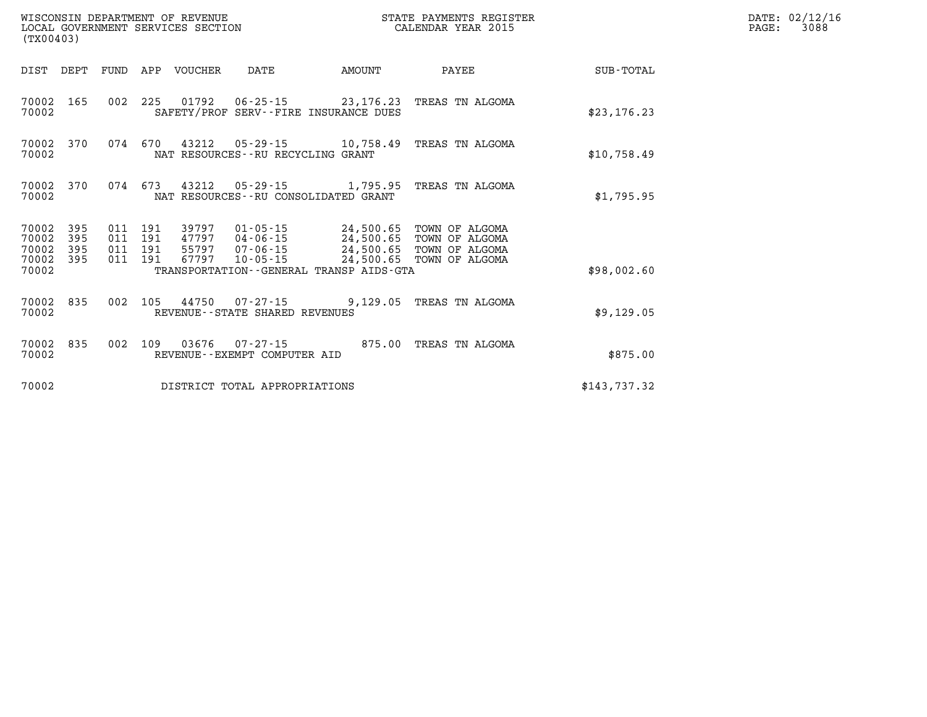| (TX00403)               |                   |                               |     |                            | WINCONSIN DEFARTMENT OF REVENUE<br>LOCAL GOVERNMENT SERVICES SECTION<br>(TX00403)          | STATE PAYMENTS REGISTER<br>CALENDAR YEAR 2015 |                                             |              | DATE: 02/12/16<br>3088<br>$\mathtt{PAGE:}$ |
|-------------------------|-------------------|-------------------------------|-----|----------------------------|--------------------------------------------------------------------------------------------|-----------------------------------------------|---------------------------------------------|--------------|--------------------------------------------|
|                         |                   |                               |     | DIST DEPT FUND APP VOUCHER | DATE                                                                                       | AMOUNT                                        | PAYEE                                       | SUB-TOTAL    |                                            |
| 70002 165<br>70002      |                   | 002                           | 225 |                            | SAFETY/PROF SERV--FIRE INSURANCE DUES                                                      |                                               |                                             | \$23, 176.23 |                                            |
| 70002 370<br>70002      |                   | 074 670                       |     |                            | NAT RESOURCES - - RU RECYCLING GRANT                                                       |                                               |                                             | \$10,758.49  |                                            |
| 70002 370<br>70002      |                   | 074 673                       |     |                            | NAT RESOURCES - - RU CONSOLIDATED GRANT                                                    |                                               | 43212  05-29-15  1,795.95  TREAS TN ALGOMA  | \$1,795.95   |                                            |
| 70002<br>70002<br>70002 | 395<br>395<br>395 | 011 191<br>011 191<br>011 191 |     | 67797                      | 39797  01-05-15  24,500.65  TOWN OF ALGOMA<br>47797  04-06-15  24,500.65<br>55797 07-06-15 | 24,500.65                                     | TOWN OF ALGOMA<br>TOWN OF ALGOMA            |              |                                            |
| 70002 395<br>70002      |                   | 011 191                       |     |                            | 10-05-15<br>TRANSPORTATION--GENERAL TRANSP AIDS-GTA                                        |                                               | 24,500.65 TOWN OF ALGOMA                    | \$98,002.60  |                                            |
| 70002 835<br>70002      |                   | 002                           |     |                            | REVENUE - - STATE SHARED REVENUES                                                          |                                               | 105 44750 07-27-15 9,129.05 TREAS TN ALGOMA | \$9,129.05   |                                            |
| 70002<br>70002          | 835               | 002                           | 109 |                            | 03676 07-27-15<br>REVENUE--EXEMPT COMPUTER AID                                             |                                               | 875.00 TREAS TN ALGOMA                      | \$875.00     |                                            |
| 70002                   |                   |                               |     |                            | DISTRICT TOTAL APPROPRIATIONS                                                              |                                               |                                             | \$143,737.32 |                                            |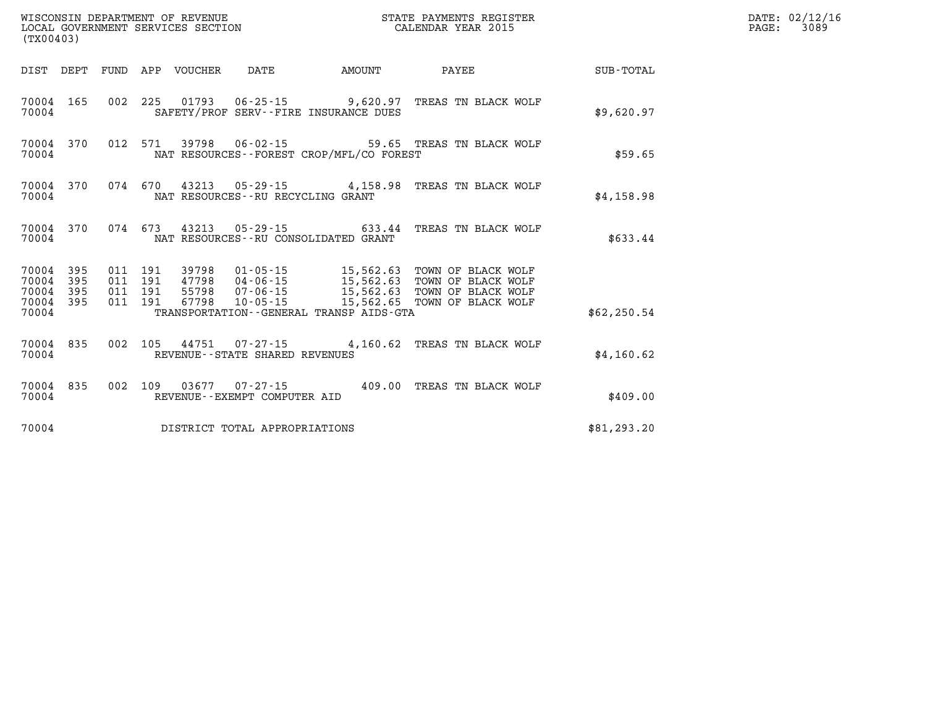| (TX00403)                                |            |                                          | WISCONSIN DEPARTMENT OF REVENUE<br>LOCAL GOVERNMENT SERVICES SECTION |                                      |                                                                       | STATE PAYMENTS REGISTER<br>CALENDAR YEAR 2015                                                                                                          | DATE: 02/12/16<br>$\mathtt{PAGE}$ : |  |  |  |
|------------------------------------------|------------|------------------------------------------|----------------------------------------------------------------------|--------------------------------------|-----------------------------------------------------------------------|--------------------------------------------------------------------------------------------------------------------------------------------------------|-------------------------------------|--|--|--|
|                                          |            |                                          | DIST DEPT FUND APP VOUCHER                                           | DATE                                 | AMOUNT                                                                | PAYEE                                                                                                                                                  | SUB-TOTAL                           |  |  |  |
| 70004 165<br>70004                       |            |                                          |                                                                      |                                      | SAFETY/PROF SERV--FIRE INSURANCE DUES                                 | 002 225 01793 06-25-15 9,620.97 TREAS TN BLACK WOLF                                                                                                    | \$9,620.97                          |  |  |  |
| 70004 370<br>70004                       |            | 012 571                                  |                                                                      |                                      | NAT RESOURCES - - FOREST CROP/MFL/CO FOREST                           | 39798  06-02-15  59.65  TREAS TN BLACK WOLF                                                                                                            | \$59.65                             |  |  |  |
| 70004 370<br>70004                       |            |                                          |                                                                      | NAT RESOURCES - - RU RECYCLING GRANT |                                                                       | 074 670 43213 05-29-15 4,158.98 TREAS TN BLACK WOLF                                                                                                    | \$4,158.98                          |  |  |  |
| 70004 370<br>70004                       |            |                                          |                                                                      |                                      | 074 673 43213 05-29-15 633.44<br>NAT RESOURCES--RU CONSOLIDATED GRANT | TREAS TN BLACK WOLF                                                                                                                                    | \$633.44                            |  |  |  |
| 70004 395<br>70004<br>70004<br>70004 395 | 395<br>395 | 011 191<br>011 191<br>011 191<br>011 191 | 67798                                                                | 10-05-15                             | 47798  04-06-15  15,562.63                                            | 39798  01-05-15  15,562.63  TOWN OF BLACK WOLF<br>TOWN OF BLACK WOLF<br>55798  07-06-15  15,562.63  TOWN OF BLACK WOLF<br>15,562.65 TOWN OF BLACK WOLF |                                     |  |  |  |
| 70004                                    |            |                                          |                                                                      |                                      | TRANSPORTATION - - GENERAL TRANSP AIDS - GTA                          |                                                                                                                                                        | \$62, 250.54                        |  |  |  |
| 70004 835<br>70004                       |            |                                          |                                                                      | REVENUE - - STATE SHARED REVENUES    |                                                                       | 002 105 44751 07-27-15 4,160.62 TREAS TN BLACK WOLF                                                                                                    | \$4,160.62                          |  |  |  |
| 70004 835<br>70004                       |            |                                          |                                                                      | REVENUE--EXEMPT COMPUTER AID         |                                                                       | 002 109 03677 07-27-15 409.00 TREAS TN BLACK WOLF                                                                                                      | \$409.00                            |  |  |  |
| 70004                                    |            |                                          |                                                                      | DISTRICT TOTAL APPROPRIATIONS        |                                                                       |                                                                                                                                                        | \$81, 293.20                        |  |  |  |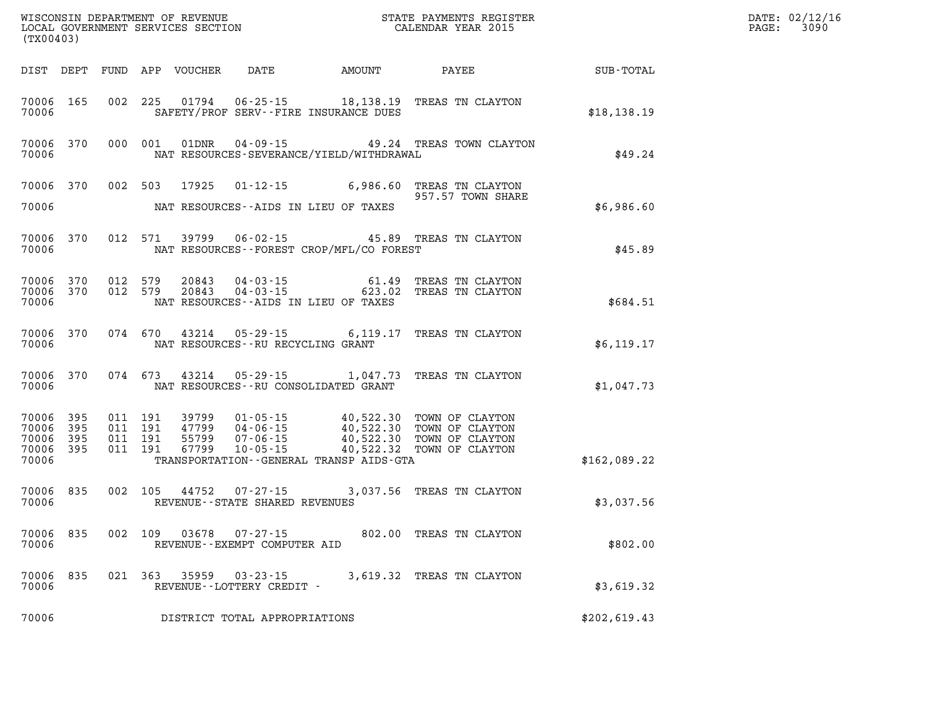| WISCONSIN DEPARTMENT OF REVENUE<br>LOCAL GOVERNMENT SERVICES SECTION<br>(TX00403) |              |                               |         |                         |                                                  |                                                 | STATE PAYMENTS REGISTER<br>CALENDAR YEAR 2015                                                         |              | DATE: 02/12/16<br>PAGE: 3090 |
|-----------------------------------------------------------------------------------|--------------|-------------------------------|---------|-------------------------|--------------------------------------------------|-------------------------------------------------|-------------------------------------------------------------------------------------------------------|--------------|------------------------------|
| DIST DEPT                                                                         |              |                               |         | FUND APP VOUCHER        |                                                  | DATE AMOUNT PAYEE                               |                                                                                                       | SUB-TOTAL    |                              |
| 70006 165<br>70006                                                                |              | 002                           | 225     | 01794                   |                                                  | SAFETY/PROF SERV--FIRE INSURANCE DUES           | 06-25-15 18,138.19 TREAS TN CLAYTON                                                                   | \$18,138.19  |                              |
| 70006 370<br>70006                                                                |              |                               | 000 001 | 01DNR                   | 04-09-15                                         | NAT RESOURCES-SEVERANCE/YIELD/WITHDRAWAL        | 49.24 TREAS TOWN CLAYTON                                                                              | \$49.24      |                              |
| 70006 370                                                                         |              | 002 503                       |         | 17925                   |                                                  |                                                 | 01-12-15 6,986.60 TREAS TN CLAYTON<br>957.57 TOWN SHARE                                               |              |                              |
| 70006                                                                             |              |                               |         |                         |                                                  | NAT RESOURCES--AIDS IN LIEU OF TAXES            |                                                                                                       | \$6,986.60   |                              |
| 70006 370<br>70006                                                                |              | 012 571                       |         | 39799                   | 06-02-15                                         | NAT RESOURCES--FOREST CROP/MFL/CO FOREST        | 45.89 TREAS TN CLAYTON                                                                                | \$45.89      |                              |
| 70006 370<br>70006 370<br>70006                                                   |              | 012 579<br>012 579            |         | 20843<br>20843          | 04 - 03 - 15                                     | 61.49<br>NAT RESOURCES -- AIDS IN LIEU OF TAXES | TREAS TN CLAYTON<br>04-03-15 623.02 TREAS TN CLAYTON                                                  | \$684.51     |                              |
| 70006 370<br>70006                                                                |              |                               | 074 670 | 43214                   | 05-29-15<br>NAT RESOURCES - - RU RECYCLING GRANT |                                                 | 6,119.17 TREAS TN CLAYTON                                                                             | \$6,119.17   |                              |
| 70006 370<br>70006                                                                |              |                               | 074 673 | 43214                   | $05 - 29 - 15$                                   | NAT RESOURCES - - RU CONSOLIDATED GRANT         | 1,047.73 TREAS TN CLAYTON                                                                             | \$1,047.73   |                              |
| 70006 395<br>70006<br>70006                                                       | - 395<br>395 | 011 191<br>011 191<br>011 191 |         | 39799<br>47799<br>55799 | $07 - 06 - 15$                                   |                                                 | 01-05-15 40,522.30 TOWN OF CLAYTON<br>04-06-15 40,522.30 TOWN OF CLAYTON<br>40,522.30 TOWN OF CLAYTON |              |                              |
| 70006 395<br>70006                                                                |              |                               | 011 191 | 67799                   | $10 - 05 - 15$                                   | TRANSPORTATION--GENERAL TRANSP AIDS-GTA         | 40,522.32 TOWN OF CLAYTON                                                                             | \$162,089.22 |                              |
| 70006<br>70006                                                                    | 835          |                               | 002 105 | 44752                   | $07 - 27 - 15$<br>REVENUE--STATE SHARED REVENUES |                                                 | 3,037.56 TREAS TN CLAYTON                                                                             | \$3,037.56   |                              |
| 70006<br>70006                                                                    | 835          |                               | 002 109 | 03678                   | 07-27-15<br>REVENUE--EXEMPT COMPUTER AID         |                                                 | 802.00 TREAS TN CLAYTON                                                                               | \$802.00     |                              |
| 70006<br>70006                                                                    | 835          |                               |         | 021 363 35959           | 03-23-15<br>REVENUE--LOTTERY CREDIT -            |                                                 | 3,619.32 TREAS TN CLAYTON                                                                             | \$3,619.32   |                              |
| 70006                                                                             |              |                               |         |                         | DISTRICT TOTAL APPROPRIATIONS                    |                                                 |                                                                                                       | \$202,619.43 |                              |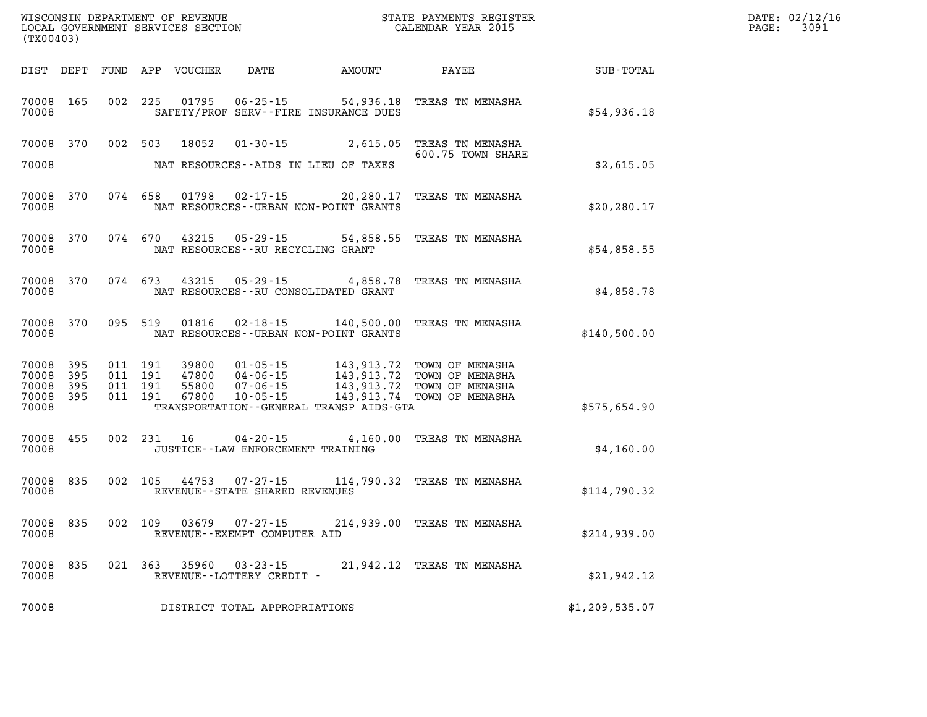| (TX00403)                                 |                          |         |                               | WISCONSIN DEPARTMENT OF REVENUE<br>LOCAL GOVERNMENT SERVICES SECTION |                                                                      | STATE PAYMENTS REGISTER<br>CALENDAR YEAR 2015                                                   |                                                                          |                | DATE: 02/12/16<br>PAGE:<br>3091 |
|-------------------------------------------|--------------------------|---------|-------------------------------|----------------------------------------------------------------------|----------------------------------------------------------------------|-------------------------------------------------------------------------------------------------|--------------------------------------------------------------------------|----------------|---------------------------------|
| DIST DEPT                                 |                          |         |                               | FUND APP VOUCHER                                                     | DATE                                                                 | <b>AMOUNT</b>                                                                                   | PAYEE                                                                    | SUB-TOTAL      |                                 |
| 70008<br>70008                            | 165                      | 002 225 |                               | 01795                                                                | $06 - 25 - 15$                                                       | 54,936.18<br>SAFETY/PROF SERV--FIRE INSURANCE DUES                                              | TREAS TN MENASHA                                                         | \$54,936.18    |                                 |
| 70008                                     | 370                      | 002     | 503                           | 18052                                                                | $01 - 30 - 15$                                                       | 2,615.05                                                                                        | TREAS TN MENASHA<br>600.75 TOWN SHARE                                    |                |                                 |
| 70008                                     |                          |         |                               |                                                                      |                                                                      | NAT RESOURCES - AIDS IN LIEU OF TAXES                                                           |                                                                          | \$2,615.05     |                                 |
| 70008<br>70008                            | 370                      |         | 074 658                       | 01798                                                                | 02-17-15                                                             | 20,280.17<br>NAT RESOURCES - - URBAN NON-POINT GRANTS                                           | TREAS TN MENASHA                                                         | \$20, 280.17   |                                 |
| 70008<br>70008                            | 370                      |         | 074 670                       | 43215                                                                | 05 - 29 - 15<br>NAT RESOURCES - - RU RECYCLING GRANT                 | 54,858.55                                                                                       | TREAS TN MENASHA                                                         | \$54,858.55    |                                 |
| 70008<br>70008                            | 370                      |         | 074 673                       | 43215                                                                | $05 - 29 - 15$                                                       | 4,858.78<br>NAT RESOURCES - - RU CONSOLIDATED GRANT                                             | TREAS TN MENASHA                                                         | \$4,858.78     |                                 |
| 70008<br>70008                            | 370                      |         | 095 519                       | 01816                                                                |                                                                      | $02 - 18 - 15$ 140,500.00<br>NAT RESOURCES - - URBAN NON-POINT GRANTS                           | TREAS TN MENASHA                                                         | \$140,500.00   |                                 |
| 70008<br>70008<br>70008<br>70008<br>70008 | 395<br>395<br>395<br>395 | 011 191 | 011 191<br>011 191<br>011 191 | 39800<br>47800<br>55800<br>67800                                     | $01 - 05 - 15$<br>$04 - 06 - 15$<br>$07 - 06 - 15$<br>$10 - 05 - 15$ | 143,913.72<br>143,913.72<br>143,913.72<br>143,913.74<br>TRANSPORTATION--GENERAL TRANSP AIDS-GTA | TOWN OF MENASHA<br>TOWN OF MENASHA<br>TOWN OF MENASHA<br>TOWN OF MENASHA | \$575,654.90   |                                 |
| 70008<br>70008                            | 455                      |         | 002 231                       | 16                                                                   | $04 - 20 - 15$<br>JUSTICE -- LAW ENFORCEMENT TRAINING                | 4,160.00                                                                                        | TREAS TN MENASHA                                                         | \$4,160.00     |                                 |
| 70008<br>70008                            | 835                      |         | 002 105                       | 44753                                                                | $07 - 27 - 15$<br>REVENUE--STATE SHARED REVENUES                     |                                                                                                 | 114,790.32 TREAS TN MENASHA                                              | \$114,790.32   |                                 |
| 70008<br>70008                            | 835                      |         | 002 109                       | 03679                                                                | $07 - 27 - 15$<br>REVENUE--EXEMPT COMPUTER AID                       |                                                                                                 | 214,939.00 TREAS TN MENASHA                                              | \$214,939.00   |                                 |
| 70008<br>70008                            | 835                      |         | 021 363                       | 35960                                                                | $03 - 23 - 15$<br>REVENUE--LOTTERY CREDIT -                          |                                                                                                 | 21,942.12 TREAS TN MENASHA                                               | \$21,942.12    |                                 |
| 70008                                     |                          |         |                               |                                                                      | DISTRICT TOTAL APPROPRIATIONS                                        |                                                                                                 |                                                                          | \$1,209,535.07 |                                 |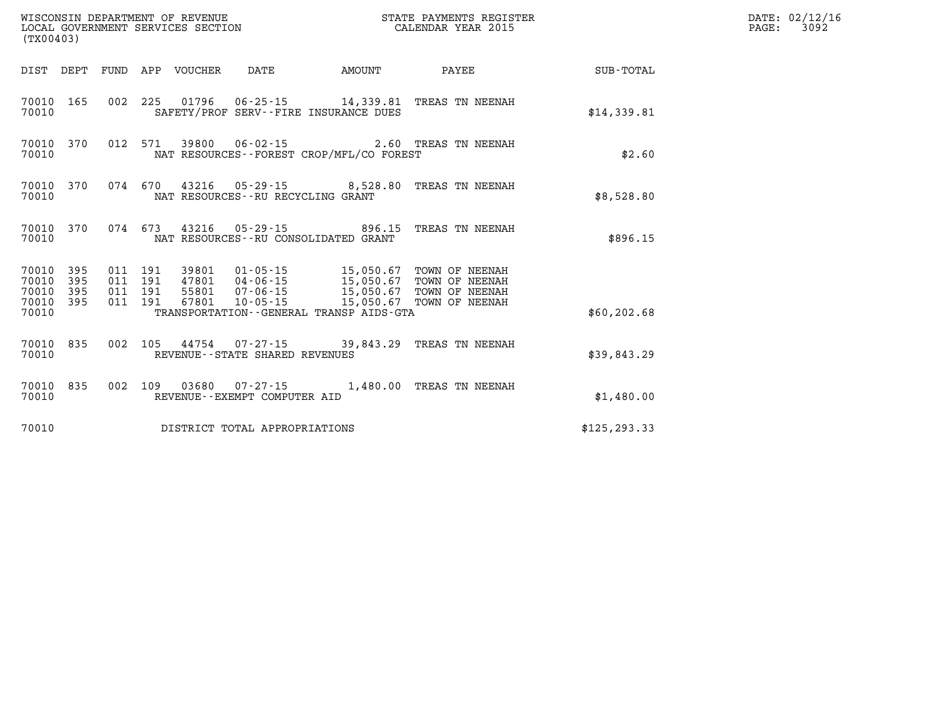| (TX00403)                                           |                               |         |       | WISCONSIN DEPARTMENT OF REVENUE<br>LOCAL GOVERNMENT SERVICES SECTION | STATE PAYMENTS REGISTER<br>CALENDAR YEAR 2015 |                                                                                                                                                                        |              | DATE: 02/12/16<br>PAGE: 3092 |
|-----------------------------------------------------|-------------------------------|---------|-------|----------------------------------------------------------------------|-----------------------------------------------|------------------------------------------------------------------------------------------------------------------------------------------------------------------------|--------------|------------------------------|
| DIST DEPT FUND APP VOUCHER                          |                               |         |       | DATE                                                                 | <b>AMOUNT</b>                                 | PAYEE                                                                                                                                                                  | SUB-TOTAL    |                              |
| 70010 165<br>70010                                  |                               |         |       | SAFETY/PROF SERV--FIRE INSURANCE DUES                                |                                               | 002 225 01796 06-25-15 14,339.81 TREAS TN NEENAH                                                                                                                       | \$14,339.81  |                              |
| 70010 370<br>70010                                  |                               |         |       |                                                                      | NAT RESOURCES - - FOREST CROP/MFL/CO FOREST   | 012 571 39800 06-02-15 2.60 TREAS TN NEENAH                                                                                                                            | \$2.60       |                              |
| 70010 370<br>70010                                  |                               |         |       | NAT RESOURCES - - RU RECYCLING GRANT                                 |                                               | 074 670 43216 05-29-15 8,528.80 TREAS TN NEENAH                                                                                                                        | \$8,528.80   |                              |
| 70010 370<br>70010                                  |                               |         |       | NAT RESOURCES -- RU CONSOLIDATED GRANT                               | 074 673 43216 05-29-15 896.15                 | TREAS TN NEENAH                                                                                                                                                        | \$896.15     |                              |
| 70010 395<br>70010<br>395<br>70010 395<br>70010 395 | 011 191<br>011 191<br>011 191 | 011 191 | 67801 |                                                                      |                                               | 39801  01-05-15  15,050.67 TOWN OF NEENAH<br>47801  04-06-15  15,050.67 TOWN OF NEENAH<br>55801 07-06-15 15,050.67 TOWN OF NEENAH<br>10-05-15 15,050.67 TOWN OF NEENAH |              |                              |
| 70010                                               |                               |         |       |                                                                      | TRANSPORTATION--GENERAL TRANSP AIDS-GTA       |                                                                                                                                                                        | \$60, 202.68 |                              |
| 70010 835<br>70010                                  |                               |         |       | REVENUE - - STATE SHARED REVENUES                                    |                                               | 002 105 44754 07-27-15 39,843.29 TREAS TN NEENAH                                                                                                                       | \$39,843.29  |                              |
| 70010 835<br>70010                                  |                               |         |       | REVENUE--EXEMPT COMPUTER AID                                         |                                               | 002 109 03680 07-27-15 1,480.00 TREAS TN NEENAH                                                                                                                        | \$1,480.00   |                              |
| 70010                                               |                               |         |       | DISTRICT TOTAL APPROPRIATIONS                                        |                                               |                                                                                                                                                                        | \$125.293.33 |                              |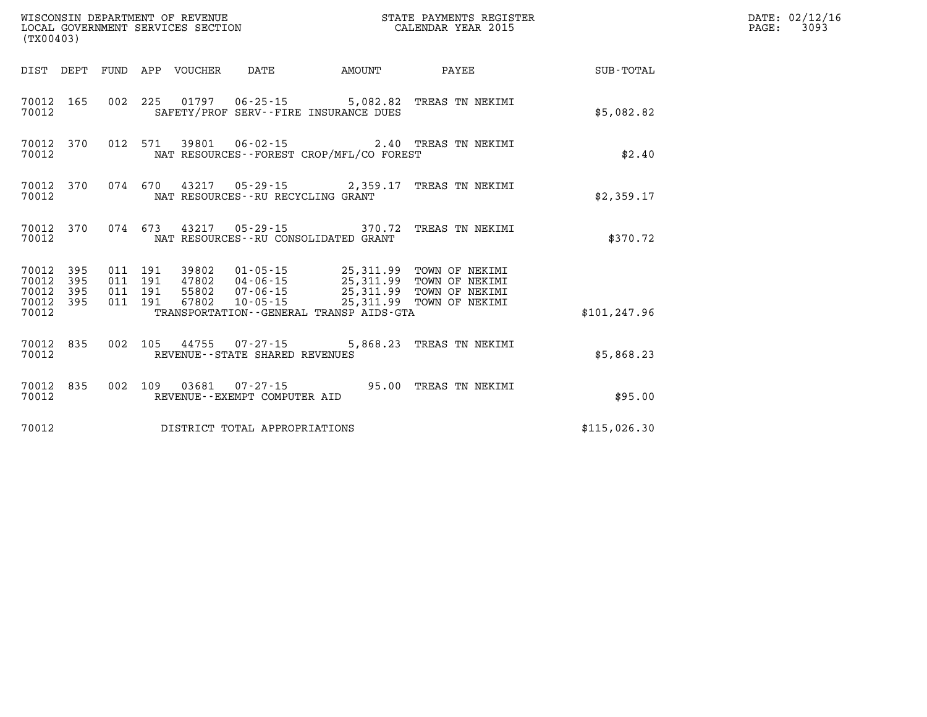| (TX00403)                                         |            |                            |                                      |                                             | STATE PAYMENTS REGISTER                                                                                                                                                                                  |               | DATE: 02/12/1<br>$\mathtt{PAGE}$ :<br>3093 |
|---------------------------------------------------|------------|----------------------------|--------------------------------------|---------------------------------------------|----------------------------------------------------------------------------------------------------------------------------------------------------------------------------------------------------------|---------------|--------------------------------------------|
|                                                   |            | DIST DEPT FUND APP VOUCHER | DATE                                 | AMOUNT                                      | PAYEE                                                                                                                                                                                                    | SUB-TOTAL     |                                            |
| 70012 165<br>70012                                |            |                            |                                      | SAFETY/PROF SERV--FIRE INSURANCE DUES       | 002 225 01797 06-25-15 5,082.82 TREAS TN NEKIMI                                                                                                                                                          | \$5,082.82    |                                            |
| 70012 370<br>70012                                |            |                            |                                      | NAT RESOURCES - - FOREST CROP/MFL/CO FOREST | 012 571 39801 06-02-15 2.40 TREAS TN NEKIMI                                                                                                                                                              | \$2.40        |                                            |
| 70012 370<br>70012                                |            |                            | NAT RESOURCES - - RU RECYCLING GRANT |                                             | 074 670 43217 05-29-15 2,359.17 TREAS TN NEKIMI                                                                                                                                                          | \$2,359.17    |                                            |
| 70012 370<br>70012                                |            |                            |                                      | NAT RESOURCES--RU CONSOLIDATED GRANT        | 074 673 43217 05-29-15 370.72 TREAS TN NEKIMI                                                                                                                                                            | \$370.72      |                                            |
| 70012 395<br>70012<br>70012<br>70012 395<br>70012 | 395<br>395 |                            |                                      | TRANSPORTATION--GENERAL TRANSP AIDS-GTA     | 011 191 39802 01-05-15 25,311.99 TOWN OF NEKIMI<br>011 191 47802 04-06-15 25,311.99 TOWN OF NEKIMI<br>011 191 67802 07-06-15 25,311.99 TOWN OF NEKIMI<br>011 191 67802 10-05-15 25,311.99 TOWN OF NEKIMI | \$101, 247.96 |                                            |
| 70012 835<br>70012                                |            |                            | REVENUE - - STATE SHARED REVENUES    |                                             | 002 105 44755 07-27-15 5,868.23 TREAS TN NEKIMI                                                                                                                                                          | \$5,868.23    |                                            |
| 70012 835<br>70012                                |            |                            | REVENUE--EXEMPT COMPUTER AID         |                                             | 002 109 03681 07-27-15 95.00 TREAS TN NEKIMI                                                                                                                                                             | \$95.00       |                                            |
| 70012                                             |            |                            | DISTRICT TOTAL APPROPRIATIONS        |                                             |                                                                                                                                                                                                          | \$115,026.30  |                                            |

**DATE: 02/12/16<br>PAGE: 3093**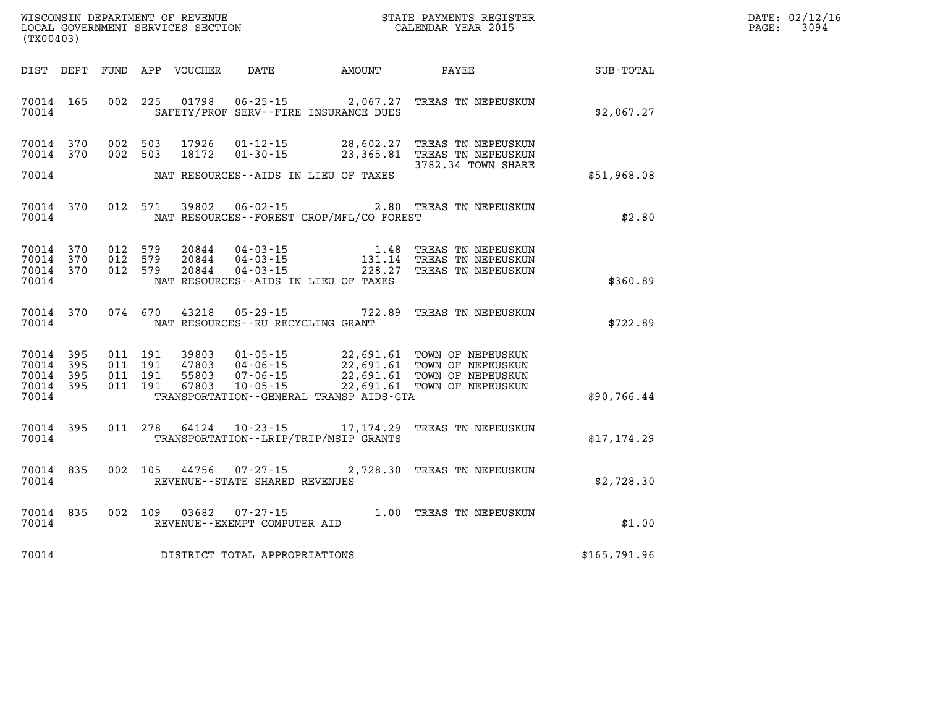| $\mathtt{DATE}$ : | 02/12/16 |
|-------------------|----------|
| PAGE:             | 3094     |

| (TX00403)                                                             |                                                                                                  |                                                                                                                                                                                                  |              |  |
|-----------------------------------------------------------------------|--------------------------------------------------------------------------------------------------|--------------------------------------------------------------------------------------------------------------------------------------------------------------------------------------------------|--------------|--|
| DIST DEPT                                                             | FUND APP VOUCHER                                                                                 | DATE AMOUNT PAYEE                                                                                                                                                                                | SUB-TOTAL    |  |
| 70014<br>165<br>70014                                                 | SAFETY/PROF SERV--FIRE INSURANCE DUES                                                            | 002 225 01798 06-25-15 2,067.27 TREAS TN NEPEUSKUN                                                                                                                                               | \$2,067.27   |  |
| 70014 370<br>70014<br>370                                             | 002 503<br>17926<br>$01 - 12 - 15$<br>$01 - 30 - 15$<br>002 503<br>18172                         | 28,602.27 TREAS TN NEPEUSKUN<br>23,365.81 TREAS TN NEPEUSKUN                                                                                                                                     |              |  |
| 70014                                                                 | NAT RESOURCES--AIDS IN LIEU OF TAXES                                                             | 3782.34 TOWN SHARE                                                                                                                                                                               | \$51,968.08  |  |
| 370<br>70014<br>70014                                                 | 012 571<br>39802<br>NAT RESOURCES - - FOREST CROP/MFL/CO FOREST                                  | 06-02-15 2.80 TREAS TN NEPEUSKUN                                                                                                                                                                 | \$2.80       |  |
| 70014<br>370<br>70014<br>370<br>70014<br>370<br>70014                 | 012 579<br>20844<br>012 579<br>20844<br>012 579<br>20844<br>NAT RESOURCES--AIDS IN LIEU OF TAXES | 04-03-15<br>04-03-15 1.48 TREAS TN NEPEUSKUN<br>04-03-15 131.14 TREAS TN NEPEUSKUN<br>228.27 TREAS TN NEPEUSKUN                                                                                  | \$360.89     |  |
| 70014<br>370<br>70014                                                 | 074 670<br>43218<br>NAT RESOURCES - - RU RECYCLING GRANT                                         | 05-29-15 722.89 TREAS TN NEPEUSKUN                                                                                                                                                               | \$722.89     |  |
| 395<br>70014<br>70014<br>395<br>70014<br>395<br>70014<br>395<br>70014 | 011 191<br>011 191<br>011 191<br>011 191<br>TRANSPORTATION - - GENERAL TRANSP AIDS - GTA         | 39803  01-05-15  22,691.61  TOWN OF NEPEUSKUN<br>47803  04-06-15  22,691.61  TOWN OF NEPEUSKUN<br>55803  07-06-15  22,691.61  TOWN OF NEPEUSKUN<br>67803  10-05-15  22,691.61  TOWN OF NEPEUSKUN | \$90,766.44  |  |
| 70014<br>395<br>70014                                                 | 011 278<br>64124<br>TRANSPORTATION - - LRIP/TRIP/MSIP GRANTS                                     | 10-23-15 17, 174.29 TREAS TN NEPEUSKUN                                                                                                                                                           | \$17,174.29  |  |
| 70014<br>835<br>70014                                                 | 44756<br>002 105<br>$07 - 27 - 15$<br>REVENUE - - STATE SHARED REVENUES                          | 2,728.30 TREAS TN NEPEUSKUN                                                                                                                                                                      | \$2,728.30   |  |
| 70014<br>835<br>70014                                                 | 002 109<br>03682<br>REVENUE--EXEMPT COMPUTER AID                                                 | 07-27-15 1.00 TREAS TN NEPEUSKUN<br>WDT COMPITER ATD                                                                                                                                             | \$1.00       |  |
| 70014                                                                 | DISTRICT TOTAL APPROPRIATIONS                                                                    |                                                                                                                                                                                                  | \$165,791.96 |  |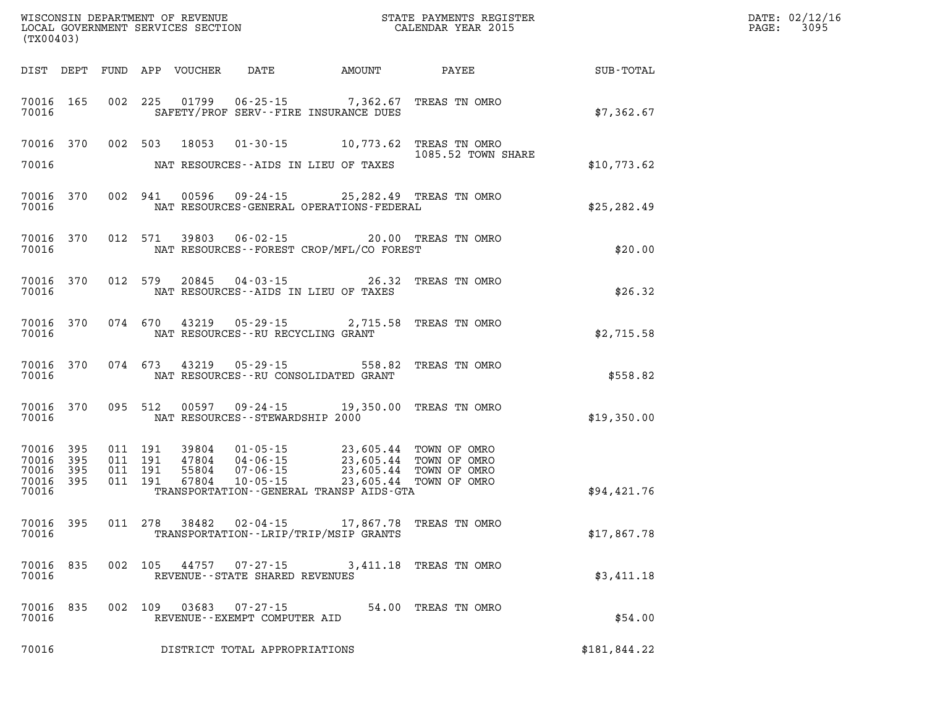| (TX00403)                                                 |                                                                                                                                                                                                                                                                                                                                                                                    | WISCONSIN DEPARTMENT OF REVENUE<br>LOCAL GOVERNMENT SERVICES SECTION TERMS CONFINENTS REGISTER<br>CALENDAR YEAR 2015 | $\mathbb{E} \mathbf{R}$ | DATE: 02/12/16<br>$\mathtt{PAGE:}$<br>3095 |
|-----------------------------------------------------------|------------------------------------------------------------------------------------------------------------------------------------------------------------------------------------------------------------------------------------------------------------------------------------------------------------------------------------------------------------------------------------|----------------------------------------------------------------------------------------------------------------------|-------------------------|--------------------------------------------|
|                                                           | DIST DEPT FUND APP VOUCHER DATE AMOUNT PAYEE                                                                                                                                                                                                                                                                                                                                       |                                                                                                                      | <b>SUB-TOTAL</b>        |                                            |
| 70016                                                     | 70016 165 002 225 01799 06-25-15 7,362.67 TREAS TN OMRO<br>SAFETY/PROF SERV--FIRE INSURANCE DUES                                                                                                                                                                                                                                                                                   |                                                                                                                      | \$7,362.67              |                                            |
| 70016                                                     | 70016 370 002 503 18053 01-30-15 10,773.62 TREAS TN OMRO<br>NAT RESOURCES--AIDS IN LIEU OF TAXES                                                                                                                                                                                                                                                                                   | 1085.52 TOWN SHARE                                                                                                   | \$10,773.62             |                                            |
| 70016 370<br>70016                                        | 002 941 00596 09-24-15 25,282.49 TREAS TN OMRO<br>NAT RESOURCES-GENERAL OPERATIONS-FEDERAL                                                                                                                                                                                                                                                                                         |                                                                                                                      | \$25, 282.49            |                                            |
| 70016                                                     | 70016 370 012 571 39803 06-02-15 20.00 TREAS TN OMRO<br>NAT RESOURCES--FOREST CROP/MFL/CO FOREST                                                                                                                                                                                                                                                                                   |                                                                                                                      | \$20.00                 |                                            |
| 70016                                                     | 70016 370 012 579 20845 04-03-15 26.32 TREAS TN OMRO<br>NAT RESOURCES--AIDS IN LIEU OF TAXES                                                                                                                                                                                                                                                                                       |                                                                                                                      | \$26.32                 |                                            |
| 70016                                                     | 70016 370 074 670 43219 05-29-15 2,715.58 TREAS TN OMRO<br>NAT RESOURCES--RU RECYCLING GRANT                                                                                                                                                                                                                                                                                       |                                                                                                                      | \$2,715.58              |                                            |
|                                                           | 70016 370 074 673 43219 05-29-15 558.82 TREAS TN OMRO<br>70016 MAT RESOURCES--RU CONSOLIDATED GRANT                                                                                                                                                                                                                                                                                |                                                                                                                      | \$558.82                |                                            |
| 70016                                                     | 70016 370 095 512 00597 09-24-15 19,350.00 TREAS TN OMRO<br>NAT RESOURCES - - STEWARDSHIP 2000                                                                                                                                                                                                                                                                                     |                                                                                                                      | \$19,350.00             |                                            |
| 70016 395<br>70016 395<br>70016 395<br>70016 395<br>70016 | $\begin{array}{cccc} 011 & 191 & 39804 & 01\cdot 05\cdot 15 & 23,605.44 & \text{TOWN OF OMRO} \\ 011 & 191 & 47804 & 04\cdot 06\cdot 15 & 23,605.44 & \text{TOWN OF OMRO} \\ 011 & 191 & 55804 & 07\cdot 06\cdot 15 & 23,605.44 & \text{TOWN OF OMRO} \\ 011 & 191 & 67804 & 10\cdot 05\cdot 15 & 23,605.44 & \text{TOWN OF OMRO} \end$<br>TRANSPORTATION--GENERAL TRANSP AIDS-GTA |                                                                                                                      | \$94,421.76             |                                            |
| 70016 395<br>70016                                        | 011 278 38482 02-04-15 17,867.78 TREAS TN OMRO<br>TRANSPORTATION--LRIP/TRIP/MSIP GRANTS                                                                                                                                                                                                                                                                                            |                                                                                                                      | \$17,867.78             |                                            |
| 70016 835<br>70016                                        | 002 105 44757 07-27-15 3,411.18 TREAS TN OMRO<br>REVENUE - - STATE SHARED REVENUES                                                                                                                                                                                                                                                                                                 |                                                                                                                      | \$3,411.18              |                                            |
| 70016 835<br>70016                                        | 002 109 03683 07-27-15<br>REVENUE--EXEMPT COMPUTER AID                                                                                                                                                                                                                                                                                                                             | 54.00 TREAS TN OMRO                                                                                                  | \$54.00                 |                                            |
| 70016                                                     | DISTRICT TOTAL APPROPRIATIONS                                                                                                                                                                                                                                                                                                                                                      |                                                                                                                      | \$181,844.22            |                                            |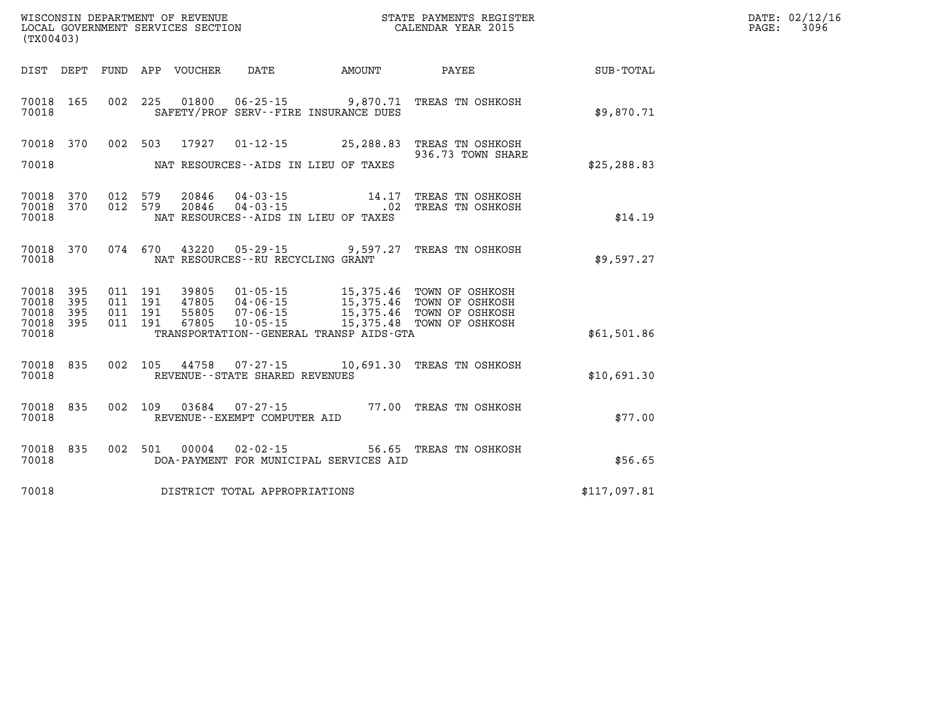| WISCONSIN DEPARTMENT OF REVENUE<br>LOCAL GOVERNMENT SERVICES SECTION<br>CALENDAR YEAR 2015<br>(TX00403) |                        |  |  |  |                                   |                                         |                                                                                                                                                                                                              |                                                              | DATE: 02/12/16<br>$\mathtt{PAGE:}$<br>3096 |
|---------------------------------------------------------------------------------------------------------|------------------------|--|--|--|-----------------------------------|-----------------------------------------|--------------------------------------------------------------------------------------------------------------------------------------------------------------------------------------------------------------|--------------------------------------------------------------|--------------------------------------------|
|                                                                                                         |                        |  |  |  |                                   |                                         |                                                                                                                                                                                                              | DIST DEPT FUND APP VOUCHER DATE AMOUNT PAYEE PAYEE SUB-TOTAL |                                            |
| 70018                                                                                                   |                        |  |  |  |                                   | SAFETY/PROF SERV--FIRE INSURANCE DUES   | 70018 165 002 225 01800 06-25-15 9,870.71 TREAS TN OSHKOSH                                                                                                                                                   | \$9,870.71                                                   |                                            |
| 70018                                                                                                   |                        |  |  |  |                                   | NAT RESOURCES -- AIDS IN LIEU OF TAXES  | 70018 370 002 503 17927 01-12-15 25,288.83 TREAS TN OSHKOSH<br>936.73 TOWN SHARE                                                                                                                             | \$25, 288.83                                                 |                                            |
| 70018                                                                                                   | 70018 370<br>70018 370 |  |  |  |                                   | NAT RESOURCES--AIDS IN LIEU OF TAXES    | $\begin{array}{cccc} 012 & 579 & 20846 & 04\cdot 03\cdot 15 & 14.17 & \text{TREAS TN OSHKOSH} \\ 012 & 579 & 20846 & 04\cdot 03\cdot 15 & .02 & \text{TREAS TN OSHKOSH} \end{array}$                         | \$14.19                                                      |                                            |
| 70018                                                                                                   |                        |  |  |  | NAT RESOURCES--RU RECYCLING GRANT |                                         | 70018 370 074 670 43220 05-29-15 9,597.27 TREAS TN OSHKOSH                                                                                                                                                   | \$9.597.27                                                   |                                            |
| 70018 395<br>70018<br>70018 395<br>70018                                                                | 395<br>70018 395       |  |  |  |                                   | TRANSPORTATION--GENERAL TRANSP AIDS-GTA | 011 191 39805 01-05-15 15,375.46 TOWN OF OSHKOSH<br>011 191 47805 04-06-15 15,375.46 TOWN OF OSHKOSH<br>011 191 55805 07-06-15 15,375.46 TOWN OF OSHKOSH<br>011 191 67805 10-05-15 15,375.48 TOWN OF OSHKOSH | \$61,501.86                                                  |                                            |
| 70018                                                                                                   |                        |  |  |  | REVENUE--STATE SHARED REVENUES    |                                         | 70018 835 002 105 44758 07-27-15 10,691.30 TREAS TN OSHKOSH                                                                                                                                                  | \$10,691.30                                                  |                                            |
| 70018                                                                                                   | 70018 835              |  |  |  | REVENUE--EXEMPT COMPUTER AID      |                                         | 002 109 03684 07-27-15 77.00 TREAS TN OSHKOSH                                                                                                                                                                | \$77.00                                                      |                                            |
| 70018                                                                                                   |                        |  |  |  | 70018 835 002 501 00004 02-02-15  | DOA-PAYMENT FOR MUNICIPAL SERVICES AID  | 56.65 TREAS TN OSHKOSH                                                                                                                                                                                       | \$56.65                                                      |                                            |
| 70018                                                                                                   |                        |  |  |  | DISTRICT TOTAL APPROPRIATIONS     |                                         |                                                                                                                                                                                                              | \$117,097.81                                                 |                                            |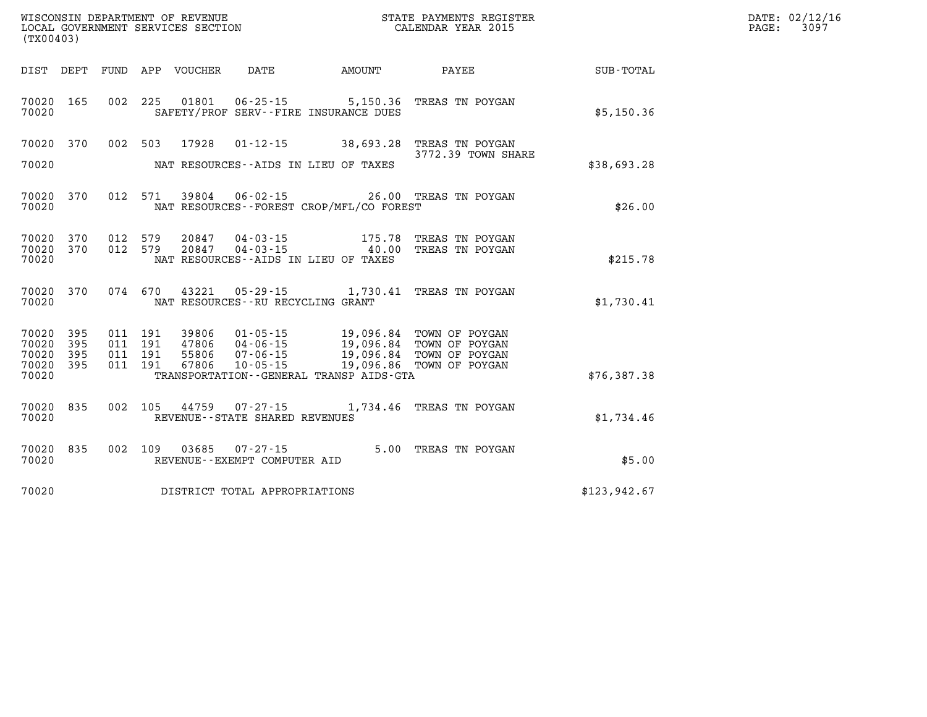| DATE: | 02/12/16 |
|-------|----------|
| PAGE: | 3097     |

| (TX00403)                                 |                          |                          |                          |                                  |                                                                      |                                                                                                  |                                                                      |                  |
|-------------------------------------------|--------------------------|--------------------------|--------------------------|----------------------------------|----------------------------------------------------------------------|--------------------------------------------------------------------------------------------------|----------------------------------------------------------------------|------------------|
| DIST                                      | DEPT                     | FUND                     | APP                      | VOUCHER                          | DATE                                                                 | AMOUNT                                                                                           | PAYEE                                                                | <b>SUB-TOTAL</b> |
| 70020<br>70020                            | 165                      | 002                      | 225                      | 01801                            |                                                                      | $06 - 25 - 15$ 5, 150.36<br>SAFETY/PROF SERV--FIRE INSURANCE DUES                                | TREAS TN POYGAN                                                      | \$5,150.36       |
| 70020<br>70020                            | 370                      | 002                      | 503                      | 17928                            | $01 - 12 - 15$                                                       | 38,693.28<br>NAT RESOURCES--AIDS IN LIEU OF TAXES                                                | TREAS TN POYGAN<br>3772.39 TOWN SHARE                                | \$38,693.28      |
| 70020<br>70020                            | 370                      | 012                      | 571                      | 39804                            | $06 - 02 - 15$                                                       | NAT RESOURCES - - FOREST CROP/MFL/CO FOREST                                                      | 26.00 TREAS TN POYGAN                                                | \$26.00          |
| 70020<br>70020<br>70020                   | 370<br>370               | 012<br>012               | 579<br>579               | 20847<br>20847                   | $04 - 03 - 15$<br>$04 - 03 - 15$                                     | 175.78<br>40.00<br>NAT RESOURCES--AIDS IN LIEU OF TAXES                                          | TREAS TN POYGAN<br>TREAS TN POYGAN                                   | \$215.78         |
| 70020<br>70020                            | 370                      | 074                      | 670                      | 43221                            | $05 - 29 - 15$<br>NAT RESOURCES - - RU RECYCLING GRANT               | 1,730.41                                                                                         | TREAS TN POYGAN                                                      | \$1,730.41       |
| 70020<br>70020<br>70020<br>70020<br>70020 | 395<br>395<br>395<br>395 | 011<br>011<br>011<br>011 | 191<br>191<br>191<br>191 | 39806<br>47806<br>55806<br>67806 | $01 - 05 - 15$<br>$04 - 06 - 15$<br>$07 - 06 - 15$<br>$10 - 05 - 15$ | 19,096.84<br>19,096.84<br>19,096.84<br>19,096.86<br>TRANSPORTATION - - GENERAL TRANSP AIDS - GTA | TOWN OF POYGAN<br>TOWN OF POYGAN<br>TOWN OF POYGAN<br>TOWN OF POYGAN | \$76,387.38      |
| 70020<br>70020                            | 835                      | 002                      | 105                      | 44759                            | $07 - 27 - 15$<br>REVENUE - - STATE SHARED REVENUES                  | 1,734.46                                                                                         | TREAS TN POYGAN                                                      | \$1,734.46       |
| 70020<br>70020                            | 835                      | 002                      | 109                      | 03685                            | $07 - 27 - 15$<br>REVENUE - - EXEMPT COMPUTER AID                    | 5.00                                                                                             | TREAS TN POYGAN                                                      | \$5.00           |
| 70020                                     |                          |                          |                          |                                  | DISTRICT TOTAL APPROPRIATIONS                                        |                                                                                                  |                                                                      | \$123,942.67     |

WISCONSIN DEPARTMENT OF REVENUE **STATE PAYMENTS REGISTER**<br>LOCAL GOVERNMENT SERVICES SECTION

LOCAL GOVERNMENT SERVICES SECTION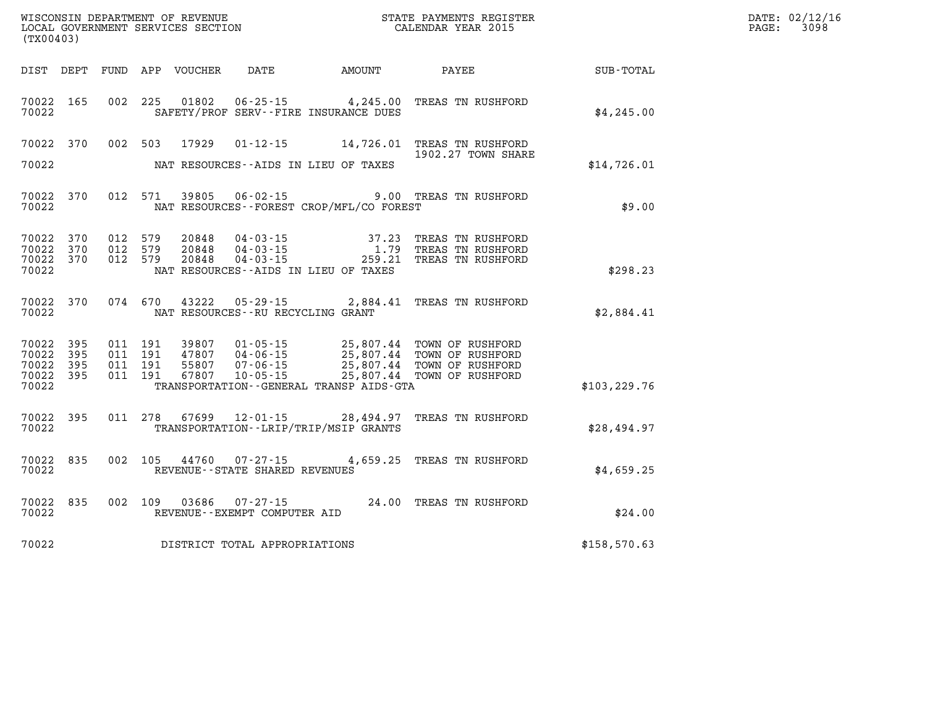| (TX00403)                                     |                         |                                          |         | WISCONSIN DEPARTMENT OF REVENUE<br>LOCAL GOVERNMENT SERVICES SECTION |                                                        | STATE PAYMENTS REGISTER<br>CALENDAR YEAR 2015                                |                                                                                                                                                                                                                                   | DATE: 02/12/16<br>$\mathtt{PAGE}$ :<br>3098 |  |
|-----------------------------------------------|-------------------------|------------------------------------------|---------|----------------------------------------------------------------------|--------------------------------------------------------|------------------------------------------------------------------------------|-----------------------------------------------------------------------------------------------------------------------------------------------------------------------------------------------------------------------------------|---------------------------------------------|--|
|                                               |                         |                                          |         | DIST DEPT FUND APP VOUCHER                                           | DATE                                                   | AMOUNT                                                                       | PAYEE                                                                                                                                                                                                                             | SUB-TOTAL                                   |  |
| 70022                                         | 70022 165               |                                          |         |                                                                      |                                                        | 002 225 01802 06-25-15 4,245.00<br>SAFETY/PROF SERV--FIRE INSURANCE DUES     | TREAS TN RUSHFORD                                                                                                                                                                                                                 | \$4,245.00                                  |  |
|                                               | 70022 370               |                                          |         |                                                                      |                                                        |                                                                              | 002 503 17929 01-12-15 14,726.01 TREAS TN RUSHFORD<br>1902.27 TOWN SHARE                                                                                                                                                          |                                             |  |
| 70022                                         |                         |                                          |         |                                                                      |                                                        | NAT RESOURCES--AIDS IN LIEU OF TAXES                                         |                                                                                                                                                                                                                                   | \$14,726.01                                 |  |
| 70022                                         | 70022 370               |                                          | 012 571 | 39805                                                                | $06 - 02 - 15$                                         | NAT RESOURCES - - FOREST CROP/MFL/CO FOREST                                  | 9.00 TREAS TN RUSHFORD                                                                                                                                                                                                            | \$9.00                                      |  |
| 70022<br>70022<br>70022                       | 70022 370<br>370<br>370 | 012 579<br>012 579<br>012 579            |         | 20848                                                                |                                                        | NAT RESOURCES--AIDS IN LIEU OF TAXES                                         | $\begin{array}{cccc} 20848 & 04\cdot 03\cdot 15 & 37.23 & \text{TREAS TN RUSHFORM} \\ 20848 & 04\cdot 03\cdot 15 & 1.79 & \text{TREAS TN RUSHFORM} \\ 20848 & 04\cdot 03\cdot 15 & 259.21 & \text{TREAS TN RUSHFORM} \end{array}$ | \$298.23                                    |  |
| 70022                                         |                         |                                          |         |                                                                      | NAT RESOURCES--RU RECYCLING GRANT                      |                                                                              | 70022 370 074 670 43222 05-29-15 2,884.41 TREAS TN RUSHFORD                                                                                                                                                                       | \$2,884.41                                  |  |
| 70022 395<br>70022<br>70022<br>70022<br>70022 | 395<br>395<br>395       | 011 191<br>011 191<br>011 191<br>011 191 |         |                                                                      |                                                        | TRANSPORTATION - - GENERAL TRANSP AIDS - GTA                                 | 99807 01-05-15 25,807.44 TOWN OF RUSHFORD<br>47807 04-06-15 25,807.44 TOWN OF RUSHFORD<br>55807 07-06-15 25,807.44 TOWN OF RUSHFORD<br>67807 10-05-15 25,807.44 TOWN OF RUSHFORD                                                  | \$103, 229.76                               |  |
| 70022                                         | 70022 395               |                                          |         |                                                                      |                                                        | 011 278 67699 12-01-15 28,494.97<br>TRANSPORTATION - - LRIP/TRIP/MSIP GRANTS | TREAS TN RUSHFORD                                                                                                                                                                                                                 | \$28,494.97                                 |  |
| 70022                                         | 70022 835               |                                          |         |                                                                      | REVENUE--STATE SHARED REVENUES                         |                                                                              | 002 105 44760 07-27-15 4,659.25 TREAS TN RUSHFORD                                                                                                                                                                                 | \$4,659.25                                  |  |
| 70022                                         | 70022 835               |                                          |         |                                                                      | 002 109 03686 07-27-15<br>REVENUE--EXEMPT COMPUTER AID |                                                                              | 24.00 TREAS TN RUSHFORD                                                                                                                                                                                                           | \$24.00                                     |  |
| 70022                                         |                         |                                          |         |                                                                      | DISTRICT TOTAL APPROPRIATIONS                          |                                                                              |                                                                                                                                                                                                                                   | \$158,570.63                                |  |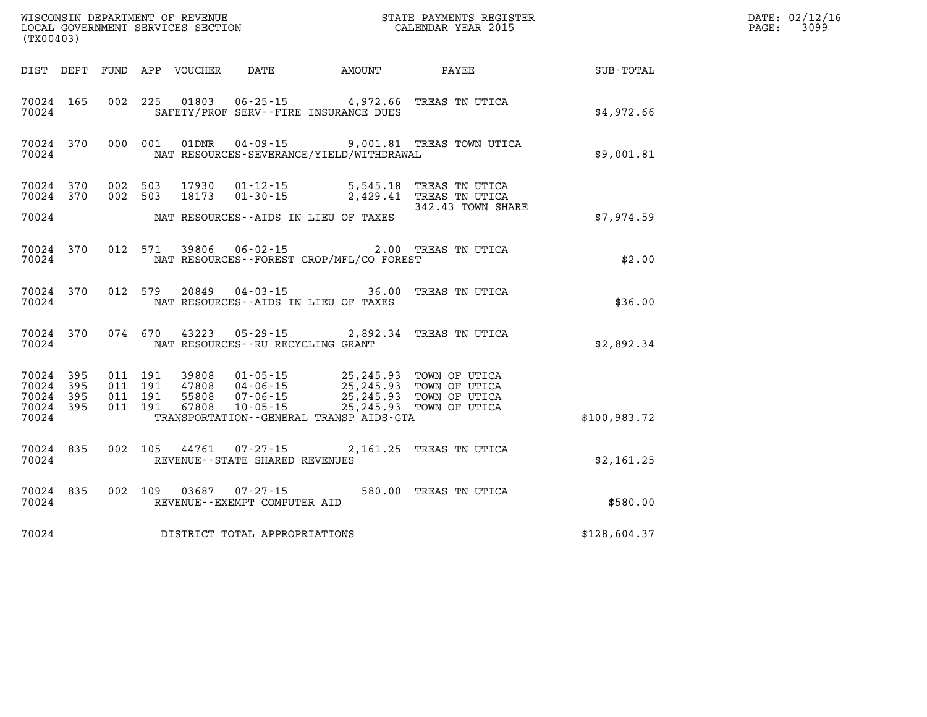| WISCONSIN DEPARTMENT OF REVENUE<br>LOCAL GOVERNMENT SERVICES SECTION<br>(TX00403) |  |                                          |  |                            |                                                  |                                                                                                                                                                                                                 | STATE PAYMENTS REGISTER<br>CALENDAR YEAR 2015 |              | DATE: 02/12/16<br>PAGE:<br>3099 |
|-----------------------------------------------------------------------------------|--|------------------------------------------|--|----------------------------|--------------------------------------------------|-----------------------------------------------------------------------------------------------------------------------------------------------------------------------------------------------------------------|-----------------------------------------------|--------------|---------------------------------|
|                                                                                   |  |                                          |  | DIST DEPT FUND APP VOUCHER | DATE                                             | AMOUNT                                                                                                                                                                                                          | PAYEE                                         | SUB-TOTAL    |                                 |
| 70024 165<br>70024                                                                |  | 002 225                                  |  | 01803                      |                                                  | $06 - 25 - 15$ 4,972.66<br>SAFETY/PROF SERV--FIRE INSURANCE DUES                                                                                                                                                | TREAS TN UTICA                                | \$4,972.66   |                                 |
| 70024 370<br>70024                                                                |  | 000 001                                  |  | 01DNR                      | $04 - 09 - 15$                                   | NAT RESOURCES-SEVERANCE/YIELD/WITHDRAWAL                                                                                                                                                                        | 9,001.81 TREAS TOWN UTICA                     | \$9,001.81   |                                 |
| 70024 370<br>70024 370                                                            |  | 002 503<br>002 503                       |  | 17930<br>18173             | $01 - 12 - 15$<br>$01 - 30 - 15$                 | 5,545.18                                                                                                                                                                                                        | TREAS TN UTICA<br>2,429.41 TREAS TN UTICA     |              |                                 |
| 70024                                                                             |  |                                          |  |                            |                                                  | NAT RESOURCES -- AIDS IN LIEU OF TAXES                                                                                                                                                                          | 342.43 TOWN SHARE                             | \$7,974.59   |                                 |
| 70024 370<br>70024                                                                |  | 012 571                                  |  |                            | 39806 06-02-15                                   | NAT RESOURCES - - FOREST CROP/MFL/CO FOREST                                                                                                                                                                     | 2.00 TREAS TN UTICA                           | \$2.00       |                                 |
| 70024 370<br>70024                                                                |  | 012 579                                  |  | 20849                      | 04-03-15                                         | NAT RESOURCES--AIDS IN LIEU OF TAXES                                                                                                                                                                            | 36.00 TREAS TN UTICA                          | \$36.00      |                                 |
| 70024 370<br>70024                                                                |  | 074 670                                  |  | 43223                      | 05-29-15<br>NAT RESOURCES - - RU RECYCLING GRANT |                                                                                                                                                                                                                 | 2,892.34 TREAS TN UTICA                       | \$2,892.34   |                                 |
| 70024 395<br>70024 395<br>70024 395<br>70024 395<br>70024                         |  | 011 191<br>011 191<br>011 191<br>011 191 |  |                            | $10 - 05 - 15$                                   | 39808 01-05-15 25,245.93 TOWN OF UTICA<br>47808 04-06-15 25,245.93 TOWN OF UTICA<br>55808 07-06-15 25,245.93 TOWN OF UTICA<br>67808 10-05-15 25,245.93 TOWN OF UTICA<br>TRANSPORTATION--GENERAL TRANSP AIDS-GTA | 25, 245.93 TOWN OF UTICA                      | \$100,983.72 |                                 |
| 70024 835<br>70024                                                                |  | 002 105                                  |  | 44761                      | 07-27-15<br>REVENUE--STATE SHARED REVENUES       |                                                                                                                                                                                                                 | 2,161.25 TREAS TN UTICA                       | \$2,161.25   |                                 |
| 70024 835<br>70024                                                                |  | 002 109                                  |  | 03687                      | 07-27-15<br>REVENUE--EXEMPT COMPUTER AID         |                                                                                                                                                                                                                 | 580.00 TREAS TN UTICA                         | \$580.00     |                                 |
| 70024                                                                             |  |                                          |  |                            | DISTRICT TOTAL APPROPRIATIONS                    |                                                                                                                                                                                                                 |                                               | \$128,604.37 |                                 |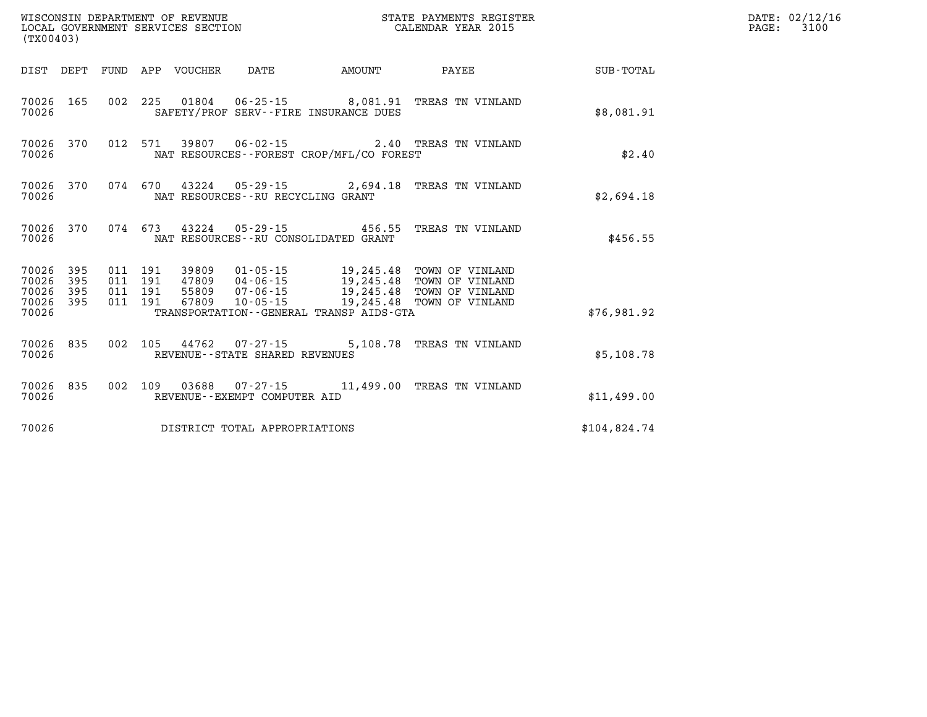| WISCONSIN DEPARTMENT OF REVENUE<br>LOCAL GOVERNMENT SERVICES SECTION<br>(TX00403) |     |                               |  |                            |                                      |                                             | STATE PAYMENTS REGISTER<br>CALENDAR YEAR 2015     |              | DATE: 02/12/16<br>PAGE: 3100 |
|-----------------------------------------------------------------------------------|-----|-------------------------------|--|----------------------------|--------------------------------------|---------------------------------------------|---------------------------------------------------|--------------|------------------------------|
|                                                                                   |     |                               |  | DIST DEPT FUND APP VOUCHER | DATE                                 | <b>AMOUNT</b>                               | PAYEE                                             | SUB-TOTAL    |                              |
| 70026 165<br>70026                                                                |     |                               |  |                            |                                      | SAFETY/PROF SERV--FIRE INSURANCE DUES       | 002 225 01804 06-25-15 8,081.91 TREAS TN VINLAND  | \$8,081.91   |                              |
| 70026 370<br>70026                                                                |     |                               |  |                            |                                      | NAT RESOURCES - - FOREST CROP/MFL/CO FOREST | 012 571 39807 06-02-15 2.40 TREAS TN VINLAND      | \$2.40       |                              |
| 70026 370<br>70026                                                                |     |                               |  |                            | NAT RESOURCES - - RU RECYCLING GRANT |                                             | 074 670 43224 05-29-15 2,694.18 TREAS TN VINLAND  | \$2,694.18   |                              |
| 70026 370<br>70026                                                                |     |                               |  |                            | NAT RESOURCES--RU CONSOLIDATED GRANT | 074 673 43224 05-29-15 456.55               | TREAS TN VINLAND                                  | \$456.55     |                              |
| 70026 395<br>70026<br>70026 395<br>70026 395                                      | 395 | 011 191<br>011 191<br>011 191 |  |                            |                                      |                                             | 011 191 67809 10-05-15 19,245.48 TOWN OF VINLAND  |              |                              |
| 70026                                                                             |     |                               |  |                            |                                      | TRANSPORTATION--GENERAL TRANSP AIDS-GTA     |                                                   | \$76,981.92  |                              |
| 70026 835<br>70026                                                                |     |                               |  |                            | REVENUE - - STATE SHARED REVENUES    |                                             | 002 105 44762 07-27-15 5,108.78 TREAS TN VINLAND  | \$5,108.78   |                              |
| 70026 835<br>70026                                                                |     |                               |  |                            | REVENUE--EXEMPT COMPUTER AID         |                                             | 002 109 03688 07-27-15 11,499.00 TREAS TN VINLAND | \$11,499.00  |                              |
| 70026                                                                             |     |                               |  |                            | DISTRICT TOTAL APPROPRIATIONS        |                                             |                                                   | \$104.824.74 |                              |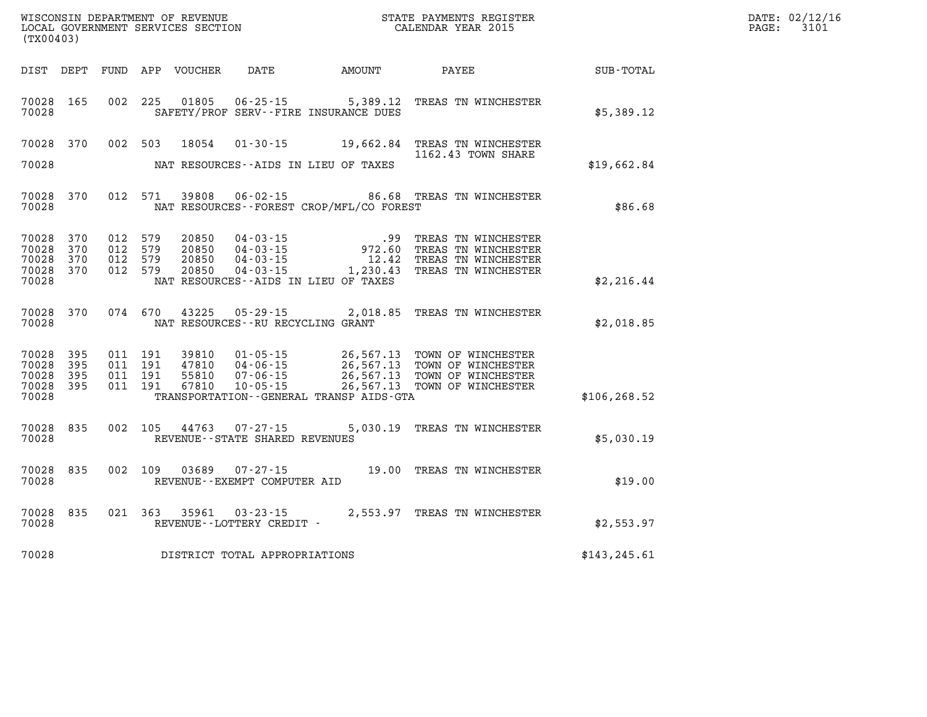| (TX00403)                                     |                     |                    |                    |                                  |                                                          |                                                                  |                                                                                                                                                                       | DATE: 02/12/16<br>3101<br>$\mathtt{PAGE}$ : |  |
|-----------------------------------------------|---------------------|--------------------|--------------------|----------------------------------|----------------------------------------------------------|------------------------------------------------------------------|-----------------------------------------------------------------------------------------------------------------------------------------------------------------------|---------------------------------------------|--|
|                                               |                     |                    |                    | DIST DEPT FUND APP VOUCHER       | DATE                                                     | <b>AMOUNT</b>                                                    | PAYEE                                                                                                                                                                 | SUB-TOTAL                                   |  |
| 70028 165<br>70028                            |                     |                    | 002 225            | 01805                            |                                                          | $06 - 25 - 15$ 5,389.12<br>SAFETY/PROF SERV--FIRE INSURANCE DUES | TREAS TN WINCHESTER                                                                                                                                                   | \$5,389.12                                  |  |
| 70028 370<br>70028                            |                     |                    | 002 503            | 18054                            |                                                          | NAT RESOURCES--AIDS IN LIEU OF TAXES                             | 01-30-15 19,662.84 TREAS TN WINCHESTER<br>1162.43 TOWN SHARE                                                                                                          | \$19,662.84                                 |  |
| 70028 370<br>70028                            |                     |                    | 012 571            | 39808                            |                                                          | NAT RESOURCES - - FOREST CROP/MFL/CO FOREST                      | 06-02-15 86.68 TREAS TN WINCHESTER                                                                                                                                    | \$86.68                                     |  |
| 70028 370<br>70028<br>70028<br>70028<br>70028 | 370<br>370<br>370   | 012 579<br>012 579 | 012 579<br>012 579 | 20850<br>20850<br>20850<br>20850 | $04 - 03 - 15$<br>$04 - 03 - 15$<br>04-03-15<br>04-03-15 | NAT RESOURCES--AIDS IN LIEU OF TAXES                             | .99 TREAS TN WINCHESTER<br>972.60 TREAS TN WINCHESTER<br>12.42 TREAS TN WINCHESTER<br>1,230.43 TREAS TN WINCHESTER                                                    | \$2,216.44                                  |  |
| 70028                                         | 70028 370           |                    | 074 670            | 43225                            | 05-29-15<br>NAT RESOURCES - - RU RECYCLING GRANT         |                                                                  | 2,018.85 TREAS TN WINCHESTER                                                                                                                                          | \$2,018.85                                  |  |
| 70028 395<br>70028<br>70028<br>70028<br>70028 | 395<br>395<br>- 395 | 011 191<br>011 191 | 011 191<br>011 191 | 39810<br>47810<br>55810<br>67810 | 04-06-15<br>$07 - 06 - 15$<br>$10 - 05 - 15$             | TRANSPORTATION--GENERAL TRANSP AIDS-GTA                          | 01-05-15 26,567.13 TOWN OF WINCHESTER<br>26,567.13 IOWN OF WINCHESTER<br>26,567.13 TOWN OF WINCHESTER<br>26,567.13 TOWN OF WINCHESTER<br>26,567.13 TOWN OF WINCHESTER | \$106, 268.52                               |  |
| 70028 835<br>70028                            |                     |                    | 002 105            |                                  | 44763 07-27-15<br>REVENUE - - STATE SHARED REVENUES      |                                                                  | 5,030.19 TREAS TN WINCHESTER                                                                                                                                          | \$5,030.19                                  |  |
| 70028 835<br>70028                            |                     |                    | 002 109            | 03689                            | 07-27-15<br>REVENUE--EXEMPT COMPUTER AID                 |                                                                  | 19.00 TREAS TN WINCHESTER                                                                                                                                             | \$19.00                                     |  |
| 70028 835<br>70028                            |                     |                    | 021 363            |                                  | 35961 03-23-15<br>REVENUE--LOTTERY CREDIT -              |                                                                  | 2,553.97 TREAS TN WINCHESTER                                                                                                                                          | \$2,553.97                                  |  |
| 70028                                         |                     |                    |                    |                                  | DISTRICT TOTAL APPROPRIATIONS                            |                                                                  |                                                                                                                                                                       | \$143, 245.61                               |  |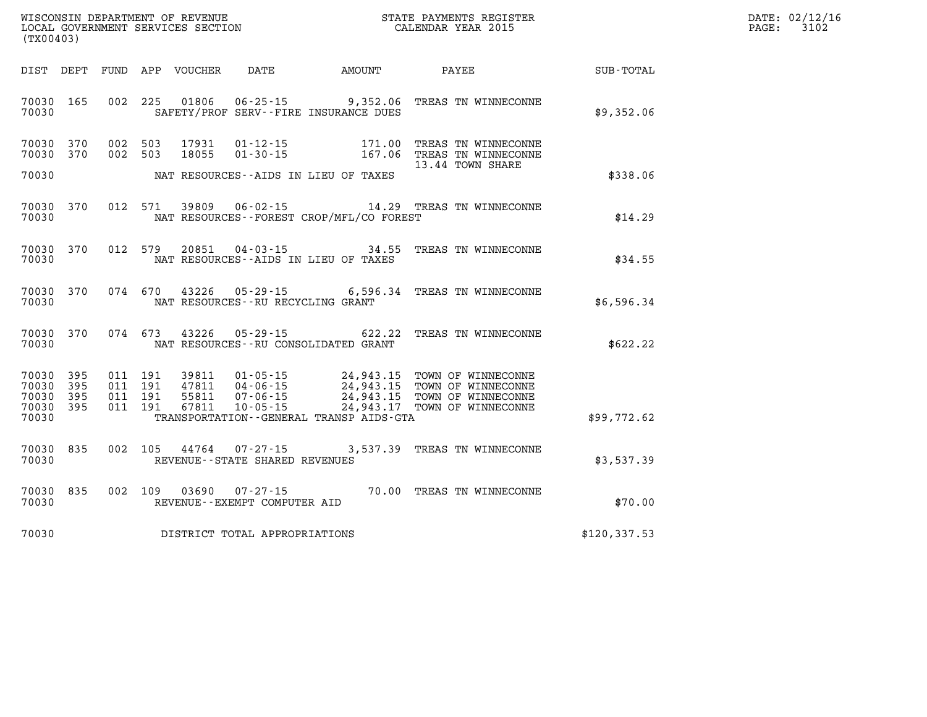| DATE: | 02/12/16 |
|-------|----------|
| PAGE: | 3102     |

| WISCONSIN DEPARTMENT OF REVENUE<br>LOCAL GOVERNMENT SERVICES SECTION<br>(TX00403)<br>(TX00403) |  |                    |         |                  |                                                             |                                             | STATE PAYMENTS REGISTER<br>CALENDAR YEAR 2015                                |               | DATE: 02/12/1<br>PAGE:<br>3102 |
|------------------------------------------------------------------------------------------------|--|--------------------|---------|------------------|-------------------------------------------------------------|---------------------------------------------|------------------------------------------------------------------------------|---------------|--------------------------------|
| DIST DEPT                                                                                      |  |                    |         | FUND APP VOUCHER |                                                             | DATE AMOUNT PAYEE                           |                                                                              | SUB-TOTAL     |                                |
| 70030 165<br>70030                                                                             |  |                    |         |                  |                                                             | SAFETY/PROF SERV--FIRE INSURANCE DUES       | 002 225 01806 06-25-15 9,352.06 TREAS TN WINNECONNE                          | \$9,352.06    |                                |
| 70030 370<br>70030 370                                                                         |  | 002 503<br>002 503 |         | 17931<br>18055   | $01 - 12 - 15$<br>$01 - 30 - 15$                            |                                             | 171.00 TREAS TN WINNECONNE<br>167.06 TREAS TN WINNECONNE<br>13.44 TOWN SHARE |               |                                |
| 70030                                                                                          |  |                    |         |                  |                                                             | NAT RESOURCES--AIDS IN LIEU OF TAXES        |                                                                              | \$338.06      |                                |
| 70030 370<br>70030                                                                             |  |                    | 012 571 | 39809            |                                                             | NAT RESOURCES - - FOREST CROP/MFL/CO FOREST | 06-02-15 14.29 TREAS TN WINNECONNE                                           | \$14.29       |                                |
| 70030 370<br>70030                                                                             |  |                    | 012 579 | 20851            |                                                             | NAT RESOURCES -- AIDS IN LIEU OF TAXES      | 04-03-15 34.55 TREAS TN WINNECONNE                                           | \$34.55       |                                |
| 70030 370<br>70030                                                                             |  |                    |         |                  |                                                             | NAT RESOURCES--RU RECYCLING GRANT           | 074 670 43226 05-29-15 6,596.34 TREAS TN WINNECONNE                          | \$6,596.34    |                                |
| 70030 370<br>70030                                                                             |  |                    |         |                  |                                                             | NAT RESOURCES -- RU CONSOLIDATED GRANT      | 074 673 43226 05-29-15 622.22 TREAS TN WINNECONNE                            | \$622.22      |                                |
| 70030 395<br>70030 395<br>70030 395<br>70030 395                                               |  |                    |         |                  |                                                             |                                             | 24,943.17 TOWN OF WINNECONNE                                                 |               |                                |
| 70030                                                                                          |  |                    |         |                  |                                                             | TRANSPORTATION--GENERAL TRANSP AIDS-GTA     |                                                                              | \$99,772.62   |                                |
| 70030 835<br>70030                                                                             |  |                    |         |                  | 002 105 44764 07-27-15<br>REVENUE - - STATE SHARED REVENUES |                                             | 3,537.39 TREAS TN WINNECONNE                                                 | \$3,537.39    |                                |
| 70030 835<br>70030                                                                             |  |                    | 002 109 | 03690            | 07-27-15<br>REVENUE--EXEMPT COMPUTER AID                    |                                             | 70.00 TREAS TN WINNECONNE                                                    | \$70.00       |                                |
| 70030                                                                                          |  |                    |         |                  | DISTRICT TOTAL APPROPRIATIONS                               |                                             |                                                                              | \$120, 337.53 |                                |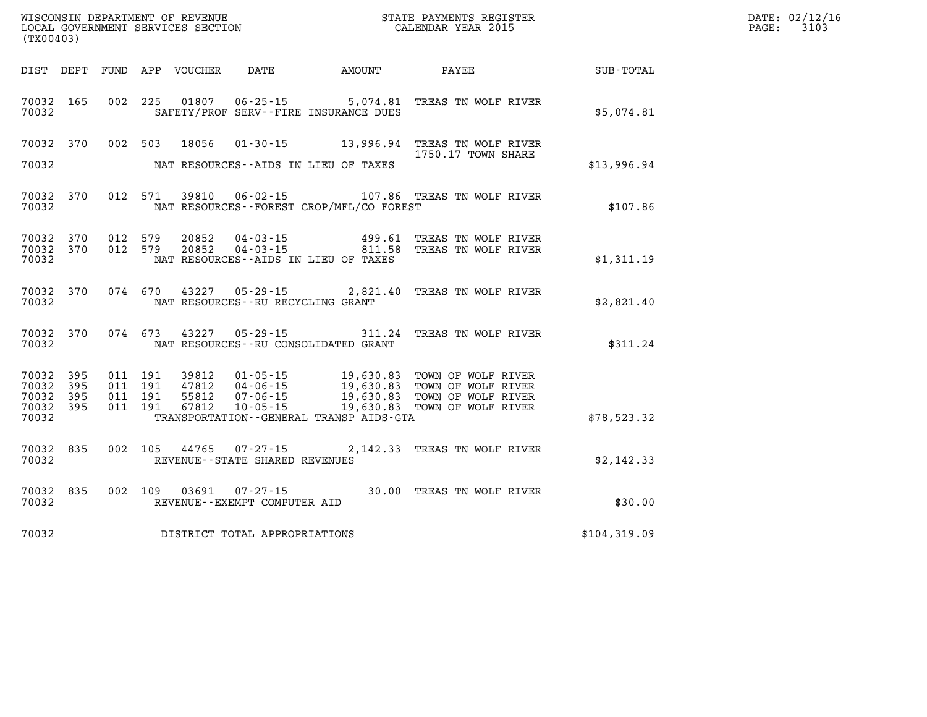| (TX00403)                                     |                   |                                          | WISCONSIN DEPARTMENT OF REVENUE<br>LOCAL GOVERNMENT SERVICES SECTION |                                                |                                              | STATE PAYMENTS REGISTER<br>CALENDAR YEAR 2015                                                                                                                        |             | DATE: 02/12/16<br>3103<br>$\mathtt{PAGE}$ : |
|-----------------------------------------------|-------------------|------------------------------------------|----------------------------------------------------------------------|------------------------------------------------|----------------------------------------------|----------------------------------------------------------------------------------------------------------------------------------------------------------------------|-------------|---------------------------------------------|
|                                               |                   |                                          | DIST DEPT FUND APP VOUCHER                                           | DATE                                           | <b>AMOUNT</b>                                | PAYEE                                                                                                                                                                | SUB-TOTAL   |                                             |
| 70032 165<br>70032                            |                   |                                          |                                                                      |                                                | SAFETY/PROF SERV--FIRE INSURANCE DUES        | 002 225 01807 06-25-15 5,074.81 TREAS TN WOLF RIVER                                                                                                                  | \$5,074.81  |                                             |
| 70032 370                                     |                   | 002 503                                  | 18056                                                                |                                                |                                              | 01-30-15 13,996.94 TREAS TN WOLF RIVER<br>1750.17 TOWN SHARE                                                                                                         |             |                                             |
| 70032                                         |                   |                                          |                                                                      |                                                | NAT RESOURCES--AIDS IN LIEU OF TAXES         |                                                                                                                                                                      | \$13,996.94 |                                             |
| 70032 370<br>70032                            |                   |                                          | 012 571 39810                                                        |                                                | NAT RESOURCES - - FOREST CROP/MFL/CO FOREST  | 06-02-15 107.86 TREAS TN WOLF RIVER                                                                                                                                  | \$107.86    |                                             |
| 70032 370<br>70032<br>70032                   | 370               | 012 579<br>012 579                       | 20852<br>20852                                                       | 04-03-15                                       | NAT RESOURCES--AIDS IN LIEU OF TAXES         | 499.61 TREAS TN WOLF RIVER<br>04-03-15 811.58 TREAS TN WOLF RIVER                                                                                                    | \$1,311.19  |                                             |
| 70032 370<br>70032                            |                   | 074 670                                  |                                                                      | NAT RESOURCES - - RU RECYCLING GRANT           |                                              | 43227 05-29-15 2,821.40 TREAS TN WOLF RIVER                                                                                                                          | \$2,821.40  |                                             |
| 70032 370<br>70032                            |                   | 074 673                                  |                                                                      |                                                | NAT RESOURCES - - RU CONSOLIDATED GRANT      | 43227 05-29-15 311.24 TREAS TN WOLF RIVER                                                                                                                            | \$311.24    |                                             |
| 70032 395<br>70032<br>70032<br>70032<br>70032 | 395<br>395<br>395 | 011 191<br>011 191<br>011 191<br>011 191 | 55812<br>67812                                                       | $07 - 06 - 15$<br>$10 - 05 - 15$               | TRANSPORTATION - - GENERAL TRANSP AIDS - GTA | 39812  01-05-15  19,630.83  TOWN OF WOLF RIVER<br>47812  04-06-15  19,630.83  TOWN OF WOLF RIVER<br>19,630.83   TOWN OF WOLF RIVER<br>19,630.83   TOWN OF WOLF RIVER | \$78,523.32 |                                             |
| 70032 835<br>70032                            |                   | 002 105                                  | 44765                                                                | REVENUE - - STATE SHARED REVENUES              |                                              | 07-27-15 2,142.33 TREAS TN WOLF RIVER                                                                                                                                | \$2,142.33  |                                             |
| 70032 835<br>70032                            |                   | 002 109                                  | 03691                                                                | $07 - 27 - 15$<br>REVENUE--EXEMPT COMPUTER AID |                                              | 30.00 TREAS TN WOLF RIVER                                                                                                                                            | \$30.00     |                                             |
| 70032                                         |                   |                                          |                                                                      | DISTRICT TOTAL APPROPRIATIONS                  | \$104,319.09                                 |                                                                                                                                                                      |             |                                             |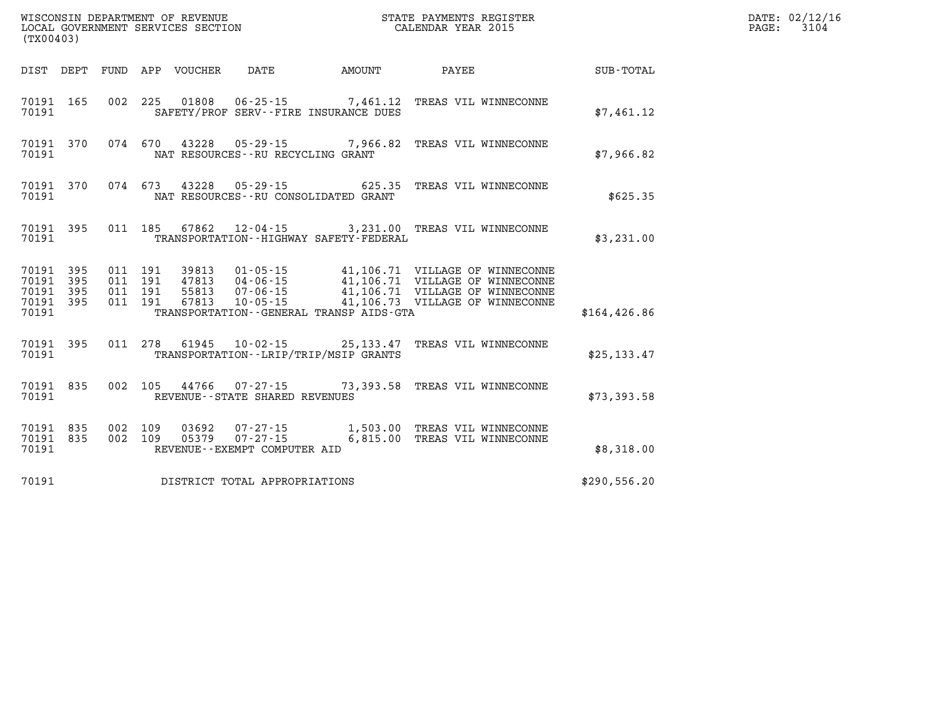| (TX00403)              |                        |  |                                |                                              | %WISCONSIN DEPARTMENT OF REVENUE $$\tt STATE~PAYMENTS~REGISTER$ LOCAL GOVERNMENT SERVICES SECTION $$\tt CALENDAR~YEAR~2015$ |               | DATE: 02/12/16<br>PAGE: 3104 |
|------------------------|------------------------|--|--------------------------------|----------------------------------------------|-----------------------------------------------------------------------------------------------------------------------------|---------------|------------------------------|
|                        |                        |  |                                |                                              | DIST DEPT FUND APP VOUCHER DATE AMOUNT PAYEE TOTAL                                                                          |               |                              |
| 70191                  | 70191 165              |  |                                | SAFETY/PROF SERV--FIRE INSURANCE DUES        | 002 225 01808 06-25-15 7,461.12 TREAS VIL WINNECONNE                                                                        | \$7,461.12    |                              |
| 70191                  |                        |  |                                | NAT RESOURCES -- RU RECYCLING GRANT          | 70191 370 074 670 43228 05-29-15 7,966.82 TREAS VIL WINNECONNE                                                              | \$7,966.82    |                              |
| 70191                  | 70191 370              |  |                                | NAT RESOURCES--RU CONSOLIDATED GRANT         | 074 673 43228 05-29-15 625.35 TREAS VIL WINNECONNE                                                                          | \$625.35      |                              |
| 70191                  | 70191 395              |  |                                | TRANSPORTATION - - HIGHWAY SAFETY - FEDERAL  | 011 185 67862 12-04-15 3,231.00 TREAS VIL WINNECONNE                                                                        | \$3,231.00    |                              |
| 70191 395<br>70191 395 | 70191 395              |  |                                |                                              |                                                                                                                             |               |                              |
| 70191 395<br>70191     |                        |  |                                | TRANSPORTATION - - GENERAL TRANSP AIDS - GTA |                                                                                                                             | \$164, 426.86 |                              |
| 70191                  | 70191 395              |  |                                | TRANSPORTATION--LRIP/TRIP/MSIP GRANTS        | 011 278 61945 10-02-15 25,133.47 TREAS VIL WINNECONNE                                                                       | \$25, 133.47  |                              |
| 70191                  | 70191 835              |  | REVENUE--STATE SHARED REVENUES |                                              | 002  105  44766  07-27-15  73,393.58  TREAS VIL WINNECONNE                                                                  | \$73,393.58   |                              |
| 70191                  | 70191 835<br>70191 835 |  | REVENUE--EXEMPT COMPUTER AID   |                                              | 002 109 03692 07-27-15 1,503.00 TREAS VIL WINNECONNE<br>002 109 05379 07-27-15 6,815.00 TREAS VIL WINNECONNE                | \$8,318.00    |                              |
| 70191                  |                        |  | DISTRICT TOTAL APPROPRIATIONS  |                                              |                                                                                                                             | \$290,556.20  |                              |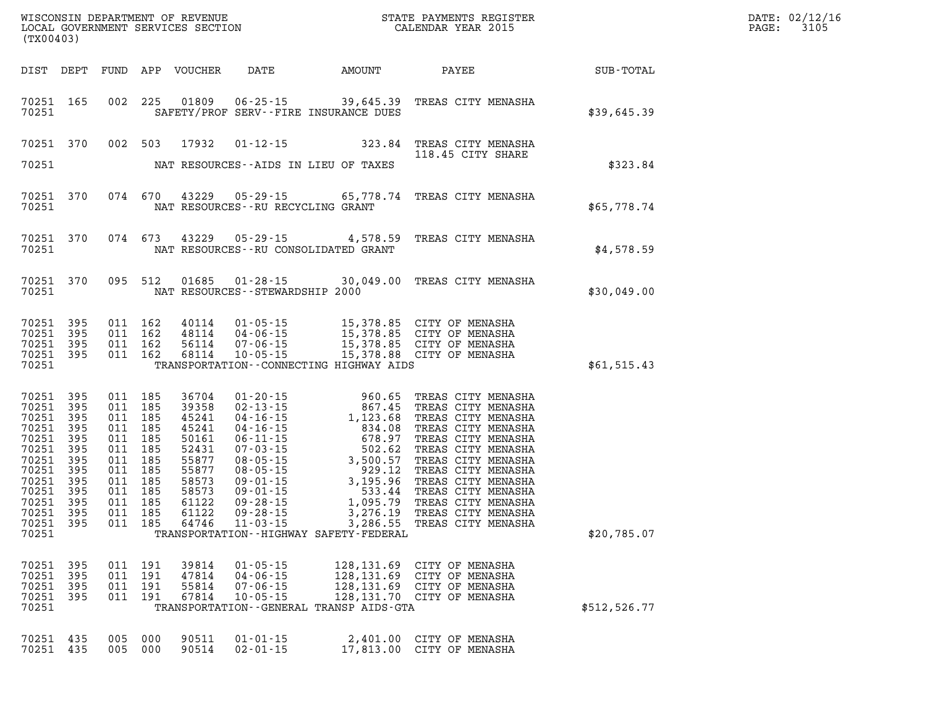| DATE: | 02/12/16 |
|-------|----------|
| PAGE: | 3105     |

| (TX00403)                                                                                                                      |                                                                                  |                          |                                                                                                                                     | LOCAL GOVERNMENT SERVICES SECTION                                                                                 |                                                                      |                                                                                   | CALENDAR YEAR 2015                                                                                                                                                                                                                         |                             | PAGE: | 3105 |
|--------------------------------------------------------------------------------------------------------------------------------|----------------------------------------------------------------------------------|--------------------------|-------------------------------------------------------------------------------------------------------------------------------------|-------------------------------------------------------------------------------------------------------------------|----------------------------------------------------------------------|-----------------------------------------------------------------------------------|--------------------------------------------------------------------------------------------------------------------------------------------------------------------------------------------------------------------------------------------|-----------------------------|-------|------|
| DIST DEPT                                                                                                                      |                                                                                  |                          |                                                                                                                                     | FUND APP VOUCHER                                                                                                  |                                                                      |                                                                                   |                                                                                                                                                                                                                                            | DATE AMOUNT PAYEE SUB-TOTAL |       |      |
| 70251 165<br>70251                                                                                                             |                                                                                  |                          | 002 225                                                                                                                             | 01809                                                                                                             |                                                                      | SAFETY/PROF SERV--FIRE INSURANCE DUES                                             | 06-25-15 39,645.39 TREAS CITY MENASHA                                                                                                                                                                                                      | \$39,645.39                 |       |      |
| 70251 370                                                                                                                      |                                                                                  |                          |                                                                                                                                     | 002 503 17932                                                                                                     |                                                                      |                                                                                   | 01-12-15 323.84 TREAS CITY MENASHA<br>118.45 CITY SHARE                                                                                                                                                                                    |                             |       |      |
| 70251                                                                                                                          |                                                                                  |                          |                                                                                                                                     |                                                                                                                   |                                                                      | NAT RESOURCES--AIDS IN LIEU OF TAXES                                              |                                                                                                                                                                                                                                            | \$323.84                    |       |      |
| 70251 370<br>70251                                                                                                             |                                                                                  |                          | 074 670                                                                                                                             |                                                                                                                   | NAT RESOURCES--RU RECYCLING GRANT                                    |                                                                                   | 43229  05-29-15  65,778.74  TREAS CITY MENASHA                                                                                                                                                                                             | \$65,778.74                 |       |      |
| 70251 370<br>70251                                                                                                             |                                                                                  |                          | 074 673                                                                                                                             | 43229                                                                                                             |                                                                      | NAT RESOURCES - - RU CONSOLIDATED GRANT                                           | 05-29-15 4,578.59 TREAS CITY MENASHA                                                                                                                                                                                                       | \$4,578.59                  |       |      |
| 70251 370<br>70251                                                                                                             |                                                                                  |                          | 095 512                                                                                                                             |                                                                                                                   | NAT RESOURCES - - STEWARDSHIP 2000                                   |                                                                                   | 01685  01-28-15  30,049.00  TREAS CITY MENASHA                                                                                                                                                                                             | \$30,049.00                 |       |      |
| 70251<br>70251<br>70251<br>70251 395                                                                                           | 395<br>395<br>395                                                                |                          | 011 162<br>011 162<br>011 162<br>011 162                                                                                            | 40114<br>48114<br>56114<br>68114                                                                                  |                                                                      |                                                                                   | 01-05-15<br>04-06-15<br>07-06-15<br>15,378.85 CITY OF MENASHA<br>07-06-15<br>15,378.85 CITY OF MENASHA<br>10-05-15<br>15,378.88 CITY OF MENASHA                                                                                            |                             |       |      |
| 70251                                                                                                                          |                                                                                  |                          |                                                                                                                                     |                                                                                                                   |                                                                      | TRANSPORTATION--CONNECTING HIGHWAY AIDS                                           |                                                                                                                                                                                                                                            | \$61,515.43                 |       |      |
| 70251<br>70251<br>70251<br>70251<br>70251<br>70251<br>70251<br>70251<br>70251<br>70251<br>70251<br>70251<br>70251 395<br>70251 | 395<br>395<br>395<br>395<br>395<br>395<br>395<br>395<br>395<br>395<br>395<br>395 | 011<br>011               | 011 185<br>011 185<br>011 185<br>011 185<br>011 185<br>011 185<br>185<br>011 185<br>011 185<br>011 185<br>185<br>011 185<br>011 185 | 36704<br>39358<br>45241<br>45241<br>50161<br>52431<br>55877<br>55877<br>58573<br>58573<br>61122<br>61122<br>64746 |                                                                      | TRANSPORTATION - - HIGHWAY SAFETY - FEDERAL                                       | 01-20-15 960.65 TREAS CITY MENASHA<br>02-13-15 867.45 TREAS CITY MENASHA<br>04-16-15 1,123.68 TREAS CITY MENASHA<br>04-16-15 834.08 TREAS CITY MENASHA<br>06-11-15 678.97 TREAS CITY MENASHA<br>07-03-15 502.62 TREAS CITY MENASHA<br>08-0 | \$20,785.07                 |       |      |
| 70251<br>70251<br>70251<br>70251<br>70251                                                                                      | 395<br>395<br>395<br>395                                                         | 011<br>011<br>011<br>011 | 191<br>191<br>191<br>191                                                                                                            | 39814<br>47814<br>55814<br>67814                                                                                  | $01 - 05 - 15$<br>$04 - 06 - 15$<br>$07 - 06 - 15$<br>$10 - 05 - 15$ | 128,131.69<br>128,131.69<br>128,131.69<br>TRANSPORTATION--GENERAL TRANSP AIDS-GTA | CITY OF MENASHA<br>CITY OF MENASHA<br>CITY OF MENASHA<br>128, 131.70 CITY OF MENASHA                                                                                                                                                       | \$512,526.77                |       |      |
| 70251<br>70251                                                                                                                 | 435<br>435                                                                       | 005<br>005               | 000<br>000                                                                                                                          | 90511<br>90514                                                                                                    | $01 - 01 - 15$<br>$02 - 01 - 15$                                     | 2,401.00<br>17,813.00                                                             | CITY OF MENASHA<br>CITY OF MENASHA                                                                                                                                                                                                         |                             |       |      |

WISCONSIN DEPARTMENT OF REVENUE **STATE PAYMENTS REGISTER**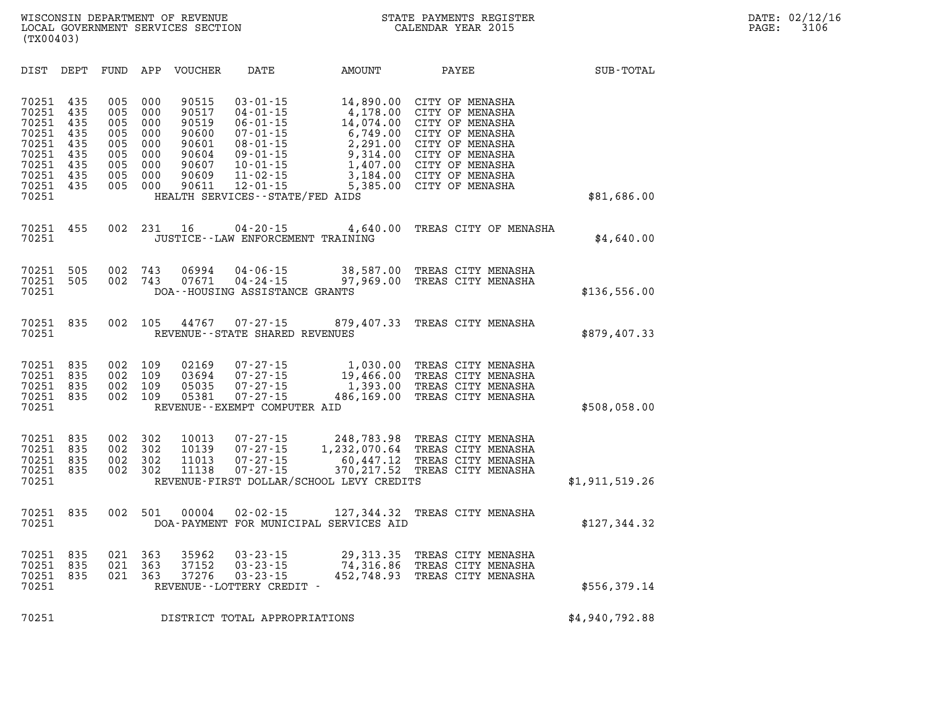| DIST                                                                                   | DEPT                                                        | FUND                                                        | APP                                                         | VOUCHER                                                                       | DATE                                                                                                                                                                                              | AMOUNT                                                                                                     | PAYEE                                                                                                                                                                   | SUB-TOTAL      |
|----------------------------------------------------------------------------------------|-------------------------------------------------------------|-------------------------------------------------------------|-------------------------------------------------------------|-------------------------------------------------------------------------------|---------------------------------------------------------------------------------------------------------------------------------------------------------------------------------------------------|------------------------------------------------------------------------------------------------------------|-------------------------------------------------------------------------------------------------------------------------------------------------------------------------|----------------|
| 70251<br>70251<br>70251<br>70251<br>70251<br>70251<br>70251<br>70251<br>70251<br>70251 | 435<br>435<br>435<br>435<br>435<br>435<br>435<br>435<br>435 | 005<br>005<br>005<br>005<br>005<br>005<br>005<br>005<br>005 | 000<br>000<br>000<br>000<br>000<br>000<br>000<br>000<br>000 | 90515<br>90517<br>90519<br>90600<br>90601<br>90604<br>90607<br>90609<br>90611 | $03 - 01 - 15$<br>$04 - 01 - 15$<br>$06 - 01 - 15$<br>$07 - 01 - 15$<br>$08 - 01 - 15$<br>$09 - 01 - 15$<br>$10 - 01 - 15$<br>$11 - 02 - 15$<br>$12 - 01 - 15$<br>HEALTH SERVICES--STATE/FED AIDS | 14,890.00<br>4,178.00<br>14,074.00<br>6,749.00<br>2,291.00<br>9,314.00<br>1,407.00<br>3,184.00<br>5,385.00 | CITY OF MENASHA<br>CITY OF MENASHA<br>CITY OF MENASHA<br>CITY OF MENASHA<br>CITY OF MENASHA<br>CITY OF MENASHA<br>CITY OF MENASHA<br>CITY OF MENASHA<br>CITY OF MENASHA | \$81,686.00    |
| 70251<br>70251                                                                         | 455                                                         | 002                                                         | 231                                                         | 16                                                                            | $04 - 20 - 15$<br>JUSTICE--LAW ENFORCEMENT TRAINING                                                                                                                                               | 4,640.00                                                                                                   | TREAS CITY OF MENASHA                                                                                                                                                   | \$4,640.00     |
| 70251<br>70251<br>70251                                                                | 505<br>505                                                  | 002<br>002                                                  | 743<br>743                                                  | 06994<br>07671                                                                | $04 - 06 - 15$<br>$04 - 24 - 15$<br>DOA--HOUSING ASSISTANCE GRANTS                                                                                                                                | 38,587.00<br>97,969.00                                                                                     | TREAS CITY MENASHA<br>TREAS CITY MENASHA                                                                                                                                | \$136,556.00   |
| 70251<br>70251                                                                         | 835                                                         | 002                                                         | 105                                                         | 44767                                                                         | $07 - 27 - 15$<br>REVENUE - - STATE SHARED REVENUES                                                                                                                                               |                                                                                                            | 879,407.33 TREAS CITY MENASHA                                                                                                                                           | \$879,407.33   |
| 70251<br>70251<br>70251<br>70251<br>70251                                              | 835<br>835<br>835<br>835                                    | 002<br>002<br>002<br>002                                    | 109<br>109<br>109<br>109                                    | 02169<br>03694<br>05035<br>05381                                              | $07 - 27 - 15$<br>$07 - 27 - 15$<br>$07 - 27 - 15$<br>$07 - 27 - 15$<br>REVENUE--EXEMPT COMPUTER AID                                                                                              | 1,030.00<br>19,466.00<br>1,393.00<br>486,169.00                                                            | TREAS CITY MENASHA<br>TREAS CITY MENASHA<br>TREAS CITY MENASHA<br>TREAS CITY MENASHA                                                                                    | \$508,058.00   |
| 70251<br>70251<br>70251<br>70251<br>70251                                              | 835<br>835<br>835<br>835                                    | 002<br>002<br>002<br>002                                    | 302<br>302<br>302<br>302                                    | 10013<br>10139<br>11013<br>11138                                              | $07 - 27 - 15$<br>$07 - 27 - 15$<br>$07 - 27 - 15$<br>$07 - 27 - 15$                                                                                                                              | 248,783.98<br>1,232,070.64<br>60,447.12<br>370,217.52<br>REVENUE-FIRST DOLLAR/SCHOOL LEVY CREDITS          | TREAS CITY MENASHA<br>TREAS CITY MENASHA<br>TREAS CITY MENASHA<br>TREAS CITY MENASHA                                                                                    | \$1,911,519.26 |
| 70251<br>70251                                                                         | 835                                                         | 002                                                         | 501                                                         | 00004                                                                         | $02 - 02 - 15$                                                                                                                                                                                    | 127,344.32<br>DOA-PAYMENT FOR MUNICIPAL SERVICES AID                                                       | TREAS CITY MENASHA                                                                                                                                                      | \$127,344.32   |
| 70251<br>70251<br>70251<br>70251                                                       | 835<br>835<br>835                                           | 021<br>021<br>021                                           | 363<br>363<br>363                                           | 35962<br>37152<br>37276                                                       | $03 - 23 - 15$<br>$03 - 23 - 15$<br>$03 - 23 - 15$<br>REVENUE--LOTTERY CREDIT -                                                                                                                   | 29, 313.35<br>74,316.86<br>452,748.93                                                                      | TREAS CITY MENASHA<br>TREAS CITY MENASHA<br>TREAS CITY MENASHA                                                                                                          | \$556,379.14   |
| 70251                                                                                  |                                                             |                                                             |                                                             |                                                                               | DISTRICT TOTAL APPROPRIATIONS                                                                                                                                                                     |                                                                                                            |                                                                                                                                                                         | \$4,940,792.88 |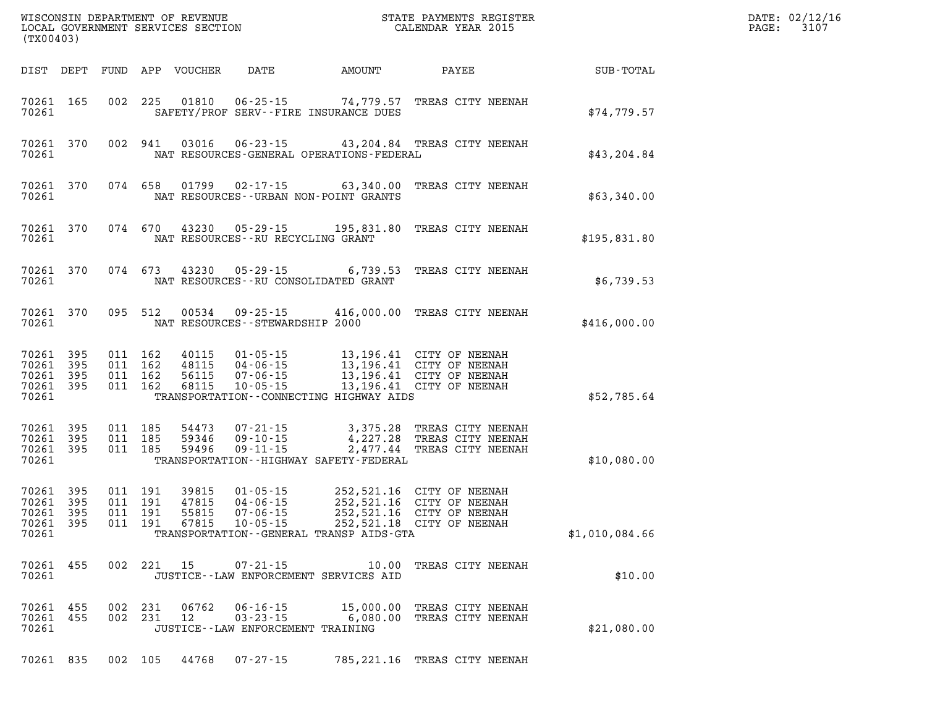| (TX00403)                                                    |                                                                              |                                                                          |                                              | WISCONSIN DEPARTMENT OF REVENUE<br>LOCAL GOVERNMENT SERVICES SECTION FOR THE STATE PAYMENTS REGISTER<br>CALENDAR YEAR 2015                           |                  | DATE: 02/12/1<br>$\mathtt{PAGE}$ :<br>3107 |
|--------------------------------------------------------------|------------------------------------------------------------------------------|--------------------------------------------------------------------------|----------------------------------------------|------------------------------------------------------------------------------------------------------------------------------------------------------|------------------|--------------------------------------------|
|                                                              | DIST DEPT FUND APP VOUCHER                                                   | <b>DATE</b>                                                              | AMOUNT                                       | PAYEE                                                                                                                                                | <b>SUB-TOTAL</b> |                                            |
| 70261 165<br>70261                                           |                                                                              | SAFETY/PROF SERV--FIRE INSURANCE DUES                                    |                                              | 002 225 01810 06-25-15 74,779.57 TREAS CITY NEENAH                                                                                                   | \$74,779.57      |                                            |
| 70261<br>370<br>70261                                        | 002 941                                                                      |                                                                          | NAT RESOURCES-GENERAL OPERATIONS-FEDERAL     | 03016  06-23-15  43, 204.84  TREAS CITY NEENAH                                                                                                       | \$43,204.84      |                                            |
| 70261 370<br>70261                                           |                                                                              | NAT RESOURCES - - URBAN NON-POINT GRANTS                                 |                                              | 074 658 01799 02-17-15 63,340.00 TREAS CITY NEENAH                                                                                                   | \$63,340.00      |                                            |
| 70261 370<br>70261                                           |                                                                              | NAT RESOURCES - - RU RECYCLING GRANT                                     |                                              | 074 670 43230 05-29-15 195,831.80 TREAS CITY NEENAH                                                                                                  | \$195,831.80     |                                            |
| 70261 370<br>70261                                           |                                                                              | NAT RESOURCES -- RU CONSOLIDATED GRANT                                   |                                              | 074 673 43230 05-29-15 6,739.53 TREAS CITY NEENAH                                                                                                    | \$6,739.53       |                                            |
| 70261 370<br>70261                                           |                                                                              | NAT RESOURCES -- STEWARDSHIP 2000                                        |                                              | 095 512 00534 09-25-15 416,000.00 TREAS CITY NEENAH                                                                                                  | \$416,000.00     |                                            |
| 70261 395<br>70261<br>395<br>70261 395<br>70261 395<br>70261 | 011 162<br>40115<br>011 162<br>48115<br>011 162<br>56115<br>011 162<br>68115 |                                                                          | TRANSPORTATION--CONNECTING HIGHWAY AIDS      | 01-05-15 13,196.41 CITY OF NEENAH<br>04-06-15 13,196.41 CITY OF NEENAH<br>07-06-15 13,196.41 CITY OF NEENAH<br>10-05-15 13,196.41 CITY OF NEENAH     | \$52,785.64      |                                            |
| 70261 395<br>70261 395<br>70261 395<br>70261                 | 011 185<br>011 185<br>011 185                                                | 59346 09-10-15                                                           | TRANSPORTATION - - HIGHWAY SAFETY - FEDERAL  | 54473  07-21-15  3,375.28 TREAS CITY NEENAH<br>59346  09-10-15  4,227.28 TREAS CITY NEENAH<br>59496  09-11-15  2,477.44 TREAS CITY NEENAH            | \$10,080.00      |                                            |
| 70261<br>395<br>70261 395<br>70261 395<br>70261 395<br>70261 | 011 191<br>39815<br>011 191<br>47815<br>011 191<br>55815<br>011 191<br>67815 |                                                                          | TRANSPORTATION - - GENERAL TRANSP AIDS - GTA | 01-05-15 252,521.16 CITY OF NEENAH<br>04-06-15 252,521.16 CITY OF NEENAH<br>07-06-15 252,521.16 CITY OF NEENAH<br>10-05-15 252,521.18 CITY OF NEENAH | \$1,010,084.66   |                                            |
| 70261 455<br>70261                                           | 002 221 15                                                                   | $07 - 21 - 15$<br>JUSTICE -- LAW ENFORCEMENT SERVICES AID                |                                              | 10.00 TREAS CITY NEENAH                                                                                                                              | \$10.00          |                                            |
| 70261 455<br>70261<br>455<br>70261                           | 002 231<br>06762<br>002 231<br>12                                            | $06 - 16 - 15$<br>$03 - 23 - 15$<br>JUSTICE - - LAW ENFORCEMENT TRAINING | 15,000.00<br>6,080.00                        | TREAS CITY NEENAH<br>TREAS CITY NEENAH                                                                                                               | \$21,080.00      |                                            |
| 70261 835                                                    | 002 105 44768                                                                | $07 - 27 - 15$                                                           |                                              | 785, 221.16 TREAS CITY NEENAH                                                                                                                        |                  |                                            |

**DATE: 02/12/16<br>PAGE: 3107**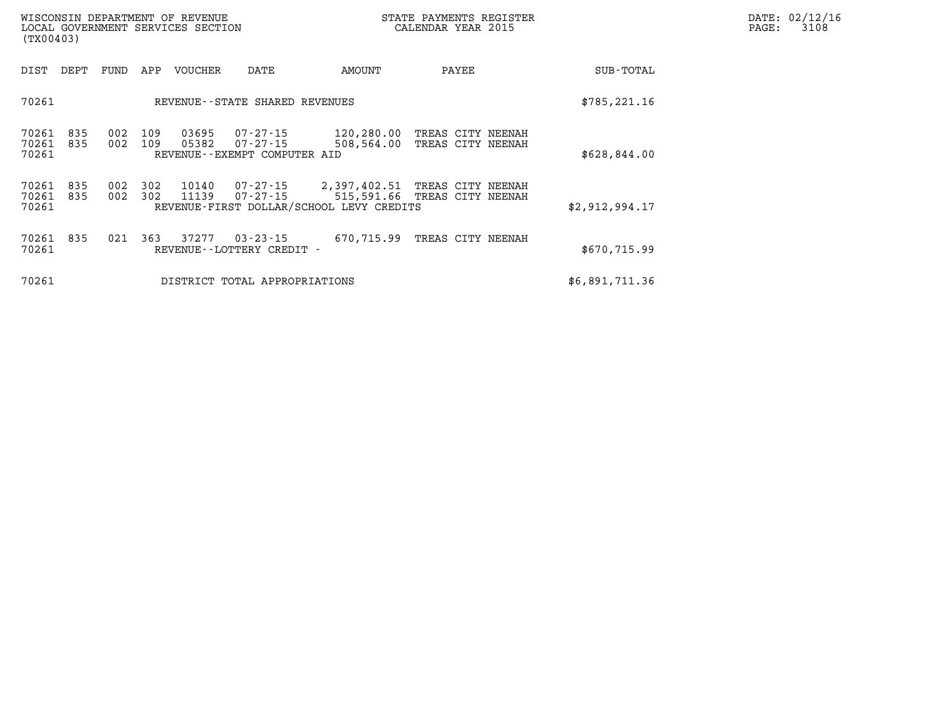| (TX00403)               |            |                                |            | WISCONSIN DEPARTMENT OF REVENUE<br>LOCAL GOVERNMENT SERVICES SECTION |                                                      | STATE PAYMENTS REGISTER<br>CALENDAR YEAR 2015                     | DATE: 02/12/16<br>3108<br>$\mathtt{PAGE}$ :       |                |  |
|-------------------------|------------|--------------------------------|------------|----------------------------------------------------------------------|------------------------------------------------------|-------------------------------------------------------------------|---------------------------------------------------|----------------|--|
| DIST                    | DEPT       | FUND<br>APP<br>VOUCHER<br>DATE |            |                                                                      |                                                      | AMOUNT                                                            | PAYEE                                             | SUB-TOTAL      |  |
| 70261                   |            |                                |            |                                                                      | REVENUE--STATE SHARED REVENUES                       | \$785, 221.16                                                     |                                                   |                |  |
| 70261<br>70261<br>70261 | 835<br>835 | 002<br>002                     | 109<br>109 | 03695<br>05382                                                       | 07-27-15<br>07-27-15<br>REVENUE--EXEMPT COMPUTER AID | 120,280.00<br>508,564.00                                          | TREAS CITY NEENAH<br>TREAS CITY NEENAH            | \$628,844.00   |  |
| 70261<br>70261<br>70261 | 835<br>835 | 002<br>002                     | 302<br>302 | 10140<br>11139                                                       | 07-27-15                                             | 07-27-15 2,397,402.51<br>REVENUE-FIRST DOLLAR/SCHOOL LEVY CREDITS | TREAS CITY NEENAH<br>515,591.66 TREAS CITY NEENAH | \$2,912,994.17 |  |
| 70261<br>70261          | 835        | 021                            | 363        | 37277                                                                | $03 - 23 - 15$<br>REVENUE - - LOTTERY CREDIT -       | 670,715.99                                                        | TREAS CITY NEENAH                                 | \$670,715.99   |  |
| 70261                   |            |                                |            |                                                                      | DISTRICT TOTAL APPROPRIATIONS                        | \$6,891,711.36                                                    |                                                   |                |  |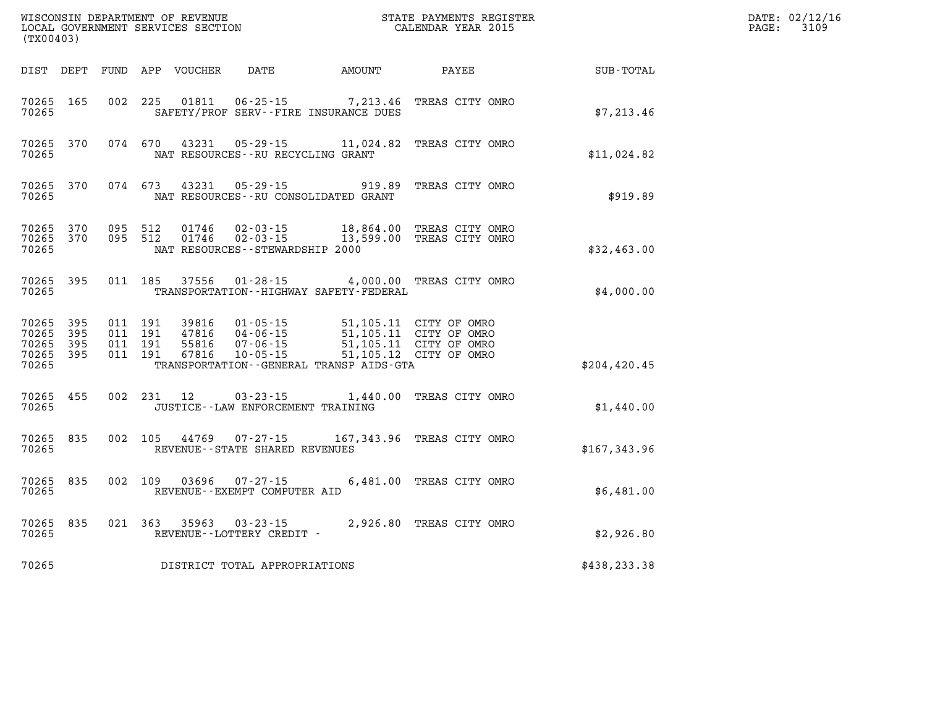| (TX00403)                                         |             |                                          |            | WISCONSIN DEPARTMENT OF REVENUE<br>LOCAL GOVERNMENT SERVICES SECTION |                                                                        | STATE PAYMENTS REGISTER<br>CALENDAR YEAR 2015                                   |                                                                            | DATE: 02/12/16<br>PAGE:<br>3109 |               |  |
|---------------------------------------------------|-------------|------------------------------------------|------------|----------------------------------------------------------------------|------------------------------------------------------------------------|---------------------------------------------------------------------------------|----------------------------------------------------------------------------|---------------------------------|---------------|--|
| DIST DEPT                                         |             |                                          |            | FUND APP VOUCHER                                                     | DATE                                                                   | <b>AMOUNT</b>                                                                   | PAYEE                                                                      |                                 | SUB-TOTAL     |  |
| 70265 165<br>70265                                |             | 002 225                                  |            | 01811                                                                | 06-25-15                                                               | SAFETY/PROF SERV--FIRE INSURANCE DUES                                           | 7,213.46 TREAS CITY OMRO                                                   |                                 | \$7,213.46    |  |
| 70265 370<br>70265                                |             | 074 670                                  |            | 43231                                                                | NAT RESOURCES - - RU RECYCLING GRANT                                   | 05-29-15 11,024.82 TREAS CITY OMRO                                              |                                                                            |                                 | \$11,024.82   |  |
| 70265 370<br>70265                                |             | 074 673                                  |            | 43231                                                                | $05 - 29 - 15$<br>NAT RESOURCES - - RU CONSOLIDATED GRANT              |                                                                                 | 919.89 TREAS CITY OMRO                                                     |                                 | \$919.89      |  |
| 70265 370<br>70265<br>70265                       | 370         | 095 512<br>095 512                       |            | 01746<br>01746                                                       | $02 - 03 - 15$<br>$02 - 03 - 15$<br>NAT RESOURCES - - STEWARDSHIP 2000 | 18,864.00<br>13,599.00                                                          | TREAS CITY OMRO<br>TREAS CITY OMRO                                         |                                 | \$32,463.00   |  |
| 70265 395<br>70265                                |             | 011 185                                  |            | 37556                                                                | $01 - 28 - 15$                                                         | TRANSPORTATION - - HIGHWAY SAFETY - FEDERAL                                     | 4,000.00 TREAS CITY OMRO                                                   |                                 | \$4,000.00    |  |
| 70265 395<br>70265<br>70265<br>70265 395<br>70265 | -395<br>395 | 011 191<br>011 191<br>011 191<br>011 191 |            | 39816<br>47816<br>55816<br>67816                                     | 01-05-15<br>$07 - 06 - 15$<br>$10 - 05 - 15$                           | 04-06-15 51,105.11 CITY OF OMRO<br>TRANSPORTATION - - GENERAL TRANSP AIDS - GTA | 51,105.11 CITY OF OMRO<br>51,105.11 CITY OF OMRO<br>51,105.12 CITY OF OMRO |                                 | \$204, 420.45 |  |
| 70265 455<br>70265                                |             |                                          | 002 231 12 |                                                                      | 03-23-15<br>JUSTICE - - LAW ENFORCEMENT TRAINING                       |                                                                                 | 1,440.00 TREAS CITY OMRO                                                   |                                 | \$1,440.00    |  |
| 70265 835<br>70265                                |             | 002 105                                  |            |                                                                      | 44769 07-27-15<br>REVENUE - - STATE SHARED REVENUES                    | 167,343.96 TREAS CITY OMRO                                                      |                                                                            |                                 | \$167,343.96  |  |
| 70265 835<br>70265                                |             | 002 109                                  |            | 03696                                                                | $07 - 27 - 15$<br>REVENUE--EXEMPT COMPUTER AID                         |                                                                                 | 6,481.00 TREAS CITY OMRO                                                   |                                 | \$6,481.00    |  |
| 70265 835<br>70265                                |             | 021 363                                  |            | 35963                                                                | $03 - 23 - 15$<br>REVENUE--LOTTERY CREDIT -                            |                                                                                 | 2,926.80 TREAS CITY OMRO                                                   |                                 | \$2,926.80    |  |
| 70265                                             |             |                                          |            |                                                                      | DISTRICT TOTAL APPROPRIATIONS                                          |                                                                                 |                                                                            |                                 | \$438,233.38  |  |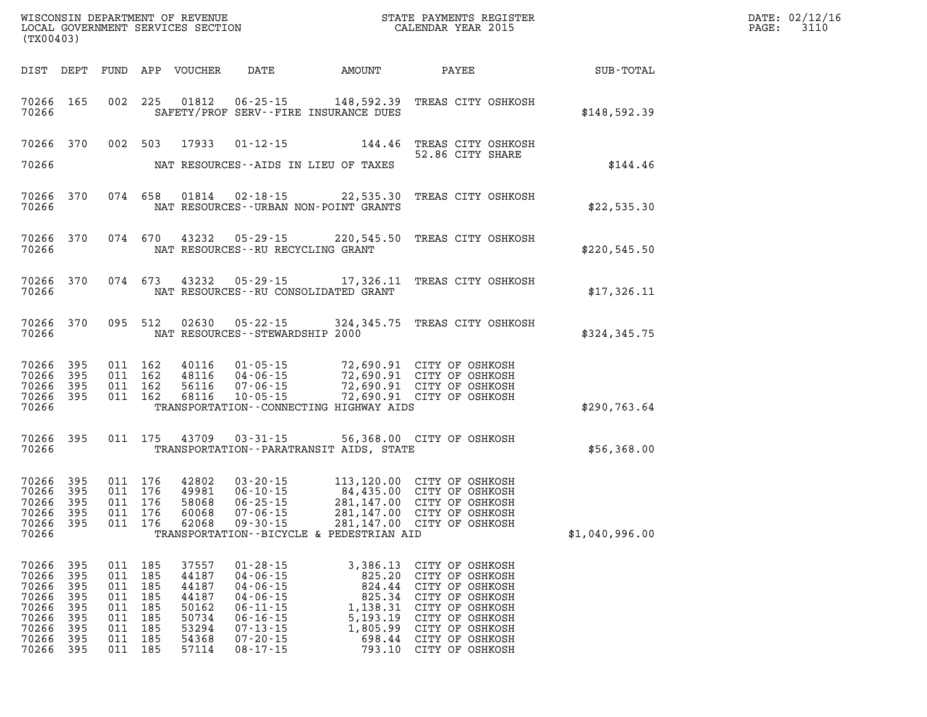| (TX00403)                                                                     |                                                             |                                                             |                                                             |                                                                               |                                                                                                                                                                |                                                                                                |                                                                                                                                                                         | DATE: 02/12/16<br>3110<br>$\mathtt{PAGE}$ : |  |  |
|-------------------------------------------------------------------------------|-------------------------------------------------------------|-------------------------------------------------------------|-------------------------------------------------------------|-------------------------------------------------------------------------------|----------------------------------------------------------------------------------------------------------------------------------------------------------------|------------------------------------------------------------------------------------------------|-------------------------------------------------------------------------------------------------------------------------------------------------------------------------|---------------------------------------------|--|--|
|                                                                               |                                                             |                                                             |                                                             | DIST DEPT FUND APP VOUCHER                                                    |                                                                                                                                                                | DATE AMOUNT                                                                                    | PAYEE                                                                                                                                                                   | <b>SUB-TOTAL</b>                            |  |  |
| 70266                                                                         | 70266 165                                                   |                                                             | 002 225                                                     |                                                                               |                                                                                                                                                                | 01812  06-25-15  148,592.39<br>SAFETY/PROF SERV--FIRE INSURANCE DUES                           | TREAS CITY OSHKOSH                                                                                                                                                      | \$148,592.39                                |  |  |
|                                                                               | 70266 370                                                   |                                                             | 002 503                                                     | 17933                                                                         | 01-12-15                                                                                                                                                       | 144.46                                                                                         | TREAS CITY OSHKOSH<br>52.86 CITY SHARE                                                                                                                                  |                                             |  |  |
| 70266                                                                         |                                                             |                                                             |                                                             |                                                                               |                                                                                                                                                                | NAT RESOURCES--AIDS IN LIEU OF TAXES                                                           |                                                                                                                                                                         | \$144.46                                    |  |  |
| 70266                                                                         | 70266 370                                                   |                                                             |                                                             |                                                                               |                                                                                                                                                                | 074 658 01814 02-18-15 22,535.30<br>NAT RESOURCES--URBAN NON-POINT GRANTS                      | TREAS CITY OSHKOSH                                                                                                                                                      | \$22,535.30                                 |  |  |
| 70266                                                                         | 70266 370                                                   |                                                             |                                                             |                                                                               | NAT RESOURCES--RU RECYCLING GRANT                                                                                                                              |                                                                                                | 074 670 43232 05-29-15 220,545.50 TREAS CITY OSHKOSH                                                                                                                    | \$220,545.50                                |  |  |
| 70266                                                                         | 70266 370                                                   |                                                             |                                                             |                                                                               |                                                                                                                                                                | NAT RESOURCES--RU CONSOLIDATED GRANT                                                           | 074 673 43232 05-29-15 17,326.11 TREAS CITY OSHKOSH                                                                                                                     | \$17,326.11                                 |  |  |
| 70266                                                                         | 70266 370                                                   |                                                             | 095 512                                                     |                                                                               | NAT RESOURCES--STEWARDSHIP 2000                                                                                                                                |                                                                                                | 02630  05-22-15  324,345.75  TREAS CITY OSHKOSH                                                                                                                         | \$324, 345.75                               |  |  |
| 70266<br>70266 395<br>70266 395<br>70266 395<br>70266                         | 395                                                         |                                                             | 011 162<br>011 162<br>011 162<br>011 162                    | 40116<br>48116<br>56116<br>68116                                              |                                                                                                                                                                | TRANSPORTATION--CONNECTING HIGHWAY AIDS                                                        | 01-05-15 72,690.91 CITY OF OSHKOSH<br>04-06-15 72,690.91 CITY OF OSHKOSH<br>07-06-15 72,690.91 CITY OF OSHKOSH<br>10-05-15 72,690.91 CITY OF OSHKOSH                    | \$290,763.64                                |  |  |
| 70266                                                                         | 70266 395                                                   |                                                             | 011 175                                                     | 43709                                                                         | $03 - 31 - 15$                                                                                                                                                 | TRANSPORTATION - - PARATRANSIT AIDS, STATE                                                     | 56,368.00 CITY OF OSHKOSH                                                                                                                                               | \$56,368.00                                 |  |  |
| 70266<br>70266<br>70266<br>70266<br>70266 395<br>70266                        | 395<br>395<br>395<br>395                                    |                                                             | 011 176<br>011 176<br>011 176<br>011 176<br>011 176         | 42802<br>49981<br>58068<br>60068<br>62068                                     | $03 - 20 - 15$<br>$06 - 10 - 15$<br>$06 - 25 - 15$<br>$07 - 06 - 15$<br>$09 - 30 - 15$                                                                         | TRANSPORTATION--BICYCLE & PEDESTRIAN AID                                                       | 113,120.00 CITY OF OSHKOSH<br>064,435.00 CITY OF OSHKOSH<br>281,147.00 CITY OF OSHKOSH<br>281,147.00 CITY OF OSHKOSH<br>281,147.00 CITY OF OSHKOSH                      | \$1,040,996.00                              |  |  |
| 70266<br>70266<br>70266<br>70266<br>70266<br>70266<br>70266<br>70266<br>70266 | 395<br>395<br>395<br>395<br>395<br>395<br>395<br>395<br>395 | 011<br>011<br>011<br>011<br>011<br>011<br>011<br>011<br>011 | 185<br>185<br>185<br>185<br>185<br>185<br>185<br>185<br>185 | 37557<br>44187<br>44187<br>44187<br>50162<br>50734<br>53294<br>54368<br>57114 | $01 - 28 - 15$<br>$04 - 06 - 15$<br>$04 - 06 - 15$<br>$04 - 06 - 15$<br>$06 - 11 - 15$<br>$06 - 16 - 15$<br>$07 - 13 - 15$<br>$07 - 20 - 15$<br>$08 - 17 - 15$ | 3,386.13<br>825.20<br>824.44<br>825.34<br>1,138.31<br>5,193.19<br>1,805.99<br>698.44<br>793.10 | CITY OF OSHKOSH<br>CITY OF OSHKOSH<br>CITY OF OSHKOSH<br>CITY OF OSHKOSH<br>CITY OF OSHKOSH<br>CITY OF OSHKOSH<br>CITY OF OSHKOSH<br>CITY OF OSHKOSH<br>CITY OF OSHKOSH |                                             |  |  |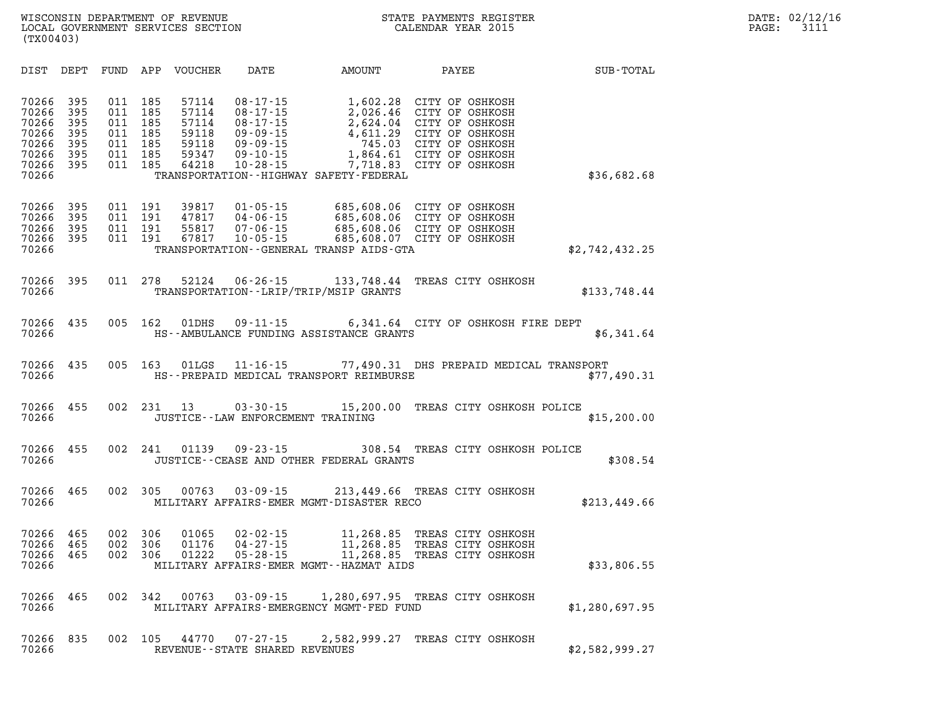| DIST                                                                 | DEPT                                          | FUND                                          | APP                                           | <b>VOUCHER</b>                                              | DATE                                                                                                                       | AMOUNT                                                                                                                        | PAYEE                                                                                                                             | SUB-TOTAL      |
|----------------------------------------------------------------------|-----------------------------------------------|-----------------------------------------------|-----------------------------------------------|-------------------------------------------------------------|----------------------------------------------------------------------------------------------------------------------------|-------------------------------------------------------------------------------------------------------------------------------|-----------------------------------------------------------------------------------------------------------------------------------|----------------|
| 70266<br>70266<br>70266<br>70266<br>70266<br>70266<br>70266<br>70266 | 395<br>395<br>395<br>395<br>395<br>395<br>395 | 011<br>011<br>011<br>011<br>011<br>011<br>011 | 185<br>185<br>185<br>185<br>185<br>185<br>185 | 57114<br>57114<br>57114<br>59118<br>59118<br>59347<br>64218 | $08 - 17 - 15$<br>$08 - 17 - 15$<br>$08 - 17 - 15$<br>$09 - 09 - 15$<br>$09 - 09 - 15$<br>$09 - 10 - 15$<br>$10 - 28 - 15$ | 1,602.28<br>2,026.46<br>2,624.04<br>4,611.29<br>745.03<br>1,864.61<br>7,718.83<br>TRANSPORTATION - - HIGHWAY SAFETY - FEDERAL | CITY OF OSHKOSH<br>CITY OF OSHKOSH<br>CITY OF OSHKOSH<br>CITY OF OSHKOSH<br>CITY OF OSHKOSH<br>CITY OF OSHKOSH<br>CITY OF OSHKOSH | \$36,682.68    |
| 70266<br>70266<br>70266<br>70266<br>70266                            | 395<br>395<br>395<br>395                      | 011<br>011<br>011<br>011                      | 191<br>191<br>191<br>191                      | 39817<br>47817<br>55817<br>67817                            | $01 - 05 - 15$<br>$04 - 06 - 15$<br>$07 - 06 - 15$<br>$10 - 05 - 15$                                                       | 685,608.06<br>685,608.06<br>685,608.06<br>685,608.07<br>TRANSPORTATION--GENERAL TRANSP AIDS-GTA                               | CITY OF OSHKOSH<br>CITY OF OSHKOSH<br>CITY OF OSHKOSH<br>CITY OF OSHKOSH                                                          | \$2,742,432.25 |
| 70266<br>70266                                                       | 395                                           | 011                                           | 278                                           | 52124                                                       | $06 - 26 - 15$                                                                                                             | 133,748.44<br>TRANSPORTATION - - LRIP/TRIP/MSIP GRANTS                                                                        | TREAS CITY OSHKOSH                                                                                                                | \$133,748.44   |
| 70266<br>70266                                                       | 435                                           | 005                                           | 162                                           | 01DHS                                                       | 09-11-15                                                                                                                   | HS--AMBULANCE FUNDING ASSISTANCE GRANTS                                                                                       | 6,341.64 CITY OF OSHKOSH FIRE DEPT                                                                                                | \$6,341.64     |
| 70266<br>70266                                                       | 435                                           | 005                                           | 163                                           | 01LGS                                                       | $11 - 16 - 15$                                                                                                             | HS--PREPAID MEDICAL TRANSPORT REIMBURSE                                                                                       | 77,490.31 DHS PREPAID MEDICAL TRANSPORT                                                                                           | \$77,490.31    |
| 70266<br>70266                                                       | 455                                           | 002                                           | 231                                           | 13                                                          | $03 - 30 - 15$                                                                                                             | 15,200.00<br>JUSTICE--LAW ENFORCEMENT TRAINING                                                                                | TREAS CITY OSHKOSH POLICE                                                                                                         | \$15,200.00    |
| 70266<br>70266                                                       | 455                                           | 002                                           | 241                                           | 01139                                                       | $09 - 23 - 15$                                                                                                             | 308.54<br>JUSTICE -- CEASE AND OTHER FEDERAL GRANTS                                                                           | TREAS CITY OSHKOSH POLICE                                                                                                         | \$308.54       |
| 70266<br>70266                                                       | 465                                           | 002                                           | 305                                           | 00763                                                       | $03 - 09 - 15$                                                                                                             | MILITARY AFFAIRS-EMER MGMT-DISASTER RECO                                                                                      | 213,449.66 TREAS CITY OSHKOSH                                                                                                     | \$213,449.66   |
| 70266<br>70266<br>70266<br>70266                                     | 465<br>465<br>465                             | 002<br>002<br>002                             | 306<br>306<br>306                             | 01065<br>01176<br>01222                                     | $02 - 02 - 15$<br>$04 - 27 - 15$<br>$05 - 28 - 15$                                                                         | 11,268.85<br>11,268.85<br>11,268.85<br>MILITARY AFFAIRS-EMER MGMT--HAZMAT AIDS                                                | TREAS CITY OSHKOSH<br>TREAS CITY OSHKOSH<br>TREAS CITY OSHKOSH                                                                    | \$33,806.55    |
| 70266<br>70266                                                       | 465                                           | 002                                           | 342                                           | 00763                                                       | $03 - 09 - 15$                                                                                                             | MILITARY AFFAIRS-EMERGENCY MGMT-FED FUND                                                                                      | 1,280,697.95 TREAS CITY OSHKOSH                                                                                                   | \$1,280,697.95 |
| 70266<br>70266                                                       | 835                                           | 002                                           | 105                                           | 44770                                                       | $07 - 27 - 15$<br>REVENUE - - STATE SHARED REVENUES                                                                        | 2,582,999.27                                                                                                                  | TREAS CITY OSHKOSH                                                                                                                | \$2,582,999.27 |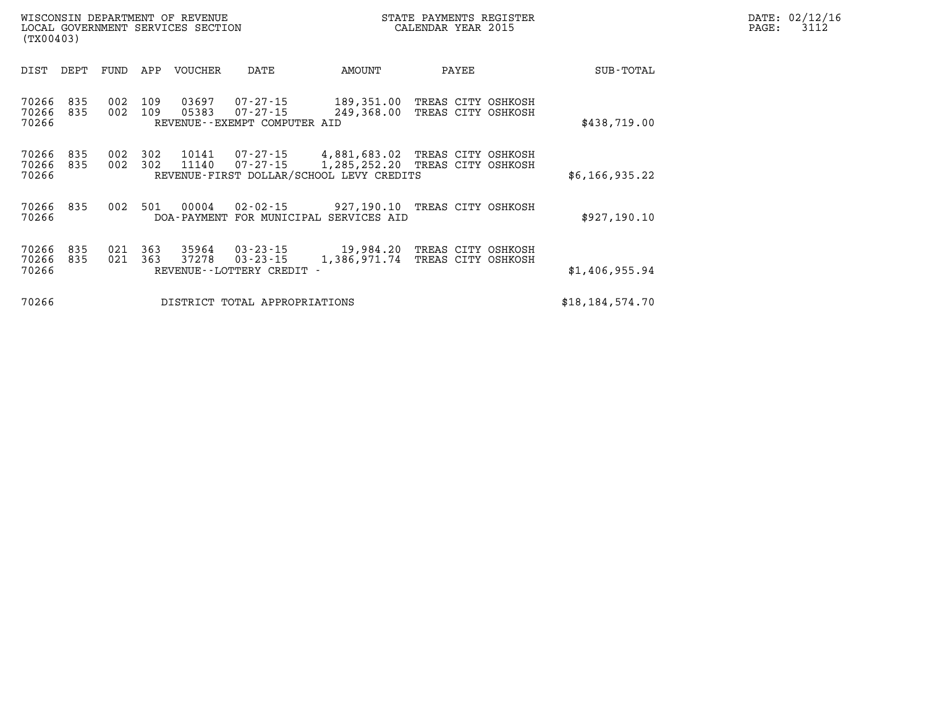| DATE: | 02/12/16 |
|-------|----------|
| PAGE: | 3112     |

| (TX00403)               |            |            |            | LOCAL GOVERNMENT SERVICES SECTION |                                                               | CALENDAR YEAR 2015                                                                         |                                          |  |                |  |
|-------------------------|------------|------------|------------|-----------------------------------|---------------------------------------------------------------|--------------------------------------------------------------------------------------------|------------------------------------------|--|----------------|--|
| DIST                    | DEPT       | FUND       | APP        | <b>VOUCHER</b>                    | DATE                                                          | AMOUNT                                                                                     | PAYEE                                    |  | SUB-TOTAL      |  |
| 70266<br>70266<br>70266 | 835<br>835 | 002<br>002 | 109<br>109 | 03697<br>05383                    | 07-27-15<br>$07 - 27 - 15$<br>REVENUE - - EXEMPT COMPUTER AID | 189,351.00<br>249,368.00                                                                   | TREAS CITY OSHKOSH<br>TREAS CITY OSHKOSH |  | \$438,719.00   |  |
| 70266<br>70266<br>70266 | 835<br>835 | 002<br>002 | 302<br>302 | 10141<br>11140                    |                                                               | 07-27-15 4,881,683.02<br>07-27-15 1,285,252.20<br>REVENUE-FIRST DOLLAR/SCHOOL LEVY CREDITS | TREAS CITY OSHKOSH<br>TREAS CITY OSHKOSH |  | \$6,166,935.22 |  |
| 70266<br>70266          | 835        | 002        | 501        | 00004                             | $02 - 02 - 15$                                                | 927,190.10<br>DOA-PAYMENT FOR MUNICIPAL SERVICES AID                                       | TREAS CITY OSHKOSH                       |  | \$927,190.10   |  |
| 70266<br>70266<br>70266 | 835<br>835 | 021<br>021 | 363<br>363 | 35964 03-23-15<br>37278           | $03 - 23 - 15$<br>REVENUE--LOTTERY CREDIT                     | 19,984.20<br>1,386,971.74                                                                  | TREAS CITY OSHKOSH<br>TREAS CITY OSHKOSH |  | \$1,406,955.94 |  |
| 70266                   |            |            |            | \$18, 184, 574.70                 |                                                               |                                                                                            |                                          |  |                |  |

WISCONSIN DEPARTMENT OF REVENUE **STATE PAYMENTS REGISTER**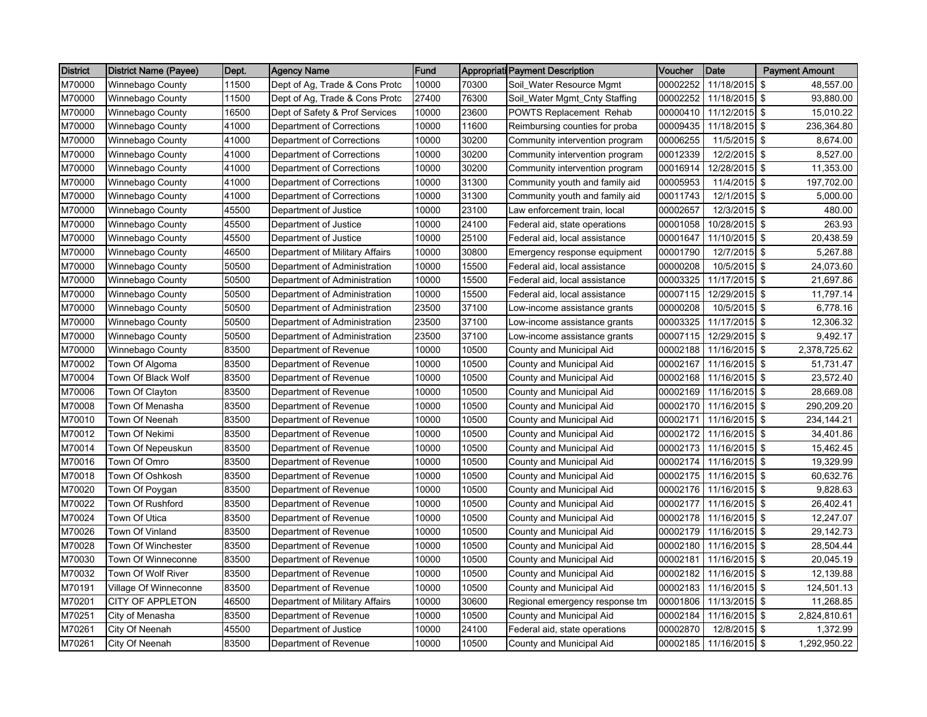| <b>District</b> | <b>District Name (Payee)</b> | Dept. | <b>Agency Name</b>             | Fund  |       | <b>Appropriati Payment Description</b> | Voucher  | Date                   | <b>Payment Amount</b> |
|-----------------|------------------------------|-------|--------------------------------|-------|-------|----------------------------------------|----------|------------------------|-----------------------|
| M70000          | <b>Winnebago County</b>      | 11500 | Dept of Ag, Trade & Cons Protc | 10000 | 70300 | Soil_Water Resource Mgmt               | 00002252 | 11/18/2015             | \$<br>48,557.00       |
| M70000          | Winnebago County             | 11500 | Dept of Ag, Trade & Cons Protc | 27400 | 76300 | Soil_Water Mgmt_Cnty Staffing          | 00002252 | 11/18/2015 \$          | 93,880.00             |
| M70000          | Winnebago County             | 16500 | Dept of Safety & Prof Services | 10000 | 23600 | <b>POWTS Replacement Rehab</b>         | 00000410 | 11/12/2015 \$          | 15,010.22             |
| M70000          | Winnebago County             | 41000 | Department of Corrections      | 10000 | 11600 | Reimbursing counties for proba         | 00009435 | 11/18/2015             | \$<br>236,364.80      |
| M70000          | Winnebago County             | 41000 | Department of Corrections      | 10000 | 30200 | Community intervention program         | 00006255 | 11/5/2015              | \$<br>8,674.00        |
| M70000          | Winnebago County             | 41000 | Department of Corrections      | 10000 | 30200 | Community intervention program         | 00012339 | 12/2/2015 \$           | 8,527.00              |
| M70000          | Winnebago County             | 41000 | Department of Corrections      | 10000 | 30200 | Community intervention program         | 00016914 | 12/28/2015 \$          | 11,353.00             |
| M70000          | <b>Winnebago County</b>      | 41000 | Department of Corrections      | 10000 | 31300 | Community youth and family aid         | 00005953 | 11/4/2015 \$           | 197,702.00            |
| M70000          | Winnebago County             | 41000 | Department of Corrections      | 10000 | 31300 | Community youth and family aid         | 00011743 | 12/1/2015 \$           | 5,000.00              |
| M70000          | Winnebago County             | 45500 | Department of Justice          | 10000 | 23100 | Law enforcement train, local           | 00002657 | 12/3/2015 \$           | 480.00                |
| M70000          | Winnebago County             | 45500 | Department of Justice          | 10000 | 24100 | Federal aid, state operations          | 00001058 | 10/28/2015 \$          | 263.93                |
| M70000          | Winnebago County             | 45500 | Department of Justice          | 10000 | 25100 | Federal aid, local assistance          | 00001647 | 11/10/2015 \$          | 20,438.59             |
| M70000          | Winnebago County             | 46500 | Department of Military Affairs | 10000 | 30800 | Emergency response equipment           | 00001790 | 12/7/2015 \$           | 5,267.88              |
| M70000          | Winnebago County             | 50500 | Department of Administration   | 10000 | 15500 | Federal aid, local assistance          | 00000208 | 10/5/2015 \$           | 24,073.60             |
| M70000          | Winnebago County             | 50500 | Department of Administration   | 10000 | 15500 | Federal aid, local assistance          | 00003325 | 11/17/2015 \$          | 21,697.86             |
| M70000          | Winnebago County             | 50500 | Department of Administration   | 10000 | 15500 | Federal aid, local assistance          | 00007115 | 12/29/2015 \$          | 11,797.14             |
| M70000          | <b>Winnebago County</b>      | 50500 | Department of Administration   | 23500 | 37100 | Low-income assistance grants           | 00000208 | 10/5/2015 \$           | 6,778.16              |
| M70000          | <b>Winnebago County</b>      | 50500 | Department of Administration   | 23500 | 37100 | Low-income assistance grants           | 00003325 | 11/17/2015 \$          | 12,306.32             |
| M70000          | Winnebago County             | 50500 | Department of Administration   | 23500 | 37100 | Low-income assistance grants           | 00007115 | 12/29/2015 \$          | 9,492.17              |
| M70000          | Winnebago County             | 83500 | Department of Revenue          | 10000 | 10500 | County and Municipal Aid               | 00002188 | 11/16/2015             | \$<br>2,378,725.62    |
| M70002          | Town Of Algoma               | 83500 | Department of Revenue          | 10000 | 10500 | County and Municipal Aid               | 00002167 | 11/16/2015 \$          | 51,731.47             |
| M70004          | Town Of Black Wolf           | 83500 | Department of Revenue          | 10000 | 10500 | County and Municipal Aid               | 00002168 | 11/16/2015 \$          | 23,572.40             |
| M70006          | Town Of Clayton              | 83500 | Department of Revenue          | 10000 | 10500 | County and Municipal Aid               | 00002169 | 11/16/2015             | \$<br>28,669.08       |
| M70008          | Town Of Menasha              | 83500 | Department of Revenue          | 10000 | 10500 | County and Municipal Aid               | 00002170 | 11/16/2015 \$          | 290,209.20            |
| M70010          | Town Of Neenah               | 83500 | Department of Revenue          | 10000 | 10500 | County and Municipal Aid               | 00002171 | 11/16/2015             | \$<br>234,144.21      |
| M70012          | Town Of Nekimi               | 83500 | Department of Revenue          | 10000 | 10500 | County and Municipal Aid               | 00002172 | 11/16/2015 \$          | 34,401.86             |
| M70014          | Town Of Nepeuskun            | 83500 | Department of Revenue          | 10000 | 10500 | County and Municipal Aid               |          | 00002173 11/16/2015 \$ | 15,462.45             |
| M70016          | Town Of Omro                 | 83500 | Department of Revenue          | 10000 | 10500 | County and Municipal Aid               | 00002174 | 11/16/2015 \$          | 19,329.99             |
| M70018          | Town Of Oshkosh              | 83500 | Department of Revenue          | 10000 | 10500 | County and Municipal Aid               | 00002175 | 11/16/2015 \$          | 60,632.76             |
| M70020          | Town Of Poygan               | 83500 | Department of Revenue          | 10000 | 10500 | County and Municipal Aid               | 00002176 | 11/16/2015 \$          | 9,828.63              |
| M70022          | Town Of Rushford             | 83500 | Department of Revenue          | 10000 | 10500 | County and Municipal Aid               | 00002177 | 11/16/2015 \$          | 26,402.41             |
| M70024          | Town Of Utica                | 83500 | Department of Revenue          | 10000 | 10500 | County and Municipal Aid               | 00002178 | 11/16/2015 \$          | 12,247.07             |
| M70026          | Town Of Vinland              | 83500 | Department of Revenue          | 10000 | 10500 | County and Municipal Aid               | 00002179 | 11/16/2015 \$          | 29,142.73             |
| M70028          | Town Of Winchester           | 83500 | Department of Revenue          | 10000 | 10500 | County and Municipal Aid               | 00002180 | 11/16/2015 \$          | 28,504.44             |
| M70030          | Town Of Winneconne           | 83500 | Department of Revenue          | 10000 | 10500 | County and Municipal Aid               | 00002181 | 11/16/2015 \$          | 20,045.19             |
| M70032          | Town Of Wolf River           | 83500 | Department of Revenue          | 10000 | 10500 | County and Municipal Aid               | 00002182 | 11/16/2015 \$          | 12,139.88             |
| M70191          | Village Of Winneconne        | 83500 | Department of Revenue          | 10000 | 10500 | County and Municipal Aid               |          | 00002183 11/16/2015 \$ | 124,501.13            |
| M70201          | <b>CITY OF APPLETON</b>      | 46500 | Department of Military Affairs | 10000 | 30600 | Regional emergency response tm         | 00001806 | 11/13/2015 \$          | 11,268.85             |
| M70251          | City of Menasha              | 83500 | Department of Revenue          | 10000 | 10500 | County and Municipal Aid               | 00002184 | 11/16/2015 \$          | 2,824,810.61          |
| M70261          | City Of Neenah               | 45500 | Department of Justice          | 10000 | 24100 | Federal aid, state operations          | 00002870 | 12/8/2015 \$           | 1,372.99              |
| M70261          | City Of Neenah               | 83500 | Department of Revenue          | 10000 | 10500 | County and Municipal Aid               |          | 00002185 11/16/2015 \$ | 1,292,950.22          |